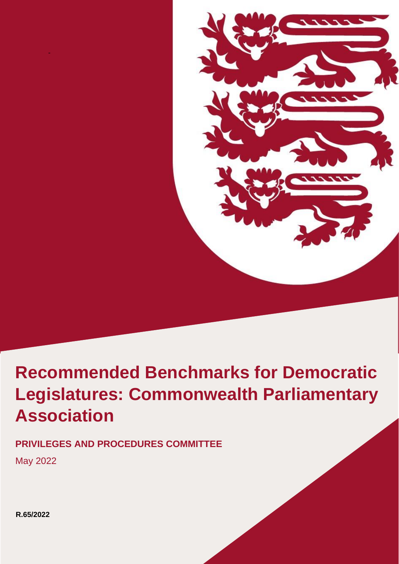

# **Retail in Jersey Association**  $\overline{\phantom{a}}$ **Recommended Benchmarks for Democratic Legislatures: Commonwealth Parliamentary**

**PRIVILEGES AND PROCEDURES COMMITTEE**

May 2022

-

**R.65/2022**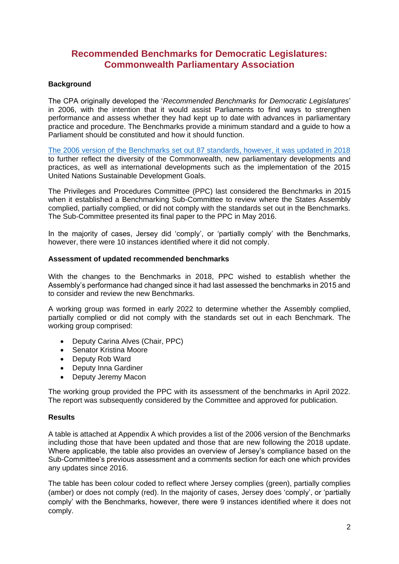# **Recommended Benchmarks for Democratic Legislatures: Commonwealth Parliamentary Association**

## **Background**

The CPA originally developed the '*Recommended Benchmarks for Democratic Legislatures*' in 2006, with the intention that it would assist Parliaments to find ways to strengthen performance and assess whether they had kept up to date with advances in parliamentary practice and procedure. The Benchmarks provide a minimum standard and a guide to how a Parliament should be constituted and how it should function.

[The 2006 version of the Benchmarks set out 87 standards, however, it was updated in 2018](https://www.cpahq.org/media/l0jjk2nh/recommended-benchmarks-for-democratic-legislatures-updated-2018-final-online-version-single.pdf) to further reflect the diversity of the Commonwealth, new parliamentary developments and practices, as well as international developments such as the implementation of the 2015 United Nations Sustainable Development Goals.

The Privileges and Procedures Committee (PPC) last considered the Benchmarks in 2015 when it established a Benchmarking Sub-Committee to review where the States Assembly complied, partially complied, or did not comply with the standards set out in the Benchmarks. The Sub-Committee presented its final paper to the PPC in May 2016.

In the majority of cases, Jersey did 'comply', or 'partially comply' with the Benchmarks, however, there were 10 instances identified where it did not comply.

#### **Assessment of updated recommended benchmarks**

With the changes to the Benchmarks in 2018, PPC wished to establish whether the Assembly's performance had changed since it had last assessed the benchmarks in 2015 and to consider and review the new Benchmarks.

A working group was formed in early 2022 to determine whether the Assembly complied, partially complied or did not comply with the standards set out in each Benchmark. The working group comprised:

- Deputy Carina Alves (Chair, PPC)
- Senator Kristina Moore
- Deputy Rob Ward
- Deputy Inna Gardiner
- Deputy Jeremy Macon

The working group provided the PPC with its assessment of the benchmarks in April 2022. The report was subsequently considered by the Committee and approved for publication.

### **Results**

A table is attached at Appendix A which provides a list of the 2006 version of the Benchmarks including those that have been updated and those that are new following the 2018 update. Where applicable, the table also provides an overview of Jersey's compliance based on the Sub-Committee's previous assessment and a comments section for each one which provides any updates since 2016.

The table has been colour coded to reflect where Jersey complies (green), partially complies (amber) or does not comply (red). In the majority of cases, Jersey does 'comply', or 'partially comply' with the Benchmarks, however, there were 9 instances identified where it does not comply.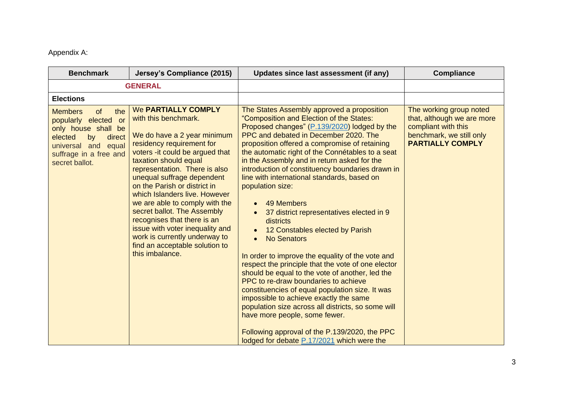Appendix A:

| <b>Benchmark</b>                                                                                                                                                            | Jersey's Compliance (2015)                                                                                                                                                                                                                                                                                                                                                                                                                                                                                                    | Updates since last assessment (if any)                                                                                                                                                                                                                                                                                                                                                                                                                                                                                                                                                                                                                                                                                                                                                                                                                                                                                                                                                                                                                                             | <b>Compliance</b>                                                                                                                   |
|-----------------------------------------------------------------------------------------------------------------------------------------------------------------------------|-------------------------------------------------------------------------------------------------------------------------------------------------------------------------------------------------------------------------------------------------------------------------------------------------------------------------------------------------------------------------------------------------------------------------------------------------------------------------------------------------------------------------------|------------------------------------------------------------------------------------------------------------------------------------------------------------------------------------------------------------------------------------------------------------------------------------------------------------------------------------------------------------------------------------------------------------------------------------------------------------------------------------------------------------------------------------------------------------------------------------------------------------------------------------------------------------------------------------------------------------------------------------------------------------------------------------------------------------------------------------------------------------------------------------------------------------------------------------------------------------------------------------------------------------------------------------------------------------------------------------|-------------------------------------------------------------------------------------------------------------------------------------|
|                                                                                                                                                                             | <b>GENERAL</b>                                                                                                                                                                                                                                                                                                                                                                                                                                                                                                                |                                                                                                                                                                                                                                                                                                                                                                                                                                                                                                                                                                                                                                                                                                                                                                                                                                                                                                                                                                                                                                                                                    |                                                                                                                                     |
| <b>Elections</b>                                                                                                                                                            |                                                                                                                                                                                                                                                                                                                                                                                                                                                                                                                               |                                                                                                                                                                                                                                                                                                                                                                                                                                                                                                                                                                                                                                                                                                                                                                                                                                                                                                                                                                                                                                                                                    |                                                                                                                                     |
| <b>Members</b><br>the<br>of<br>popularly elected or<br>only house shall be<br>elected<br>by<br>direct<br>and equal<br>universal<br>suffrage in a free and<br>secret ballot. | We PARTIALLY COMPLY<br>with this benchmark.<br>We do have a 2 year minimum<br>residency requirement for<br>voters - it could be argued that<br>taxation should equal<br>representation. There is also<br>unequal suffrage dependent<br>on the Parish or district in<br>which Islanders live. However<br>we are able to comply with the<br>secret ballot. The Assembly<br>recognises that there is an<br>issue with voter inequality and<br>work is currently underway to<br>find an acceptable solution to<br>this imbalance. | The States Assembly approved a proposition<br>"Composition and Election of the States:<br>Proposed changes" (P.139/2020) lodged by the<br>PPC and debated in December 2020. The<br>proposition offered a compromise of retaining<br>the automatic right of the Connétables to a seat<br>in the Assembly and in return asked for the<br>introduction of constituency boundaries drawn in<br>line with international standards, based on<br>population size:<br>49 Members<br>37 district representatives elected in 9<br>districts<br>12 Constables elected by Parish<br><b>No Senators</b><br>In order to improve the equality of the vote and<br>respect the principle that the vote of one elector<br>should be equal to the vote of another, led the<br>PPC to re-draw boundaries to achieve<br>constituencies of equal population size. It was<br>impossible to achieve exactly the same<br>population size across all districts, so some will<br>have more people, some fewer.<br>Following approval of the P.139/2020, the PPC<br>lodged for debate P.17/2021 which were the | The working group noted<br>that, although we are more<br>compliant with this<br>benchmark, we still only<br><b>PARTIALLY COMPLY</b> |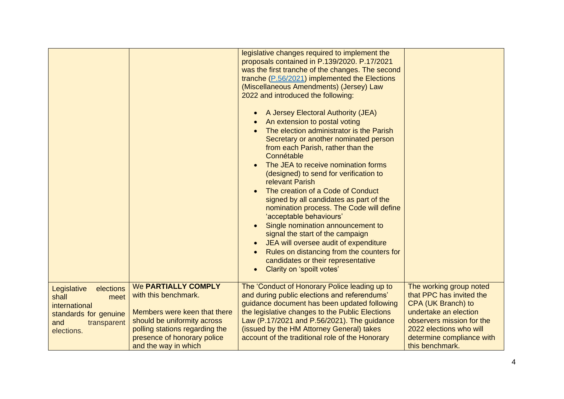|                                                                                                                         |                                                                                                                                                                                                            | legislative changes required to implement the<br>proposals contained in P.139/2020. P.17/2021<br>was the first tranche of the changes. The second<br>tranche (P.56/2021) implemented the Elections<br>(Miscellaneous Amendments) (Jersey) Law<br>2022 and introduced the following:<br>A Jersey Electoral Authority (JEA)<br>An extension to postal voting<br>The election administrator is the Parish<br>Secretary or another nominated person<br>from each Parish, rather than the<br>Connétable<br>The JEA to receive nomination forms<br>(designed) to send for verification to<br>relevant Parish<br>The creation of a Code of Conduct<br>signed by all candidates as part of the<br>nomination process. The Code will define<br>'acceptable behaviours'<br>Single nomination announcement to<br>signal the start of the campaign<br>JEA will oversee audit of expenditure<br>Rules on distancing from the counters for<br>candidates or their representative |                                                                                                                                                                                                            |
|-------------------------------------------------------------------------------------------------------------------------|------------------------------------------------------------------------------------------------------------------------------------------------------------------------------------------------------------|--------------------------------------------------------------------------------------------------------------------------------------------------------------------------------------------------------------------------------------------------------------------------------------------------------------------------------------------------------------------------------------------------------------------------------------------------------------------------------------------------------------------------------------------------------------------------------------------------------------------------------------------------------------------------------------------------------------------------------------------------------------------------------------------------------------------------------------------------------------------------------------------------------------------------------------------------------------------|------------------------------------------------------------------------------------------------------------------------------------------------------------------------------------------------------------|
|                                                                                                                         |                                                                                                                                                                                                            | Clarity on 'spoilt votes'                                                                                                                                                                                                                                                                                                                                                                                                                                                                                                                                                                                                                                                                                                                                                                                                                                                                                                                                          |                                                                                                                                                                                                            |
| Legislative<br>elections<br>shall<br>meet<br>international<br>standards for genuine<br>and<br>transparent<br>elections. | <b>We PARTIALLY COMPLY</b><br>with this benchmark.<br>Members were keen that there<br>should be uniformity across<br>polling stations regarding the<br>presence of honorary police<br>and the way in which | The 'Conduct of Honorary Police leading up to<br>and during public elections and referendums'<br>guidance document has been updated following<br>the legislative changes to the Public Elections<br>Law (P.17/2021 and P.56/2021). The guidance<br>(issued by the HM Attorney General) takes<br>account of the traditional role of the Honorary                                                                                                                                                                                                                                                                                                                                                                                                                                                                                                                                                                                                                    | The working group noted<br>that PPC has invited the<br>CPA (UK Branch) to<br>undertake an election<br>observers mission for the<br>2022 elections who will<br>determine compliance with<br>this benchmark. |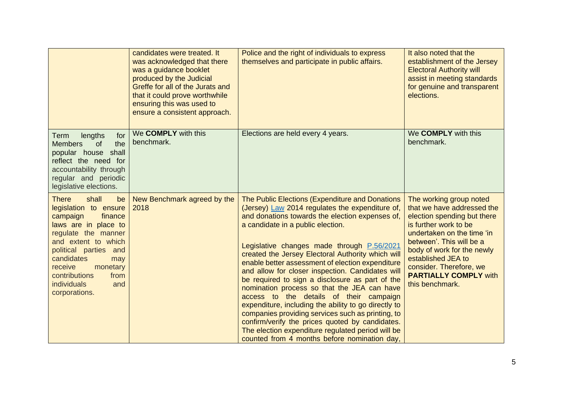|                                                                                                                                                                                                                                                                                        | candidates were treated. It<br>was acknowledged that there<br>was a guidance booklet<br>produced by the Judicial<br>Greffe for all of the Jurats and<br>that it could prove worthwhile<br>ensuring this was used to<br>ensure a consistent approach. | Police and the right of individuals to express<br>themselves and participate in public affairs.                                                                                                                                                                                                                                                                                                                                                                                                                                                                                                                                                                                                                                                                                                                                | It also noted that the<br>establishment of the Jersey<br><b>Electoral Authority will</b><br>assist in meeting standards<br>for genuine and transparent<br>elections.                                                                                                                                      |
|----------------------------------------------------------------------------------------------------------------------------------------------------------------------------------------------------------------------------------------------------------------------------------------|------------------------------------------------------------------------------------------------------------------------------------------------------------------------------------------------------------------------------------------------------|--------------------------------------------------------------------------------------------------------------------------------------------------------------------------------------------------------------------------------------------------------------------------------------------------------------------------------------------------------------------------------------------------------------------------------------------------------------------------------------------------------------------------------------------------------------------------------------------------------------------------------------------------------------------------------------------------------------------------------------------------------------------------------------------------------------------------------|-----------------------------------------------------------------------------------------------------------------------------------------------------------------------------------------------------------------------------------------------------------------------------------------------------------|
| lengths<br>for<br>Term<br>of<br>the<br><b>Members</b><br>shall<br>popular house<br>reflect the need for<br>accountability through<br>regular and periodic<br>legislative elections.                                                                                                    | We <b>COMPLY</b> with this<br>benchmark.                                                                                                                                                                                                             | Elections are held every 4 years.                                                                                                                                                                                                                                                                                                                                                                                                                                                                                                                                                                                                                                                                                                                                                                                              | We COMPLY with this<br>benchmark.                                                                                                                                                                                                                                                                         |
| <b>There</b><br>shall<br>be<br>legislation to ensure<br>finance<br>campaign<br>laws are in place to<br>regulate the manner<br>and extent to which<br>political parties and<br>candidates<br>may<br>receive<br>monetary<br>contributions<br>from<br>individuals<br>and<br>corporations. | New Benchmark agreed by the<br>2018                                                                                                                                                                                                                  | <b>The Public Elections (Expenditure and Donations</b><br>(Jersey) Law 2014 regulates the expenditure of,<br>and donations towards the election expenses of,<br>a candidate in a public election.<br>Legislative changes made through P.56/2021<br>created the Jersey Electoral Authority which will<br>enable better assessment of election expenditure<br>and allow for closer inspection. Candidates will<br>be required to sign a disclosure as part of the<br>nomination process so that the JEA can have<br>access to the details of their campaign<br>expenditure, including the ability to go directly to<br>companies providing services such as printing, to<br>confirm/verify the prices quoted by candidates.<br>The election expenditure regulated period will be<br>counted from 4 months before nomination day, | The working group noted<br>that we have addressed the<br>election spending but there<br>is further work to be<br>undertaken on the time 'in<br>between'. This will be a<br>body of work for the newly<br>established JEA to<br>consider. Therefore, we<br><b>PARTIALLY COMPLY with</b><br>this benchmark. |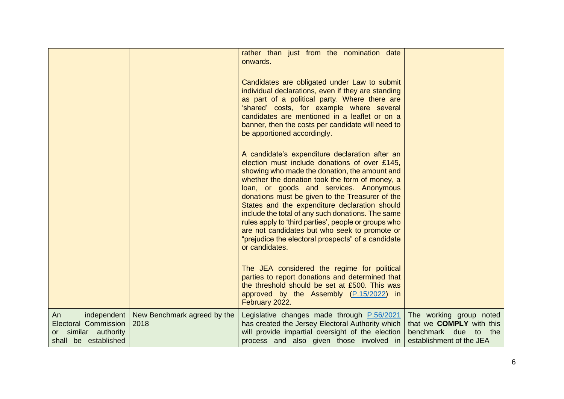|                                                                                                  |                                     | rather than just from the nomination date<br>onwards.<br>Candidates are obligated under Law to submit<br>individual declarations, even if they are standing<br>as part of a political party. Where there are<br>'shared' costs, for example where several<br>candidates are mentioned in a leaflet or on a<br>banner, then the costs per candidate will need to<br>be apportioned accordingly.<br>A candidate's expenditure declaration after an<br>election must include donations of over £145, |                                                                                                                   |
|--------------------------------------------------------------------------------------------------|-------------------------------------|---------------------------------------------------------------------------------------------------------------------------------------------------------------------------------------------------------------------------------------------------------------------------------------------------------------------------------------------------------------------------------------------------------------------------------------------------------------------------------------------------|-------------------------------------------------------------------------------------------------------------------|
|                                                                                                  |                                     | showing who made the donation, the amount and<br>whether the donation took the form of money, a<br>loan, or goods and services. Anonymous<br>donations must be given to the Treasurer of the<br>States and the expenditure declaration should<br>include the total of any such donations. The same<br>rules apply to 'third parties', people or groups who<br>are not candidates but who seek to promote or<br>"prejudice the electoral prospects" of a candidate<br>or candidates.               |                                                                                                                   |
|                                                                                                  |                                     | The JEA considered the regime for political<br>parties to report donations and determined that<br>the threshold should be set at £500. This was<br>approved by the Assembly (P.15/2022) in<br>February 2022.                                                                                                                                                                                                                                                                                      |                                                                                                                   |
| independent<br>An<br><b>Electoral Commission</b><br>or similar authority<br>shall be established | New Benchmark agreed by the<br>2018 | Legislative changes made through P.56/2021<br>has created the Jersey Electoral Authority which<br>will provide impartial oversight of the election<br>process and also given those involved in                                                                                                                                                                                                                                                                                                    | The working group noted<br>that we <b>COMPLY</b> with this<br>benchmark due to<br>the<br>establishment of the JEA |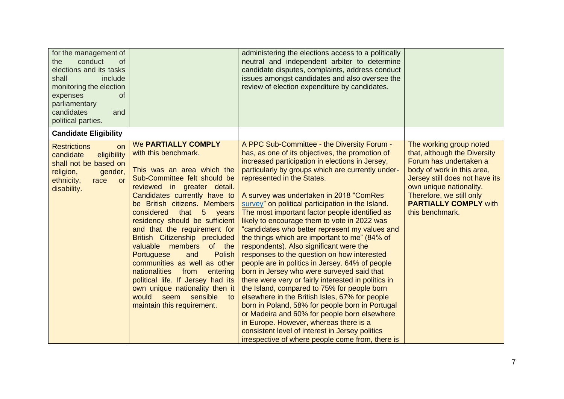| for the management of<br>conduct<br>the<br><b>of</b><br>elections and its tasks<br>shall<br>include<br>monitoring the election<br>expenses<br><b>of</b><br>parliamentary<br>candidates<br>and<br>political parties. |                                                                                                                                                                                                                                                                                                                                                                                                                                                                                                                                                                                                                                             | administering the elections access to a politically<br>neutral and independent arbiter to determine<br>candidate disputes, complaints, address conduct<br>issues amongst candidates and also oversee the<br>review of election expenditure by candidates.                                                                                                                                                                                                                                                                                                                                                                                                                                                                                                                                                                                                                                                                                                                                                                                                                                                                                        |                                                                                                                                                                                                                                                             |
|---------------------------------------------------------------------------------------------------------------------------------------------------------------------------------------------------------------------|---------------------------------------------------------------------------------------------------------------------------------------------------------------------------------------------------------------------------------------------------------------------------------------------------------------------------------------------------------------------------------------------------------------------------------------------------------------------------------------------------------------------------------------------------------------------------------------------------------------------------------------------|--------------------------------------------------------------------------------------------------------------------------------------------------------------------------------------------------------------------------------------------------------------------------------------------------------------------------------------------------------------------------------------------------------------------------------------------------------------------------------------------------------------------------------------------------------------------------------------------------------------------------------------------------------------------------------------------------------------------------------------------------------------------------------------------------------------------------------------------------------------------------------------------------------------------------------------------------------------------------------------------------------------------------------------------------------------------------------------------------------------------------------------------------|-------------------------------------------------------------------------------------------------------------------------------------------------------------------------------------------------------------------------------------------------------------|
| <b>Candidate Eligibility</b>                                                                                                                                                                                        |                                                                                                                                                                                                                                                                                                                                                                                                                                                                                                                                                                                                                                             |                                                                                                                                                                                                                                                                                                                                                                                                                                                                                                                                                                                                                                                                                                                                                                                                                                                                                                                                                                                                                                                                                                                                                  |                                                                                                                                                                                                                                                             |
| <b>Restrictions</b><br><b>on</b><br>eligibility<br>candidate<br>shall not be based on<br>religion,<br>gender,<br>ethnicity,<br>race<br>or<br>disability.                                                            | <b>We PARTIALLY COMPLY</b><br>with this benchmark.<br>This was an area which the<br>Sub-Committee felt should be<br>reviewed in greater detail.<br>Candidates currently have to<br>be British citizens. Members<br>considered that<br>5 years<br>residency should be sufficient<br>and that the requirement for<br>British Citizenship precluded<br>of the<br>valuable<br>members<br><b>Polish</b><br><b>Portuguese</b><br>and<br>communities as well as other<br>nationalities<br>from<br>entering<br>political life. If Jersey had its<br>own unique nationality then it<br>would<br>seem<br>sensible<br>to<br>maintain this requirement. | A PPC Sub-Committee - the Diversity Forum -<br>has, as one of its objectives, the promotion of<br>increased participation in elections in Jersey,<br>particularly by groups which are currently under-<br>represented in the States.<br>A survey was undertaken in 2018 "ComRes<br>survey" on political participation in the Island.<br>The most important factor people identified as<br>likely to encourage them to vote in 2022 was<br>"candidates who better represent my values and<br>the things which are important to me" (84% of<br>respondents). Also significant were the<br>responses to the question on how interested<br>people are in politics in Jersey. 64% of people<br>born in Jersey who were surveyed said that<br>there were very or fairly interested in politics in<br>the Island, compared to 75% for people born<br>elsewhere in the British Isles, 67% for people<br>born in Poland, 58% for people born in Portugal<br>or Madeira and 60% for people born elsewhere<br>in Europe. However, whereas there is a<br>consistent level of interest in Jersey politics<br>irrespective of where people come from, there is | The working group noted<br>that, although the Diversity<br>Forum has undertaken a<br>body of work in this area,<br>Jersey still does not have its<br>own unique nationality.<br>Therefore, we still only<br><b>PARTIALLY COMPLY with</b><br>this benchmark. |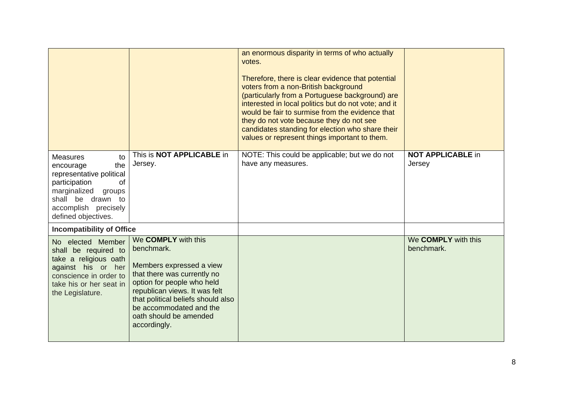|                                                                                                                                                                                            |                                                                                                                                                                                                                                                                        | an enormous disparity in terms of who actually<br>votes.<br>Therefore, there is clear evidence that potential<br>voters from a non-British background<br>(particularly from a Portuguese background) are<br>interested in local politics but do not vote; and it<br>would be fair to surmise from the evidence that<br>they do not vote because they do not see<br>candidates standing for election who share their<br>values or represent things important to them. |                                    |
|--------------------------------------------------------------------------------------------------------------------------------------------------------------------------------------------|------------------------------------------------------------------------------------------------------------------------------------------------------------------------------------------------------------------------------------------------------------------------|----------------------------------------------------------------------------------------------------------------------------------------------------------------------------------------------------------------------------------------------------------------------------------------------------------------------------------------------------------------------------------------------------------------------------------------------------------------------|------------------------------------|
| <b>Measures</b><br>to<br>the<br>encourage<br>representative political<br>participation<br>0f<br>marginalized<br>groups<br>shall be drawn to<br>accomplish precisely<br>defined objectives. | This is <b>NOT APPLICABLE</b> in<br>Jersey.                                                                                                                                                                                                                            | NOTE: This could be applicable; but we do not<br>have any measures.                                                                                                                                                                                                                                                                                                                                                                                                  | <b>NOT APPLICABLE in</b><br>Jersey |
| <b>Incompatibility of Office</b>                                                                                                                                                           |                                                                                                                                                                                                                                                                        |                                                                                                                                                                                                                                                                                                                                                                                                                                                                      |                                    |
| No elected Member<br>shall be required to<br>take a religious oath<br>against his or her<br>conscience in order to<br>take his or her seat in<br>the Legislature.                          | We COMPLY with this<br>benchmark.<br>Members expressed a view<br>that there was currently no<br>option for people who held<br>republican views. It was felt<br>that political beliefs should also<br>be accommodated and the<br>oath should be amended<br>accordingly. |                                                                                                                                                                                                                                                                                                                                                                                                                                                                      | We COMPLY with this<br>benchmark.  |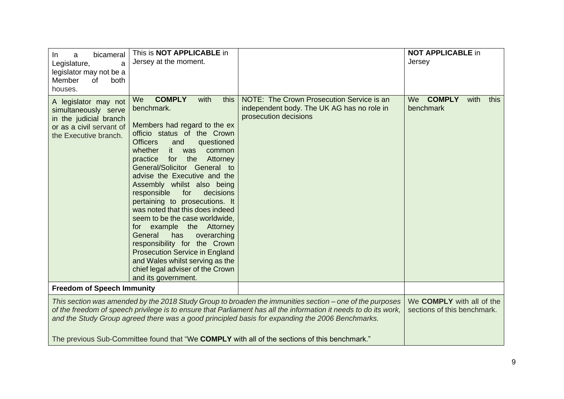| bicameral<br>In.<br>a<br>Legislature,<br>a<br>legislator may not be a<br>Member<br>of<br>both<br>houses.                                                                                                                                                                                                                                                                                                                                | This is <b>NOT APPLICABLE</b> in<br>Jersey at the moment.                                                                                                                                                                                                                                                                                                                                                                                                                                                                                                                                                                                                                                                 |                                                                                                                  | <b>NOT APPLICABLE in</b><br>Jersey               |
|-----------------------------------------------------------------------------------------------------------------------------------------------------------------------------------------------------------------------------------------------------------------------------------------------------------------------------------------------------------------------------------------------------------------------------------------|-----------------------------------------------------------------------------------------------------------------------------------------------------------------------------------------------------------------------------------------------------------------------------------------------------------------------------------------------------------------------------------------------------------------------------------------------------------------------------------------------------------------------------------------------------------------------------------------------------------------------------------------------------------------------------------------------------------|------------------------------------------------------------------------------------------------------------------|--------------------------------------------------|
| A legislator may not<br>simultaneously serve<br>in the judicial branch<br>or as a civil servant of<br>the Executive branch.                                                                                                                                                                                                                                                                                                             | <b>COMPLY</b><br>We<br>with<br>this<br>benchmark.<br>Members had regard to the ex<br>officio status of the Crown<br>and<br>questioned<br><b>Officers</b><br>whether<br>it was<br>common<br>practice<br>for the<br>Attorney<br>General/Solicitor General to<br>advise the Executive and the<br>Assembly whilst also being<br>responsible<br>for<br>decisions<br>pertaining to prosecutions. It<br>was noted that this does indeed<br>seem to be the case worldwide,<br>the Attorney<br>for example<br>General<br>overarching<br>has<br>responsibility for the Crown<br><b>Prosecution Service in England</b><br>and Wales whilst serving as the<br>chief legal adviser of the Crown<br>and its government. | NOTE: The Crown Prosecution Service is an<br>independent body. The UK AG has no role in<br>prosecution decisions | <b>COMPLY</b><br>with<br>We<br>this<br>benchmark |
| <b>Freedom of Speech Immunity</b>                                                                                                                                                                                                                                                                                                                                                                                                       |                                                                                                                                                                                                                                                                                                                                                                                                                                                                                                                                                                                                                                                                                                           |                                                                                                                  |                                                  |
| This section was amended by the 2018 Study Group to broaden the immunities section – one of the purposes<br>of the freedom of speech privilege is to ensure that Parliament has all the information it needs to do its work,<br>and the Study Group agreed there was a good principled basis for expanding the 2006 Benchmarks.<br>The previous Sub-Committee found that "We <b>COMPLY</b> with all of the sections of this benchmark." |                                                                                                                                                                                                                                                                                                                                                                                                                                                                                                                                                                                                                                                                                                           | We <b>COMPLY</b> with all of the<br>sections of this benchmark.                                                  |                                                  |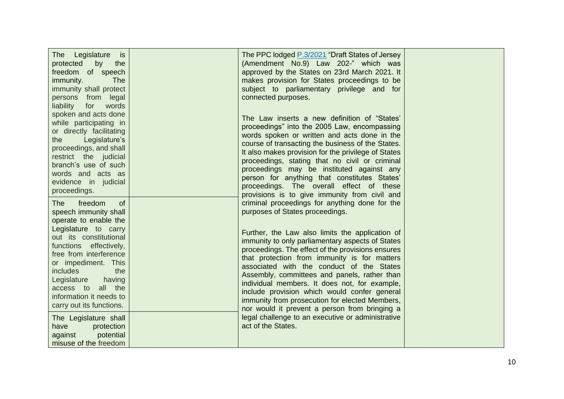| The Legislature<br>is is<br>protected<br>by<br>the<br>freedom of speech<br>immunity.<br><b>The</b><br>immunity shall protect<br>persons from legal<br>liability<br>for<br>words<br>spoken and acts done<br>while participating in<br>or directly facilitating<br>Legislature's<br>the<br>proceedings, and shall<br>restrict the judicial<br>branch's use of such<br>words and acts as<br>evidence in judicial<br>proceedings.                | The PPC lodged P.3/2021 "Draft States of Jersey<br>(Amendment No.9) Law 202-" which was<br>approved by the States on 23rd March 2021. It<br>makes provision for States proceedings to be<br>subject to parliamentary privilege and for<br>connected purposes.<br>The Law inserts a new definition of "States"<br>proceedings" into the 2005 Law, encompassing<br>words spoken or written and acts done in the<br>course of transacting the business of the States.<br>It also makes provision for the privilege of States<br>proceedings, stating that no civil or criminal<br>proceedings may be instituted against any<br>person for anything that constitutes States'<br>proceedings. The overall effect of these<br>provisions is to give immunity from civil and |  |
|----------------------------------------------------------------------------------------------------------------------------------------------------------------------------------------------------------------------------------------------------------------------------------------------------------------------------------------------------------------------------------------------------------------------------------------------|-----------------------------------------------------------------------------------------------------------------------------------------------------------------------------------------------------------------------------------------------------------------------------------------------------------------------------------------------------------------------------------------------------------------------------------------------------------------------------------------------------------------------------------------------------------------------------------------------------------------------------------------------------------------------------------------------------------------------------------------------------------------------|--|
| freedom<br><b>The</b><br><b>of</b><br>speech immunity shall<br>operate to enable the<br>Legislature to carry<br>out its constitutional<br>functions effectively,<br>free from interference<br>or impediment. This<br>includes<br>the<br>Legislature<br>having<br>access to<br>all the<br>information it needs to<br>carry out its functions.<br>The Legislature shall<br>have<br>protection<br>against<br>potential<br>misuse of the freedom | criminal proceedings for anything done for the<br>purposes of States proceedings.<br>Further, the Law also limits the application of<br>immunity to only parliamentary aspects of States<br>proceedings. The effect of the provisions ensures<br>that protection from immunity is for matters<br>associated with the conduct of the States<br>Assembly, committees and panels, rather than<br>individual members. It does not, for example,<br>include provision which would confer general<br>immunity from prosecution for elected Members,<br>nor would it prevent a person from bringing a<br>legal challenge to an executive or administrative<br>act of the States.                                                                                             |  |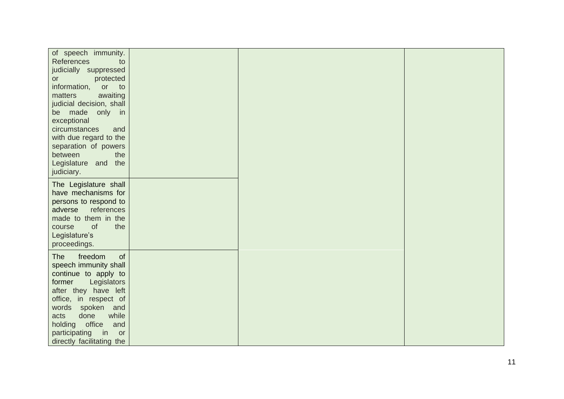| of speech immunity.                             |  |  |
|-------------------------------------------------|--|--|
| <b>References</b><br>to                         |  |  |
| judicially suppressed                           |  |  |
| protected<br>or                                 |  |  |
| information,<br>or to                           |  |  |
| awaiting<br>matters                             |  |  |
| judicial decision, shall                        |  |  |
| be made<br>only in                              |  |  |
| exceptional                                     |  |  |
| circumstances<br>and                            |  |  |
| with due regard to the                          |  |  |
| separation of powers                            |  |  |
| between<br>the                                  |  |  |
| Legislature<br>and the                          |  |  |
| judiciary.                                      |  |  |
| The Legislature shall                           |  |  |
| have mechanisms for                             |  |  |
| persons to respond to                           |  |  |
| references<br>adverse                           |  |  |
| made to them in the                             |  |  |
| <b>of</b><br>the<br>course                      |  |  |
| Legislature's                                   |  |  |
| proceedings.                                    |  |  |
|                                                 |  |  |
| freedom<br><b>The</b><br><b>of</b>              |  |  |
| speech immunity shall                           |  |  |
| continue to apply to                            |  |  |
| Legislators<br>former                           |  |  |
| after they have left                            |  |  |
| office, in respect of                           |  |  |
| words<br>spoken and<br>done<br>while            |  |  |
| acts<br>holding office                          |  |  |
| and                                             |  |  |
| participating<br>$\overline{\mathsf{in}}$<br>or |  |  |
| directly facilitating the                       |  |  |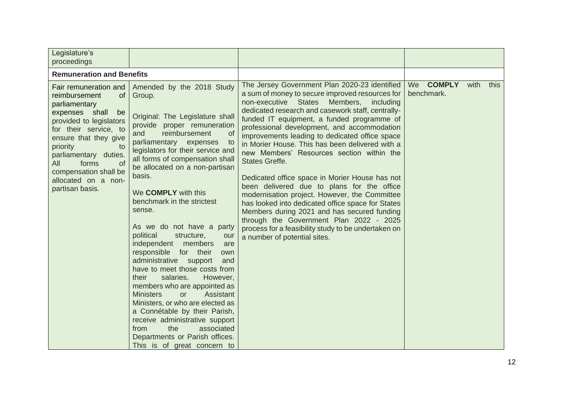| Legislature's<br>proceedings                                                                                                                                                                                                                                                                           |                                                                                                                                                                                                                                                                                                                                                                                                                                                                                                                                                                                                                                                                                                                                                                                                                                                                                                 |                                                                                                                                                                                                                                                                                                                                                                                                                                                                                                                                                                                                                                                                                                                                                                                                                                                                 |                                   |      |      |
|--------------------------------------------------------------------------------------------------------------------------------------------------------------------------------------------------------------------------------------------------------------------------------------------------------|-------------------------------------------------------------------------------------------------------------------------------------------------------------------------------------------------------------------------------------------------------------------------------------------------------------------------------------------------------------------------------------------------------------------------------------------------------------------------------------------------------------------------------------------------------------------------------------------------------------------------------------------------------------------------------------------------------------------------------------------------------------------------------------------------------------------------------------------------------------------------------------------------|-----------------------------------------------------------------------------------------------------------------------------------------------------------------------------------------------------------------------------------------------------------------------------------------------------------------------------------------------------------------------------------------------------------------------------------------------------------------------------------------------------------------------------------------------------------------------------------------------------------------------------------------------------------------------------------------------------------------------------------------------------------------------------------------------------------------------------------------------------------------|-----------------------------------|------|------|
| <b>Remuneration and Benefits</b>                                                                                                                                                                                                                                                                       |                                                                                                                                                                                                                                                                                                                                                                                                                                                                                                                                                                                                                                                                                                                                                                                                                                                                                                 |                                                                                                                                                                                                                                                                                                                                                                                                                                                                                                                                                                                                                                                                                                                                                                                                                                                                 |                                   |      |      |
| Fair remuneration and<br>reimbursement<br>of<br>parliamentary<br>expenses shall<br>be<br>provided to legislators<br>for their service, to<br>ensure that they give<br>priority<br>to<br>parliamentary duties.<br>forms<br>All<br>0f<br>compensation shall be<br>allocated on a non-<br>partisan basis. | Amended by the 2018 Study<br>Group.<br>Original: The Legislature shall<br>provide proper remuneration<br>reimbursement<br>and<br><sub>of</sub><br>parliamentary expenses<br>to<br>legislators for their service and<br>all forms of compensation shall<br>be allocated on a non-partisan<br>basis.<br>We <b>COMPLY</b> with this<br>benchmark in the strictest<br>sense.<br>As we do not have a party<br>political<br>structure,<br>our<br>independent members<br>are<br>responsible<br>for their<br>own<br>administrative support<br>and<br>have to meet those costs from<br>their<br>salaries.<br>However,<br>members who are appointed as<br><b>Ministers</b><br>Assistant<br><b>or</b><br>Ministers, or who are elected as<br>a Connétable by their Parish,<br>receive administrative support<br>the<br>associated<br>from<br>Departments or Parish offices.<br>This is of great concern to | The Jersey Government Plan 2020-23 identified<br>a sum of money to secure improved resources for<br>non-executive States Members, including<br>dedicated research and casework staff, centrally-<br>funded IT equipment, a funded programme of<br>professional development, and accommodation<br>improvements leading to dedicated office space<br>in Morier House. This has been delivered with a<br>new Members' Resources section within the<br><b>States Greffe.</b><br>Dedicated office space in Morier House has not<br>been delivered due to plans for the office<br>modernisation project. However, the Committee<br>has looked into dedicated office space for States<br>Members during 2021 and has secured funding<br>through the Government Plan 2022 - 2025<br>process for a feasibility study to be undertaken on<br>a number of potential sites. | <b>COMPLY</b><br>We<br>benchmark. | with | this |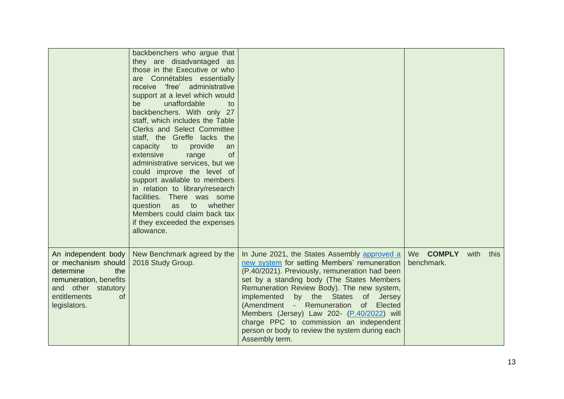|                                                                                                                                                              | backbenchers who argue that<br>they are disadvantaged as<br>those in the Executive or who<br>are Connétables essentially<br>receive 'free' administrative<br>support at a level which would<br>unaffordable<br>be<br>to<br>backbenchers. With only 27<br>staff, which includes the Table<br>Clerks and Select Committee<br>staff, the Greffe lacks the<br>capacity to provide<br>an<br>extensive<br><b>of</b><br>range<br>administrative services, but we<br>could improve the level of<br>support available to members<br>in relation to library/research<br>facilities. There was some<br>question<br>as<br>to<br>whether<br>Members could claim back tax<br>if they exceeded the expenses<br>allowance. |                                                                                                                                                                                                                                                                                                                                                                                                                                                                                                    |                         |      |      |
|--------------------------------------------------------------------------------------------------------------------------------------------------------------|------------------------------------------------------------------------------------------------------------------------------------------------------------------------------------------------------------------------------------------------------------------------------------------------------------------------------------------------------------------------------------------------------------------------------------------------------------------------------------------------------------------------------------------------------------------------------------------------------------------------------------------------------------------------------------------------------------|----------------------------------------------------------------------------------------------------------------------------------------------------------------------------------------------------------------------------------------------------------------------------------------------------------------------------------------------------------------------------------------------------------------------------------------------------------------------------------------------------|-------------------------|------|------|
| An independent body<br>or mechanism should<br>determine<br>the<br>remuneration, benefits<br>and other statutory<br>entitlements<br><b>of</b><br>legislators. | New Benchmark agreed by the<br>2018 Study Group.                                                                                                                                                                                                                                                                                                                                                                                                                                                                                                                                                                                                                                                           | In June 2021, the States Assembly approved a<br>new system for setting Members' remuneration<br>(P.40/2021). Previously, remuneration had been<br>set by a standing body (The States Members<br>Remuneration Review Body). The new system,<br>by the States of Jersey<br>implemented<br>(Amendment - Remuneration<br>of b<br>Elected<br>Members (Jersey) Law 202- (P.40/2022) will<br>charge PPC to commission an independent<br>person or body to review the system during each<br>Assembly term. | We COMPLY<br>benchmark. | with | this |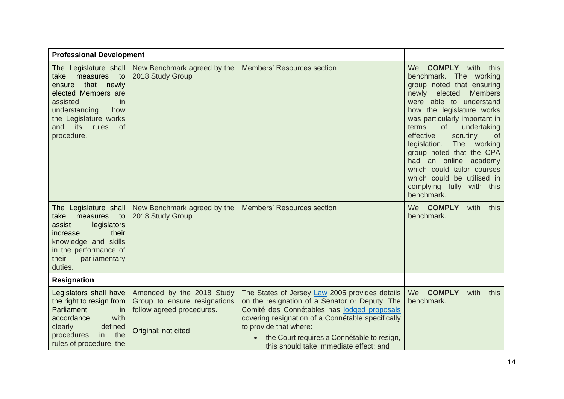| <b>Professional Development</b>                                                                                                                                                                                            |                                                                                                               |                                                                                                                                                                                                                                                                                                                        |                                                                                                                                                                                                                                                                                                                                                                                                                                                                                                     |
|----------------------------------------------------------------------------------------------------------------------------------------------------------------------------------------------------------------------------|---------------------------------------------------------------------------------------------------------------|------------------------------------------------------------------------------------------------------------------------------------------------------------------------------------------------------------------------------------------------------------------------------------------------------------------------|-----------------------------------------------------------------------------------------------------------------------------------------------------------------------------------------------------------------------------------------------------------------------------------------------------------------------------------------------------------------------------------------------------------------------------------------------------------------------------------------------------|
| The Legislature shall<br>take<br>measures<br>to<br>that newly<br>ensure<br>elected Members are<br>assisted<br><i>in</i><br>understanding<br>how<br>the Legislature works<br>its<br>rules<br>and<br><b>of</b><br>procedure. | New Benchmark agreed by the<br>2018 Study Group                                                               | <b>Members' Resources section</b>                                                                                                                                                                                                                                                                                      | <b>COMPLY</b> with this<br>We<br>benchmark. The working<br>group noted that ensuring<br><b>Members</b><br>elected<br>newly<br>were able to understand<br>how the legislature works<br>was particularly important in<br>terms<br>of<br>undertaking<br>effective<br>scrutiny<br><sub>of</sub><br><b>The</b><br>legislation.<br>working<br>group noted that the CPA<br>had an online academy<br>which could tailor courses<br>which could be utilised in<br>complying fully<br>with this<br>benchmark. |
| The Legislature shall<br>take<br>measures<br>to<br>legislators<br>assist<br>their<br>increase<br>knowledge and skills<br>in the performance of<br>their<br>parliamentary<br>duties.                                        | New Benchmark agreed by the<br>2018 Study Group                                                               | <b>Members' Resources section</b>                                                                                                                                                                                                                                                                                      | We COMPLY<br>with<br>this<br>benchmark.                                                                                                                                                                                                                                                                                                                                                                                                                                                             |
| <b>Resignation</b>                                                                                                                                                                                                         |                                                                                                               |                                                                                                                                                                                                                                                                                                                        |                                                                                                                                                                                                                                                                                                                                                                                                                                                                                                     |
| Legislators shall have<br>the right to resign from<br>Parliament<br>in<br>accordance<br>with<br>defined<br>clearly<br>procedures<br>the<br>in l<br>rules of procedure, the                                                 | Amended by the 2018 Study<br>Group to ensure resignations<br>follow agreed procedures.<br>Original: not cited | The States of Jersey Law 2005 provides details<br>on the resignation of a Senator or Deputy. The<br>Comité des Connétables has lodged proposals<br>covering resignation of a Connétable specifically<br>to provide that where:<br>the Court requires a Connétable to resign,<br>this should take immediate effect; and | <b>COMPLY</b><br>We<br>with<br>this<br>benchmark.                                                                                                                                                                                                                                                                                                                                                                                                                                                   |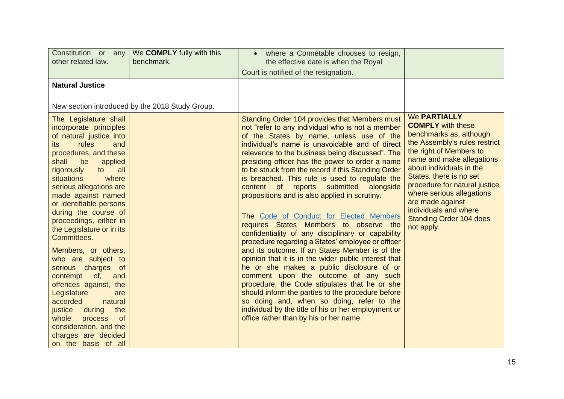| Constitution or any<br>other related law.                                                                                                                                                                                                                                                                        | We <b>COMPLY</b> fully with this<br>benchmark.  | where a Connétable chooses to resign,<br>$\bullet$<br>the effective date is when the Royal<br>Court is notified of the resignation.                                                                                                                                                                                                                                                                                                                                                                                                                     |                                                                                                                                                                                                                                                                                                         |
|------------------------------------------------------------------------------------------------------------------------------------------------------------------------------------------------------------------------------------------------------------------------------------------------------------------|-------------------------------------------------|---------------------------------------------------------------------------------------------------------------------------------------------------------------------------------------------------------------------------------------------------------------------------------------------------------------------------------------------------------------------------------------------------------------------------------------------------------------------------------------------------------------------------------------------------------|---------------------------------------------------------------------------------------------------------------------------------------------------------------------------------------------------------------------------------------------------------------------------------------------------------|
| <b>Natural Justice</b><br>The Legislature shall<br>incorporate principles<br>of natural justice into                                                                                                                                                                                                             | New section introduced by the 2018 Study Group. | Standing Order 104 provides that Members must<br>not "refer to any individual who is not a member<br>of the States by name, unless use of the                                                                                                                                                                                                                                                                                                                                                                                                           | <b>We PARTIALLY</b><br><b>COMPLY</b> with these<br>benchmarks as, although                                                                                                                                                                                                                              |
| <b>rules</b><br>and<br>its<br>procedures, and these<br>shall<br>be<br>applied<br>all<br>rigorously<br>to<br><b>situations</b><br>where<br>serious allegations are<br>made against named<br>or identifiable persons<br>during the course of<br>proceedings, either in<br>the Legislature or in its<br>Committees. |                                                 | individual's name is unavoidable and of direct<br>relevance to the business being discussed". The<br>presiding officer has the power to order a name<br>to be struck from the record if this Standing Order<br>is breached. This rule is used to regulate the<br>content of reports submitted alongside<br>propositions and is also applied in scrutiny.<br>The Code of Conduct for Elected Members<br>requires States Members to observe the<br>confidentiality of any disciplinary or capability<br>procedure regarding a States' employee or officer | the Assembly's rules restrict<br>the right of Members to<br>name and make allegations<br>about individuals in the<br>States, there is no set<br>procedure for natural justice<br>where serious allegations<br>are made against<br>individuals and where<br><b>Standing Order 104 does</b><br>not apply. |
| Members, or others,<br>who are subject to<br>serious charges of<br>contempt of,<br>and<br>offences against, the<br>Legislature<br>are<br>accorded<br>natural<br>justice<br>the<br>during<br>whole<br>process<br><b>of</b><br>consideration, and the<br>charges are decided<br>on the basis of all                |                                                 | and its outcome. If an States Member is of the<br>opinion that it is in the wider public interest that<br>he or she makes a public disclosure of or<br>comment upon the outcome of any such<br>procedure, the Code stipulates that he or she<br>should inform the parties to the procedure before<br>so doing and, when so doing, refer to the<br>individual by the title of his or her employment or<br>office rather than by his or her name.                                                                                                         |                                                                                                                                                                                                                                                                                                         |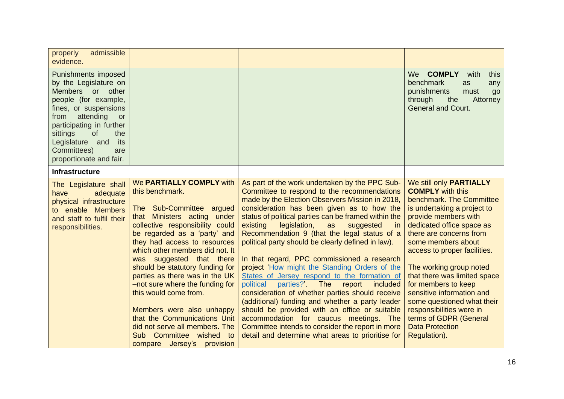| admissible<br>properly<br>evidence.                                                                                                                                                                                                                                                 |                                                                                                                                                                                                                                                                                                                                                                                                                                                                                                                                                                   |                                                                                                                                                                                                                                                                                                                                                                                                                                                                                                                                                                                                                                                                                                                                                                                                                                                                                                                              |                                                                                                                                                                                                                                                                                                                                                                                                                                                                                                  |
|-------------------------------------------------------------------------------------------------------------------------------------------------------------------------------------------------------------------------------------------------------------------------------------|-------------------------------------------------------------------------------------------------------------------------------------------------------------------------------------------------------------------------------------------------------------------------------------------------------------------------------------------------------------------------------------------------------------------------------------------------------------------------------------------------------------------------------------------------------------------|------------------------------------------------------------------------------------------------------------------------------------------------------------------------------------------------------------------------------------------------------------------------------------------------------------------------------------------------------------------------------------------------------------------------------------------------------------------------------------------------------------------------------------------------------------------------------------------------------------------------------------------------------------------------------------------------------------------------------------------------------------------------------------------------------------------------------------------------------------------------------------------------------------------------------|--------------------------------------------------------------------------------------------------------------------------------------------------------------------------------------------------------------------------------------------------------------------------------------------------------------------------------------------------------------------------------------------------------------------------------------------------------------------------------------------------|
| <b>Punishments imposed</b><br>by the Legislature on<br>Members or other<br>people (for example,<br>fines, or suspensions<br>attending<br>from<br>or<br>participating in further<br>sittings<br>of<br>the<br>Legislature and<br>its<br>Committees)<br>are<br>proportionate and fair. |                                                                                                                                                                                                                                                                                                                                                                                                                                                                                                                                                                   |                                                                                                                                                                                                                                                                                                                                                                                                                                                                                                                                                                                                                                                                                                                                                                                                                                                                                                                              | We<br><b>COMPLY</b><br>with<br>this<br>benchmark<br>as<br>any<br>punishments<br>must<br>go<br>through<br>the<br>Attorney<br><b>General and Court.</b>                                                                                                                                                                                                                                                                                                                                            |
| <b>Infrastructure</b>                                                                                                                                                                                                                                                               |                                                                                                                                                                                                                                                                                                                                                                                                                                                                                                                                                                   |                                                                                                                                                                                                                                                                                                                                                                                                                                                                                                                                                                                                                                                                                                                                                                                                                                                                                                                              |                                                                                                                                                                                                                                                                                                                                                                                                                                                                                                  |
| The Legislature shall<br>adequate<br>have<br>physical infrastructure<br>enable Members<br>to<br>and staff to fulfil their<br>responsibilities.                                                                                                                                      | We PARTIALLY COMPLY with<br>this benchmark.<br>The Sub-Committee argued<br>that Ministers acting under<br>collective responsibility could<br>be regarded as a 'party' and<br>they had access to resources<br>which other members did not. It<br>was suggested that there<br>should be statutory funding for<br>parties as there was in the UK<br>-not sure where the funding for<br>this would come from.<br>Members were also unhappy<br>that the Communications Unit<br>did not serve all members. The<br>Sub Committee wished to<br>compare Jersey's provision | As part of the work undertaken by the PPC Sub-<br>Committee to respond to the recommendations<br>made by the Election Observers Mission in 2018,<br>consideration has been given as to how the<br>status of political parties can be framed within the<br>existing<br>legislation,<br>suggested<br>as<br>in<br>Recommendation 9 (that the legal status of a<br>political party should be clearly defined in law).<br>In that regard, PPC commissioned a research<br>project 'How might the Standing Orders of the<br>States of Jersey respond to the formation of<br>political parties?' The<br>report<br>included<br>consideration of whether parties should receive<br>(additional) funding and whether a party leader<br>should be provided with an office or suitable<br>accommodation for caucus meetings. The<br>Committee intends to consider the report in more<br>detail and determine what areas to prioritise for | We still only PARTIALLY<br><b>COMPLY</b> with this<br>benchmark. The Committee<br>is undertaking a project to<br>provide members with<br>dedicated office space as<br>there are concerns from<br>some members about<br>access to proper facilities.<br>The working group noted<br>that there was limited space<br>for members to keep<br>sensitive information and<br>some questioned what their<br>responsibilities were in<br>terms of GDPR (General<br><b>Data Protection</b><br>Regulation). |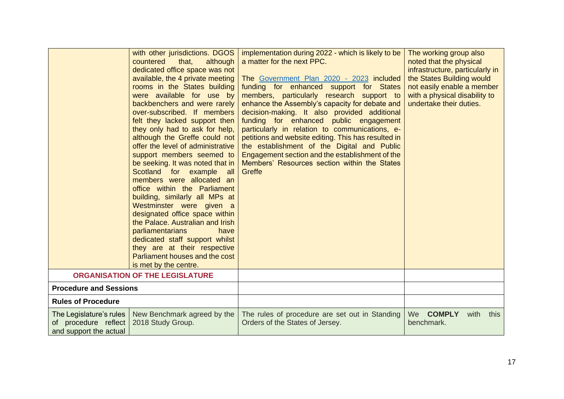|                                                                           | with other jurisdictions. DGOS  <br>countered<br>that,<br>although<br>dedicated office space was not<br>available, the 4 private meeting<br>rooms in the States building<br>were available for use by<br>backbenchers and were rarely<br>over-subscribed. If members<br>felt they lacked support then<br>they only had to ask for help,<br>although the Greffe could not<br>offer the level of administrative<br>support members seemed to<br>be seeking. It was noted that in<br>Scotland<br>for example<br>all<br>members were allocated an<br>office within the Parliament<br>building, similarly all MPs at<br>Westminster were given a<br>designated office space within<br>the Palace. Australian and Irish<br>parliamentarians<br>have<br>dedicated staff support whilst<br>they are at their respective<br>Parliament houses and the cost<br>is met by the centre. | implementation during 2022 - which is likely to be<br>a matter for the next PPC.<br>The Government Plan 2020 - 2023 included<br>funding for enhanced support for States<br>members, particularly research support to<br>enhance the Assembly's capacity for debate and<br>decision-making. It also provided additional<br>funding for enhanced public engagement<br>particularly in relation to communications, e-<br>petitions and website editing. This has resulted in<br>the establishment of the Digital and Public<br>Engagement section and the establishment of the<br>Members' Resources section within the States<br>Greffe | The working group also<br>noted that the physical<br>infrastructure, particularly in<br>the States Building would<br>not easily enable a member<br>with a physical disability to<br>undertake their duties. |
|---------------------------------------------------------------------------|----------------------------------------------------------------------------------------------------------------------------------------------------------------------------------------------------------------------------------------------------------------------------------------------------------------------------------------------------------------------------------------------------------------------------------------------------------------------------------------------------------------------------------------------------------------------------------------------------------------------------------------------------------------------------------------------------------------------------------------------------------------------------------------------------------------------------------------------------------------------------|---------------------------------------------------------------------------------------------------------------------------------------------------------------------------------------------------------------------------------------------------------------------------------------------------------------------------------------------------------------------------------------------------------------------------------------------------------------------------------------------------------------------------------------------------------------------------------------------------------------------------------------|-------------------------------------------------------------------------------------------------------------------------------------------------------------------------------------------------------------|
|                                                                           | <b>ORGANISATION OF THE LEGISLATURE</b>                                                                                                                                                                                                                                                                                                                                                                                                                                                                                                                                                                                                                                                                                                                                                                                                                                     |                                                                                                                                                                                                                                                                                                                                                                                                                                                                                                                                                                                                                                       |                                                                                                                                                                                                             |
| <b>Procedure and Sessions</b>                                             |                                                                                                                                                                                                                                                                                                                                                                                                                                                                                                                                                                                                                                                                                                                                                                                                                                                                            |                                                                                                                                                                                                                                                                                                                                                                                                                                                                                                                                                                                                                                       |                                                                                                                                                                                                             |
| <b>Rules of Procedure</b>                                                 |                                                                                                                                                                                                                                                                                                                                                                                                                                                                                                                                                                                                                                                                                                                                                                                                                                                                            |                                                                                                                                                                                                                                                                                                                                                                                                                                                                                                                                                                                                                                       |                                                                                                                                                                                                             |
| The Legislature's rules<br>of procedure reflect<br>and support the actual | New Benchmark agreed by the<br>2018 Study Group.                                                                                                                                                                                                                                                                                                                                                                                                                                                                                                                                                                                                                                                                                                                                                                                                                           | The rules of procedure are set out in Standing<br>Orders of the States of Jersey.                                                                                                                                                                                                                                                                                                                                                                                                                                                                                                                                                     | We COMPLY<br>with<br>this<br>benchmark.                                                                                                                                                                     |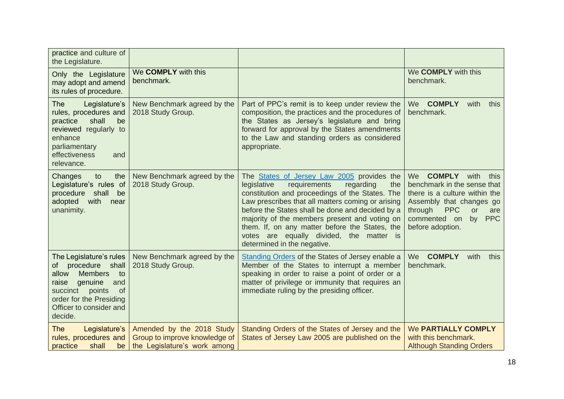| practice and culture of<br>the Legislature.                                                                                                                                                                      |                                                                                            |                                                                                                                                                                                                                                                                                                                                                                                                                                         |                                                                                                                                                                                                                               |
|------------------------------------------------------------------------------------------------------------------------------------------------------------------------------------------------------------------|--------------------------------------------------------------------------------------------|-----------------------------------------------------------------------------------------------------------------------------------------------------------------------------------------------------------------------------------------------------------------------------------------------------------------------------------------------------------------------------------------------------------------------------------------|-------------------------------------------------------------------------------------------------------------------------------------------------------------------------------------------------------------------------------|
| Only the Legislature<br>may adopt and amend<br>its rules of procedure.                                                                                                                                           | We COMPLY with this<br>benchmark.                                                          |                                                                                                                                                                                                                                                                                                                                                                                                                                         | We COMPLY with this<br>benchmark.                                                                                                                                                                                             |
| The<br>Legislature's<br>rules, procedures and<br>shall<br>be<br>practice<br>reviewed regularly to<br>enhance<br>parliamentary<br>effectiveness<br>and<br>relevance.                                              | New Benchmark agreed by the<br>2018 Study Group.                                           | Part of PPC's remit is to keep under review the<br>composition, the practices and the procedures of<br>the States as Jersey's legislature and bring<br>forward for approval by the States amendments<br>to the Law and standing orders as considered<br>appropriate.                                                                                                                                                                    | <b>COMPLY</b><br><b>We</b><br>with<br>this<br>benchmark.                                                                                                                                                                      |
| Changes<br>to<br>the<br>Legislature's rules of<br>procedure<br>shall<br>be<br>adopted<br>with<br>near<br>unanimity.                                                                                              | New Benchmark agreed by the<br>2018 Study Group.                                           | The States of Jersey Law 2005 provides the<br>requirements<br>legislative<br>regarding<br>the<br>constitution and proceedings of the States. The<br>Law prescribes that all matters coming or arising<br>before the States shall be done and decided by a<br>majority of the members present and voting on<br>them. If, on any matter before the States, the<br>votes are equally divided, the matter is<br>determined in the negative. | <b>COMPLY</b><br>We<br>with<br>this<br>benchmark in the sense that<br>there is a culture within the<br>Assembly that changes go<br>through<br><b>PPC</b><br>or<br>are<br>commented on<br><b>PPC</b><br>by<br>before adoption. |
| The Legislature's rules<br>procedure shall<br>of<br><b>Members</b><br>allow<br>to<br>genuine<br>raise<br>and<br>succinct<br>points<br><b>of</b><br>order for the Presiding<br>Officer to consider and<br>decide. | New Benchmark agreed by the<br>2018 Study Group.                                           | Standing Orders of the States of Jersey enable a<br>Member of the States to interrupt a member<br>speaking in order to raise a point of order or a<br>matter of privilege or immunity that requires an<br>immediate ruling by the presiding officer.                                                                                                                                                                                    | <b>COMPLY</b><br><b>We</b><br>with<br>this<br>benchmark.                                                                                                                                                                      |
| <b>The</b><br>Legislature's<br>rules, procedures and<br>practice<br>shall<br>be                                                                                                                                  | Amended by the 2018 Study<br>Group to improve knowledge of<br>the Legislature's work among | Standing Orders of the States of Jersey and the<br>States of Jersey Law 2005 are published on the                                                                                                                                                                                                                                                                                                                                       | <b>We PARTIALLY COMPLY</b><br>with this benchmark.<br><b>Although Standing Orders</b>                                                                                                                                         |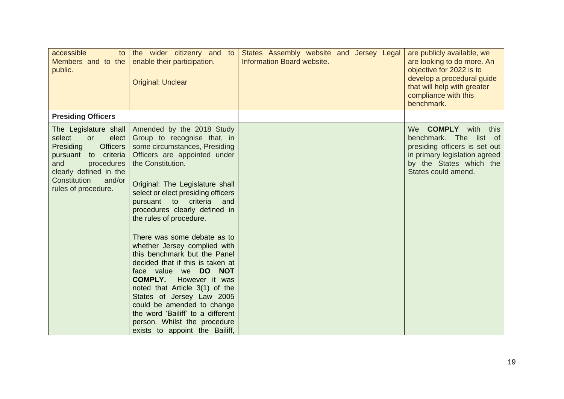| accessible<br>to<br>Members and to the<br>public.                                                                                                                                                             | the wider citizenry and to<br>enable their participation.<br><b>Original: Unclear</b>                                                                                                                                                                                                                                                                                                                                                                                                                                                                                                                                                                                                                                          | States Assembly website and Jersey Legal<br>Information Board website. | are publicly available, we<br>are looking to do more. An<br>objective for 2022 is to<br>develop a procedural guide<br>that will help with greater<br>compliance with this<br>benchmark. |
|---------------------------------------------------------------------------------------------------------------------------------------------------------------------------------------------------------------|--------------------------------------------------------------------------------------------------------------------------------------------------------------------------------------------------------------------------------------------------------------------------------------------------------------------------------------------------------------------------------------------------------------------------------------------------------------------------------------------------------------------------------------------------------------------------------------------------------------------------------------------------------------------------------------------------------------------------------|------------------------------------------------------------------------|-----------------------------------------------------------------------------------------------------------------------------------------------------------------------------------------|
| <b>Presiding Officers</b>                                                                                                                                                                                     |                                                                                                                                                                                                                                                                                                                                                                                                                                                                                                                                                                                                                                                                                                                                |                                                                        |                                                                                                                                                                                         |
| The Legislature shall<br>elect<br>select<br><b>or</b><br><b>Officers</b><br>Presiding<br>pursuant to criteria<br>procedures<br>and<br>clearly defined in the<br>and/or<br>Constitution<br>rules of procedure. | Amended by the 2018 Study<br>Group to recognise that, in<br>some circumstances, Presiding<br>Officers are appointed under<br>the Constitution.<br>Original: The Legislature shall<br>select or elect presiding officers<br>criteria<br>pursuant<br>to<br>and<br>procedures clearly defined in<br>the rules of procedure.<br>There was some debate as to<br>whether Jersey complied with<br>this benchmark but the Panel<br>decided that if this is taken at<br>DO NOT<br>face value we<br><b>COMPLY.</b><br>However it was<br>noted that Article 3(1) of the<br>States of Jersey Law 2005<br>could be amended to change<br>the word 'Bailiff' to a different<br>person. Whilst the procedure<br>exists to appoint the Bailiff, |                                                                        | <b>COMPLY</b><br>with<br>We l<br>this<br>benchmark. The list of<br>presiding officers is set out<br>in primary legislation agreed<br>by the States which the<br>States could amend.     |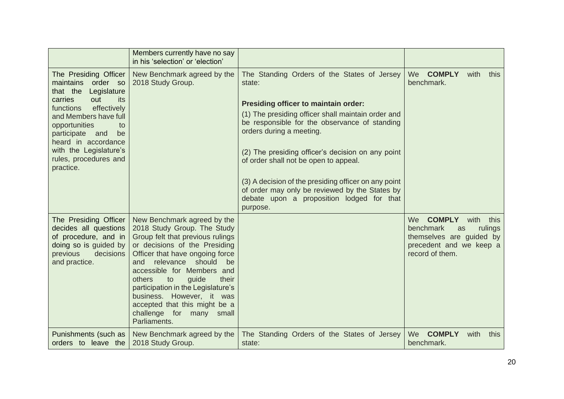|                                                                                                                                                                                                                                                                                                   | Members currently have no say<br>in his 'selection' or 'election'                                                                                                                                                                                                                                                                                                                                                   |                                                                                                                                                                                                                                                                                                                                                                                                                                                                                                          |                                                                                                                                             |
|---------------------------------------------------------------------------------------------------------------------------------------------------------------------------------------------------------------------------------------------------------------------------------------------------|---------------------------------------------------------------------------------------------------------------------------------------------------------------------------------------------------------------------------------------------------------------------------------------------------------------------------------------------------------------------------------------------------------------------|----------------------------------------------------------------------------------------------------------------------------------------------------------------------------------------------------------------------------------------------------------------------------------------------------------------------------------------------------------------------------------------------------------------------------------------------------------------------------------------------------------|---------------------------------------------------------------------------------------------------------------------------------------------|
| The Presiding Officer<br>maintains<br>order so<br>that the<br>Legislature<br>out<br>carries<br>its<br>effectively<br>functions<br>and Members have full<br>opportunities<br>to<br>participate<br>and<br>be<br>heard in accordance<br>with the Legislature's<br>rules, procedures and<br>practice. | New Benchmark agreed by the<br>2018 Study Group.                                                                                                                                                                                                                                                                                                                                                                    | The Standing Orders of the States of Jersey<br>state:<br><b>Presiding officer to maintain order:</b><br>(1) The presiding officer shall maintain order and<br>be responsible for the observance of standing<br>orders during a meeting.<br>(2) The presiding officer's decision on any point<br>of order shall not be open to appeal.<br>(3) A decision of the presiding officer on any point<br>of order may only be reviewed by the States by<br>debate upon a proposition lodged for that<br>purpose. | We COMPLY<br>with<br>this<br>benchmark.                                                                                                     |
| The Presiding Officer<br>decides all questions<br>of procedure, and in<br>doing so is guided by<br>decisions<br>previous<br>and practice.                                                                                                                                                         | New Benchmark agreed by the<br>2018 Study Group. The Study<br>Group felt that previous rulings<br>or decisions of the Presiding<br>Officer that have ongoing force<br>relevance should<br>be<br>and<br>accessible for Members and<br>others<br>guide<br>their<br>to<br>participation in the Legislature's<br>business. However, it was<br>accepted that this might be a<br>challenge for many small<br>Parliaments. |                                                                                                                                                                                                                                                                                                                                                                                                                                                                                                          | <b>COMPLY</b><br>We<br>with<br>this<br>benchmark<br>rulings<br>as<br>themselves are guided by<br>precedent and we keep a<br>record of them. |
| Punishments (such as<br>orders to leave the                                                                                                                                                                                                                                                       | New Benchmark agreed by the<br>2018 Study Group.                                                                                                                                                                                                                                                                                                                                                                    | The Standing Orders of the States of Jersey<br>state:                                                                                                                                                                                                                                                                                                                                                                                                                                                    | We COMPLY<br>with<br>this<br>benchmark.                                                                                                     |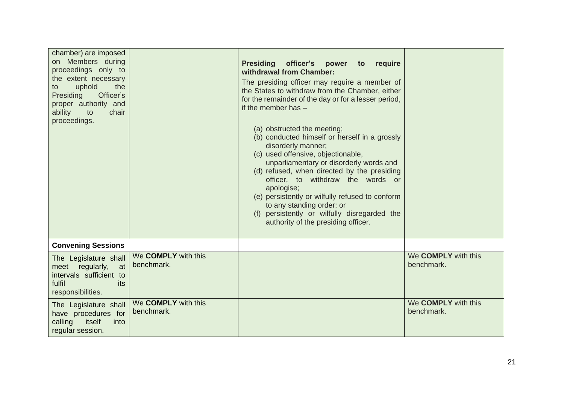| chamber) are imposed<br>on Members during<br>proceedings only to<br>the extent necessary<br>uphold<br>the<br>to<br>Presiding<br>Officer's<br>proper authority and<br>ability<br>to<br>chair<br>proceedings. |                                   | <b>Presiding</b><br>officer's<br>power<br>require<br>to<br>withdrawal from Chamber:<br>The presiding officer may require a member of<br>the States to withdraw from the Chamber, either<br>for the remainder of the day or for a lesser period,<br>if the member has $-$<br>(a) obstructed the meeting;<br>(b) conducted himself or herself in a grossly<br>disorderly manner;<br>(c) used offensive, objectionable,<br>unparliamentary or disorderly words and<br>(d) refused, when directed by the presiding<br>officer, to withdraw the words or<br>apologise;<br>(e) persistently or wilfully refused to conform<br>to any standing order; or<br>(f) persistently or wilfully disregarded the<br>authority of the presiding officer. |                                          |
|-------------------------------------------------------------------------------------------------------------------------------------------------------------------------------------------------------------|-----------------------------------|------------------------------------------------------------------------------------------------------------------------------------------------------------------------------------------------------------------------------------------------------------------------------------------------------------------------------------------------------------------------------------------------------------------------------------------------------------------------------------------------------------------------------------------------------------------------------------------------------------------------------------------------------------------------------------------------------------------------------------------|------------------------------------------|
| <b>Convening Sessions</b>                                                                                                                                                                                   |                                   |                                                                                                                                                                                                                                                                                                                                                                                                                                                                                                                                                                                                                                                                                                                                          |                                          |
| The Legislature shall<br>meet regularly,<br>at<br>intervals sufficient to<br>fulfil<br>its<br>responsibilities.                                                                                             | We COMPLY with this<br>benchmark. |                                                                                                                                                                                                                                                                                                                                                                                                                                                                                                                                                                                                                                                                                                                                          | We <b>COMPLY</b> with this<br>benchmark. |
| The Legislature shall<br>have procedures for<br>calling<br>itself<br>into<br>regular session.                                                                                                               | We COMPLY with this<br>benchmark. |                                                                                                                                                                                                                                                                                                                                                                                                                                                                                                                                                                                                                                                                                                                                          | We <b>COMPLY</b> with this<br>benchmark. |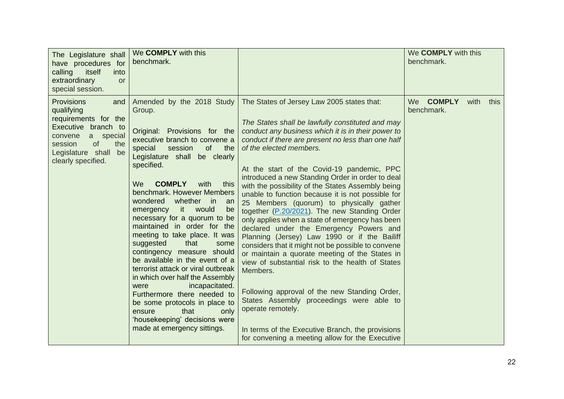| The Legislature shall<br>have procedures for<br>calling<br>itself<br>into<br>extraordinary<br><b>or</b><br>special session.                                                                | We COMPLY with this<br>benchmark.                                                                                                                                                                                                                                                                                                                                                                                                                                                                                                                                                                                                                                                                                                                                                   |                                                                                                                                                                                                                                                                                                                                                                                                                                                                                                                                                                                                                                                                                                                                                                                                                                                                                                                                                                                                                                                                                              | We <b>COMPLY</b> with this<br>benchmark. |
|--------------------------------------------------------------------------------------------------------------------------------------------------------------------------------------------|-------------------------------------------------------------------------------------------------------------------------------------------------------------------------------------------------------------------------------------------------------------------------------------------------------------------------------------------------------------------------------------------------------------------------------------------------------------------------------------------------------------------------------------------------------------------------------------------------------------------------------------------------------------------------------------------------------------------------------------------------------------------------------------|----------------------------------------------------------------------------------------------------------------------------------------------------------------------------------------------------------------------------------------------------------------------------------------------------------------------------------------------------------------------------------------------------------------------------------------------------------------------------------------------------------------------------------------------------------------------------------------------------------------------------------------------------------------------------------------------------------------------------------------------------------------------------------------------------------------------------------------------------------------------------------------------------------------------------------------------------------------------------------------------------------------------------------------------------------------------------------------------|------------------------------------------|
| <b>Provisions</b><br>and<br>qualifying<br>requirements for the<br>Executive branch to<br>convene<br>a special<br>the<br>session<br><b>of</b><br>Legislature shall be<br>clearly specified. | Amended by the 2018 Study<br>Group.<br>Original: Provisions for the<br>executive branch to convene a<br>of<br>special<br>session<br>the<br>Legislature shall be clearly<br>specified.<br><b>COMPLY</b><br>We<br>with<br>this<br>benchmark. However Members<br>wondered<br>whether in<br>an<br>it would<br>emergency<br>be<br>necessary for a quorum to be<br>maintained in order for the<br>meeting to take place. It was<br>suggested<br>that<br>some<br>contingency measure should<br>be available in the event of a<br>terrorist attack or viral outbreak<br>in which over half the Assembly<br>incapacitated.<br>were<br>Furthermore there needed to<br>be some protocols in place to<br>that<br>only<br>ensure<br>'housekeeping' decisions were<br>made at emergency sittings. | The States of Jersey Law 2005 states that:<br>The States shall be lawfully constituted and may<br>conduct any business which it is in their power to<br>conduct if there are present no less than one half<br>of the elected members.<br>At the start of the Covid-19 pandemic, PPC<br>introduced a new Standing Order in order to deal<br>with the possibility of the States Assembly being<br>unable to function because it is not possible for<br>25 Members (quorum) to physically gather<br>together (P.20/2021). The new Standing Order<br>only applies when a state of emergency has been<br>declared under the Emergency Powers and<br>Planning (Jersey) Law 1990 or if the Bailiff<br>considers that it might not be possible to convene<br>or maintain a quorate meeting of the States in<br>view of substantial risk to the health of States<br>Members.<br>Following approval of the new Standing Order,<br>States Assembly proceedings were able to<br>operate remotely.<br>In terms of the Executive Branch, the provisions<br>for convening a meeting allow for the Executive | We COMPLY<br>with<br>this<br>benchmark.  |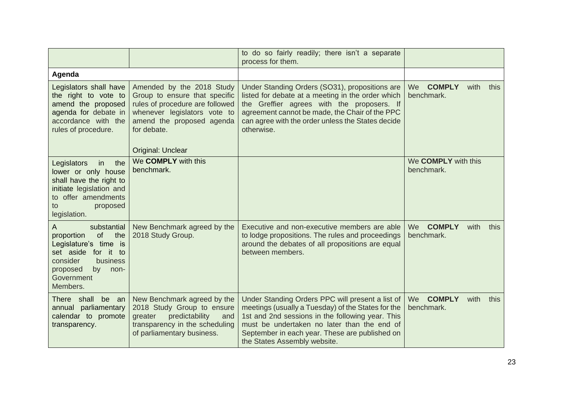|                                                                                                                                                                                      |                                                                                                                                                                                                       | to do so fairly readily; there isn't a separate<br>process for them.                                                                                                                                                                                                                        |                                                   |
|--------------------------------------------------------------------------------------------------------------------------------------------------------------------------------------|-------------------------------------------------------------------------------------------------------------------------------------------------------------------------------------------------------|---------------------------------------------------------------------------------------------------------------------------------------------------------------------------------------------------------------------------------------------------------------------------------------------|---------------------------------------------------|
| Agenda                                                                                                                                                                               |                                                                                                                                                                                                       |                                                                                                                                                                                                                                                                                             |                                                   |
| Legislators shall have<br>the right to vote to<br>amend the proposed<br>agenda for debate in<br>accordance with the<br>rules of procedure.                                           | Amended by the 2018 Study<br>Group to ensure that specific<br>rules of procedure are followed<br>whenever legislators vote to<br>amend the proposed agenda<br>for debate.<br><b>Original: Unclear</b> | Under Standing Orders (SO31), propositions are<br>listed for debate at a meeting in the order which<br>the Greffier agrees with the proposers. If<br>agreement cannot be made, the Chair of the PPC<br>can agree with the order unless the States decide<br>otherwise.                      | We COMPLY<br>with<br>this<br>benchmark.           |
| the<br>Legislators<br>in<br>lower or only house<br>shall have the right to<br>initiate legislation and<br>to offer amendments<br>proposed<br>to<br>legislation.                      | We COMPLY with this<br>benchmark.                                                                                                                                                                     |                                                                                                                                                                                                                                                                                             | We <b>COMPLY</b> with this<br>benchmark.          |
| $\overline{A}$<br>substantial<br>of<br>proportion<br>the<br>Legislature's time is<br>set aside for it to<br>consider<br>business<br>by<br>proposed<br>non-<br>Government<br>Members. | New Benchmark agreed by the<br>2018 Study Group.                                                                                                                                                      | Executive and non-executive members are able<br>to lodge propositions. The rules and proceedings<br>around the debates of all propositions are equal<br>between members.                                                                                                                    | <b>COMPLY</b><br>with<br>We<br>this<br>benchmark. |
| There shall<br>be an<br>annual parliamentary<br>calendar to promote<br>transparency.                                                                                                 | New Benchmark agreed by the<br>2018 Study Group to ensure<br>predictability<br>greater<br>and<br>transparency in the scheduling<br>of parliamentary business.                                         | Under Standing Orders PPC will present a list of<br>meetings (usually a Tuesday) of the States for the<br>1st and 2nd sessions in the following year. This<br>must be undertaken no later than the end of<br>September in each year. These are published on<br>the States Assembly website. | <b>COMPLY</b><br>We<br>with<br>this<br>benchmark. |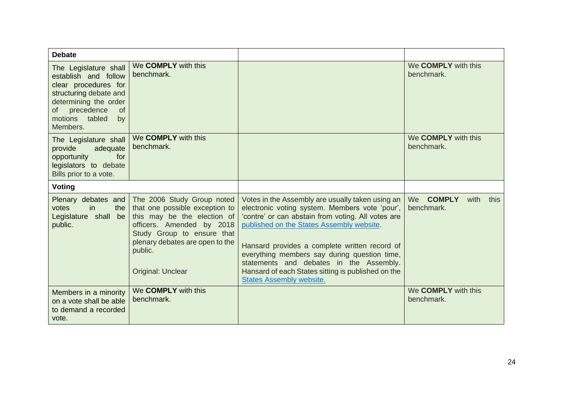| <b>Debate</b>                                                                                                                                                                                 |                                                                                                                                                                                                                           |                                                                                                                                                                                                                                                                                                                                                                                                                                            |                                          |
|-----------------------------------------------------------------------------------------------------------------------------------------------------------------------------------------------|---------------------------------------------------------------------------------------------------------------------------------------------------------------------------------------------------------------------------|--------------------------------------------------------------------------------------------------------------------------------------------------------------------------------------------------------------------------------------------------------------------------------------------------------------------------------------------------------------------------------------------------------------------------------------------|------------------------------------------|
| The Legislature shall<br>establish and follow<br>clear procedures for<br>structuring debate and<br>determining the order<br>precedence<br><b>of</b><br>0f<br>motions tabled<br>by<br>Members. | We COMPLY with this<br>benchmark.                                                                                                                                                                                         |                                                                                                                                                                                                                                                                                                                                                                                                                                            | We <b>COMPLY</b> with this<br>benchmark. |
| The Legislature shall<br>adequate<br>provide<br>opportunity<br>for<br>legislators to debate<br>Bills prior to a vote.                                                                         | We <b>COMPLY</b> with this<br>benchmark.                                                                                                                                                                                  |                                                                                                                                                                                                                                                                                                                                                                                                                                            | We <b>COMPLY</b> with this<br>benchmark. |
| <b>Voting</b>                                                                                                                                                                                 |                                                                                                                                                                                                                           |                                                                                                                                                                                                                                                                                                                                                                                                                                            |                                          |
| Plenary debates and<br>the<br>votes<br>in<br>Legislature shall be<br>public.                                                                                                                  | The 2006 Study Group noted<br>that one possible exception to<br>this may be the election of<br>officers. Amended by 2018<br>Study Group to ensure that<br>plenary debates are open to the<br>public.<br>Original: Unclear | Votes in the Assembly are usually taken using an<br>electronic voting system. Members vote 'pour',<br>'contre' or can abstain from voting. All votes are<br>published on the States Assembly website.<br>Hansard provides a complete written record of<br>everything members say during question time,<br>statements and debates in the Assembly.<br>Hansard of each States sitting is published on the<br><b>States Assembly website.</b> | We COMPLY<br>with<br>this<br>benchmark.  |
| Members in a minority<br>on a vote shall be able<br>to demand a recorded<br>vote.                                                                                                             | We <b>COMPLY</b> with this<br>benchmark.                                                                                                                                                                                  |                                                                                                                                                                                                                                                                                                                                                                                                                                            | We <b>COMPLY</b> with this<br>benchmark. |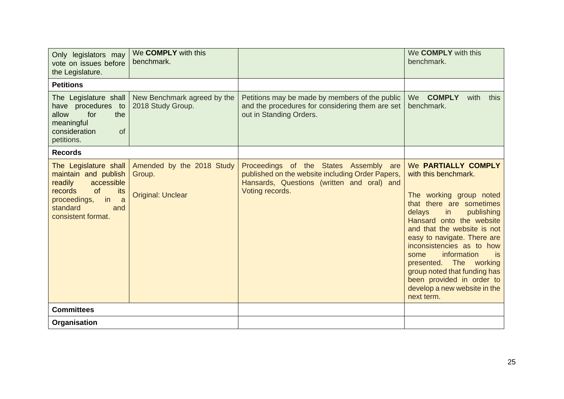| Only legislators may<br>vote on issues before<br>the Legislature.                                                                                                  | We <b>COMPLY</b> with this<br>benchmark.                        |                                                                                                                                                             | We <b>COMPLY</b> with this<br>benchmark.                                                                                                                                                                                                                                                                                                                                                                                   |
|--------------------------------------------------------------------------------------------------------------------------------------------------------------------|-----------------------------------------------------------------|-------------------------------------------------------------------------------------------------------------------------------------------------------------|----------------------------------------------------------------------------------------------------------------------------------------------------------------------------------------------------------------------------------------------------------------------------------------------------------------------------------------------------------------------------------------------------------------------------|
| <b>Petitions</b>                                                                                                                                                   |                                                                 |                                                                                                                                                             |                                                                                                                                                                                                                                                                                                                                                                                                                            |
| The Legislature shall<br>have procedures to<br>for<br>the<br>allow<br>meaningful<br>consideration<br><b>of</b><br>petitions.                                       | New Benchmark agreed by the<br>2018 Study Group.                | Petitions may be made by members of the public<br>and the procedures for considering them are set<br>out in Standing Orders.                                | We COMPLY<br>with<br>this<br>benchmark.                                                                                                                                                                                                                                                                                                                                                                                    |
| <b>Records</b>                                                                                                                                                     |                                                                 |                                                                                                                                                             |                                                                                                                                                                                                                                                                                                                                                                                                                            |
| The Legislature shall<br>maintain and publish<br>accessible<br>readily<br>records<br>of<br>its<br>proceedings,<br>in<br>a<br>standard<br>and<br>consistent format. | Amended by the 2018 Study<br>Group.<br><b>Original: Unclear</b> | Proceedings of the States Assembly are<br>published on the website including Order Papers,<br>Hansards, Questions (written and oral) and<br>Voting records. | We PARTIALLY COMPLY<br>with this benchmark.<br>The working group noted<br>that there are sometimes<br>delays<br>in<br>publishing<br>Hansard onto the website<br>and that the website is not<br>easy to navigate. There are<br>inconsistencies as to how<br>information<br>is.<br>some<br>presented. The working<br>group noted that funding has<br>been provided in order to<br>develop a new website in the<br>next term. |
| <b>Committees</b>                                                                                                                                                  |                                                                 |                                                                                                                                                             |                                                                                                                                                                                                                                                                                                                                                                                                                            |
| Organisation                                                                                                                                                       |                                                                 |                                                                                                                                                             |                                                                                                                                                                                                                                                                                                                                                                                                                            |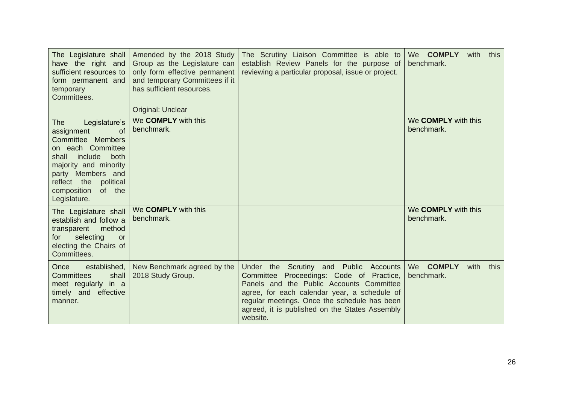| The Legislature shall<br>have the right and<br>sufficient resources to<br>form permanent and<br>temporary<br>Committees.                                                                                                                 | Amended by the 2018 Study<br>Group as the Legislature can<br>only form effective permanent<br>and temporary Committees if it<br>has sufficient resources.<br>Original: Unclear | The Scrutiny Liaison Committee is able to<br>establish Review Panels for the purpose of<br>reviewing a particular proposal, issue or project.                                                                                                                                                | We COMPLY<br>with<br>this<br>benchmark.           |
|------------------------------------------------------------------------------------------------------------------------------------------------------------------------------------------------------------------------------------------|--------------------------------------------------------------------------------------------------------------------------------------------------------------------------------|----------------------------------------------------------------------------------------------------------------------------------------------------------------------------------------------------------------------------------------------------------------------------------------------|---------------------------------------------------|
| Legislature's<br>The<br><b>of</b><br>assignment<br>Committee Members<br>on each Committee<br>include<br>both<br>shall<br>majority and minority<br>party Members and<br>reflect the<br>political<br>composition<br>of the<br>Legislature. | We COMPLY with this<br>benchmark.                                                                                                                                              |                                                                                                                                                                                                                                                                                              | We <b>COMPLY</b> with this<br>benchmark.          |
| The Legislature shall<br>establish and follow a<br>method<br>transparent<br>selecting<br>for<br><b>or</b><br>electing the Chairs of<br>Committees.                                                                                       | We COMPLY with this<br>benchmark.                                                                                                                                              |                                                                                                                                                                                                                                                                                              | We <b>COMPLY</b> with this<br>benchmark.          |
| established,<br>Once<br><b>Committees</b><br>shall<br>meet regularly in a<br>timely and effective<br>manner.                                                                                                                             | New Benchmark agreed by the<br>2018 Study Group.                                                                                                                               | Under the Scrutiny and Public Accounts<br>Committee Proceedings: Code of Practice,<br>Panels and the Public Accounts Committee<br>agree, for each calendar year, a schedule of<br>regular meetings. Once the schedule has been<br>agreed, it is published on the States Assembly<br>website. | We<br><b>COMPLY</b><br>with<br>this<br>benchmark. |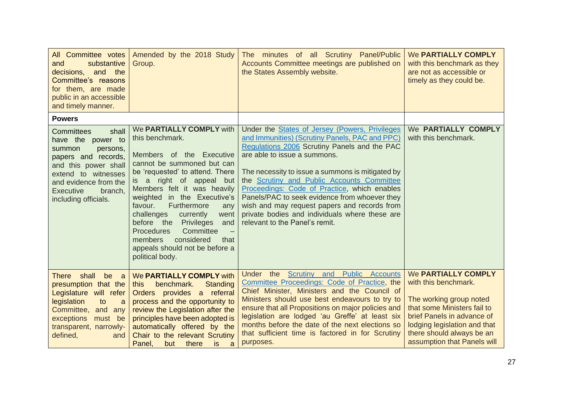| All Committee votes<br>substantive<br>and<br>decisions, and the<br>Committee's reasons<br>for them, are made<br>public in an accessible<br>and timely manner.                                                               | Amended by the 2018 Study<br>Group.                                                                                                                                                                                                                                                                                                                                                                                                                               | The minutes of all Scrutiny Panel/Public<br>Accounts Committee meetings are published on<br>the States Assembly website.                                                                                                                                                                                                                                                                                                                                                                                                       | We PARTIALLY COMPLY<br>with this benchmark as they<br>are not as accessible or<br>timely as they could be.                                                                                                                      |
|-----------------------------------------------------------------------------------------------------------------------------------------------------------------------------------------------------------------------------|-------------------------------------------------------------------------------------------------------------------------------------------------------------------------------------------------------------------------------------------------------------------------------------------------------------------------------------------------------------------------------------------------------------------------------------------------------------------|--------------------------------------------------------------------------------------------------------------------------------------------------------------------------------------------------------------------------------------------------------------------------------------------------------------------------------------------------------------------------------------------------------------------------------------------------------------------------------------------------------------------------------|---------------------------------------------------------------------------------------------------------------------------------------------------------------------------------------------------------------------------------|
| <b>Powers</b>                                                                                                                                                                                                               |                                                                                                                                                                                                                                                                                                                                                                                                                                                                   |                                                                                                                                                                                                                                                                                                                                                                                                                                                                                                                                |                                                                                                                                                                                                                                 |
| shall<br><b>Committees</b><br>have the power to<br>summon<br>persons,<br>papers and records,<br>and this power shall<br>extend to witnesses<br>and evidence from the<br><b>Executive</b><br>branch,<br>including officials. | We PARTIALLY COMPLY with<br>this benchmark.<br>Members of the Executive<br>cannot be summoned but can<br>be 'requested' to attend. There<br>is a right of appeal but<br>Members felt it was heavily<br>in the Executive's<br>weighted<br>Furthermore<br>favour.<br>any<br>challenges<br>currently<br>went<br>before the Privileges<br>and<br><b>Procedures</b><br>Committee<br>considered<br>members<br>that<br>appeals should not be before a<br>political body. | Under the <b>States of Jersey (Powers, Privileges</b><br>and Immunities) (Scrutiny Panels, PAC and PPC)<br>Regulations 2006 Scrutiny Panels and the PAC<br>are able to issue a summons.<br>The necessity to issue a summons is mitigated by<br>the Scrutiny and Public Accounts Committee<br>Proceedings: Code of Practice, which enables<br>Panels/PAC to seek evidence from whoever they<br>wish and may request papers and records from<br>private bodies and individuals where these are<br>relevant to the Panel's remit. | We PARTIALLY COMPLY<br>with this benchmark.                                                                                                                                                                                     |
| shall<br>be<br><b>There</b><br>a a<br>presumption that the<br>Legislature will refer<br>legislation<br>to<br>a<br>Committee, and<br>any<br>exceptions<br>must be<br>transparent, narrowly-<br>defined,<br>and               | We PARTIALLY COMPLY with<br>benchmark.<br><b>Standing</b><br>this<br>Orders provides a referral<br>process and the opportunity to<br>review the Legislation after the<br>principles have been adopted is<br>automatically offered by the<br>Chair to the relevant Scrutiny<br>Panel,<br>there<br><b>is</b><br>but<br>a                                                                                                                                            | Under the Scrutiny and Public Accounts<br>Committee Proceedings: Code of Practice, the<br>Chief Minister, Ministers and the Council of<br>Ministers should use best endeavours to try to<br>ensure that all Propositions on major policies and<br>legislation are lodged 'au Greffe' at least six<br>months before the date of the next elections so<br>that sufficient time is factored in for Scrutiny<br>purposes.                                                                                                          | We PARTIALLY COMPLY<br>with this benchmark.<br>The working group noted<br>that some Ministers fail to<br>brief Panels in advance of<br>lodging legislation and that<br>there should always be an<br>assumption that Panels will |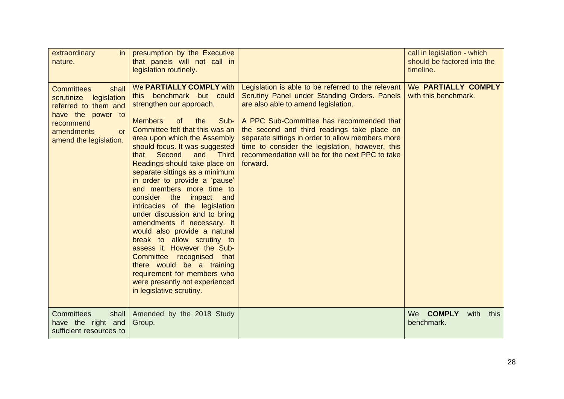| extraordinary<br>in<br>nature.                                                                                                                                         | presumption by the Executive<br>that panels will not call in<br>legislation routinely.                                                                                                                                                                                                                                                                                                                                                                                                                                                                                                                                                                                                                                                                                                       |                                                                                                                                                                                                                                                                                                                                                                                                            | call in legislation - which<br>should be factored into the<br>timeline. |
|------------------------------------------------------------------------------------------------------------------------------------------------------------------------|----------------------------------------------------------------------------------------------------------------------------------------------------------------------------------------------------------------------------------------------------------------------------------------------------------------------------------------------------------------------------------------------------------------------------------------------------------------------------------------------------------------------------------------------------------------------------------------------------------------------------------------------------------------------------------------------------------------------------------------------------------------------------------------------|------------------------------------------------------------------------------------------------------------------------------------------------------------------------------------------------------------------------------------------------------------------------------------------------------------------------------------------------------------------------------------------------------------|-------------------------------------------------------------------------|
| <b>Committees</b><br>shall<br>scrutinize<br>legislation<br>referred to them and<br>have the power to<br>recommend<br>amendments<br><b>or</b><br>amend the legislation. | We PARTIALLY COMPLY with<br>benchmark but could<br>this<br>strengthen our approach.<br>Sub-<br><b>Members</b><br>of<br>the<br>Committee felt that this was an<br>area upon which the Assembly<br>should focus. It was suggested<br>Second<br>and<br><b>Third</b><br>that<br>Readings should take place on<br>separate sittings as a minimum<br>in order to provide a 'pause'<br>and members more time to<br>consider the<br>impact and<br>intricacies of the legislation<br>under discussion and to bring<br>amendments if necessary. It<br>would also provide a natural<br>break to allow scrutiny to<br>assess it. However the Sub-<br>Committee recognised that<br>there would be a training<br>requirement for members who<br>were presently not experienced<br>in legislative scrutiny. | Legislation is able to be referred to the relevant<br>Scrutiny Panel under Standing Orders. Panels<br>are also able to amend legislation.<br>A PPC Sub-Committee has recommended that<br>the second and third readings take place on<br>separate sittings in order to allow members more<br>time to consider the legislation, however, this<br>recommendation will be for the next PPC to take<br>forward. | We PARTIALLY COMPLY<br>with this benchmark.                             |
| <b>Committees</b><br>shall<br>have the right and<br>sufficient resources to                                                                                            | Amended by the 2018 Study<br>Group.                                                                                                                                                                                                                                                                                                                                                                                                                                                                                                                                                                                                                                                                                                                                                          |                                                                                                                                                                                                                                                                                                                                                                                                            | We COMPLY<br>with<br>this<br>benchmark.                                 |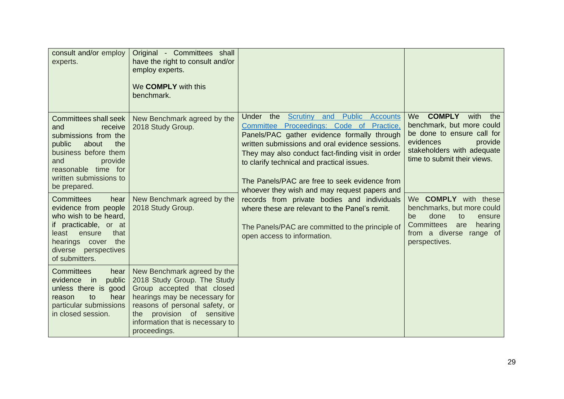| consult and/or employ<br>experts.                                                                                                                                                                                                                         | Original - Committees shall<br>have the right to consult and/or<br>employ experts.<br>We <b>COMPLY</b> with this<br>benchmark.                                                                                                                |                                                                                                                                                                                                                                                                                                                                                                                                                                                                                                     |                                                                                                                                                                                                                                                 |
|-----------------------------------------------------------------------------------------------------------------------------------------------------------------------------------------------------------------------------------------------------------|-----------------------------------------------------------------------------------------------------------------------------------------------------------------------------------------------------------------------------------------------|-----------------------------------------------------------------------------------------------------------------------------------------------------------------------------------------------------------------------------------------------------------------------------------------------------------------------------------------------------------------------------------------------------------------------------------------------------------------------------------------------------|-------------------------------------------------------------------------------------------------------------------------------------------------------------------------------------------------------------------------------------------------|
| Committees shall seek<br>and<br>receive<br>submissions from the<br>public<br>the<br>about<br>business before them<br>and<br>provide<br>reasonable time for<br>written submissions to<br>be prepared.<br><b>Committees</b><br>hear<br>evidence from people | New Benchmark agreed by the<br>2018 Study Group.<br>New Benchmark agreed by the<br>2018 Study Group.                                                                                                                                          | <b>Public Accounts</b><br>Under the Scrutiny and<br>Committee Proceedings: Code of Practice,<br>Panels/PAC gather evidence formally through<br>written submissions and oral evidence sessions.<br>They may also conduct fact-finding visit in order<br>to clarify technical and practical issues.<br>The Panels/PAC are free to seek evidence from<br>whoever they wish and may request papers and<br>records from private bodies and individuals<br>where these are relevant to the Panel's remit. | <b>COMPLY</b><br>We<br>with<br>the<br>benchmark, but more could<br>be done to ensure call for<br>evidences<br>provide<br>stakeholders with adequate<br>time to submit their views.<br>We <b>COMPLY</b> with these<br>benchmarks, but more could |
| who wish to be heard,<br>if practicable, or at<br>that<br>least<br>ensure<br>the<br>hearings cover<br>diverse perspectives<br>of submitters.                                                                                                              |                                                                                                                                                                                                                                               | The Panels/PAC are committed to the principle of<br>open access to information.                                                                                                                                                                                                                                                                                                                                                                                                                     | be<br>done<br>to<br>ensure<br><b>Committees</b><br>hearing<br>are<br>from a diverse range of<br>perspectives.                                                                                                                                   |
| <b>Committees</b><br>hear<br>public<br>evidence in<br>unless there is good<br>to<br>reason<br>hear<br>particular submissions<br>in closed session.                                                                                                        | New Benchmark agreed by the<br>2018 Study Group. The Study<br>Group accepted that closed<br>hearings may be necessary for<br>reasons of personal safety, or<br>the provision of sensitive<br>information that is necessary to<br>proceedings. |                                                                                                                                                                                                                                                                                                                                                                                                                                                                                                     |                                                                                                                                                                                                                                                 |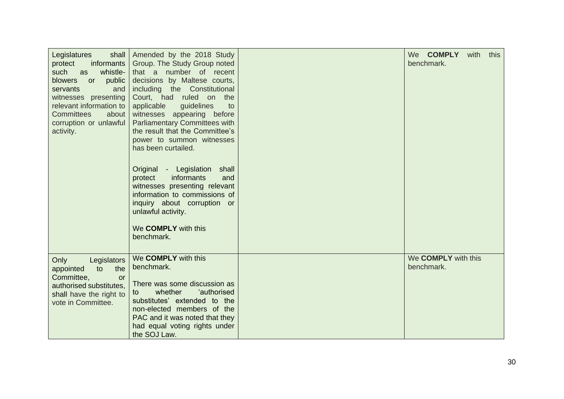| Legislatures<br>shall<br>protect<br>informants<br>such<br>whistle-<br>as<br>blowers<br>public<br>or<br>servants<br>and<br>witnesses presenting<br>relevant information to<br><b>Committees</b><br>about<br>corruption or unlawful<br>activity. | Amended by the 2018 Study<br>Group. The Study Group noted<br>that a number of recent<br>decisions by Maltese courts,<br>including the Constitutional<br>Court, had ruled on the<br>guidelines<br>applicable<br>to<br>witnesses appearing before<br><b>Parliamentary Committees with</b><br>the result that the Committee's<br>power to summon witnesses<br>has been curtailed.<br>Original - Legislation<br>shall<br>informants<br>protect<br>and<br>witnesses presenting relevant<br>information to commissions of<br>inquiry about corruption or<br>unlawful activity.<br>We COMPLY with this<br>benchmark. | We COMPLY<br>with<br>this<br>benchmark.  |
|------------------------------------------------------------------------------------------------------------------------------------------------------------------------------------------------------------------------------------------------|---------------------------------------------------------------------------------------------------------------------------------------------------------------------------------------------------------------------------------------------------------------------------------------------------------------------------------------------------------------------------------------------------------------------------------------------------------------------------------------------------------------------------------------------------------------------------------------------------------------|------------------------------------------|
| Only<br>Legislators<br>to<br>the<br>appointed<br>Committee,<br><b>or</b><br>authorised substitutes,<br>shall have the right to<br>vote in Committee.                                                                                           | We COMPLY with this<br>benchmark.<br>There was some discussion as<br>whether<br>'authorised<br>to<br>substitutes' extended to the<br>non-elected members of the<br>PAC and it was noted that they<br>had equal voting rights under<br>the SOJ Law.                                                                                                                                                                                                                                                                                                                                                            | We <b>COMPLY</b> with this<br>benchmark. |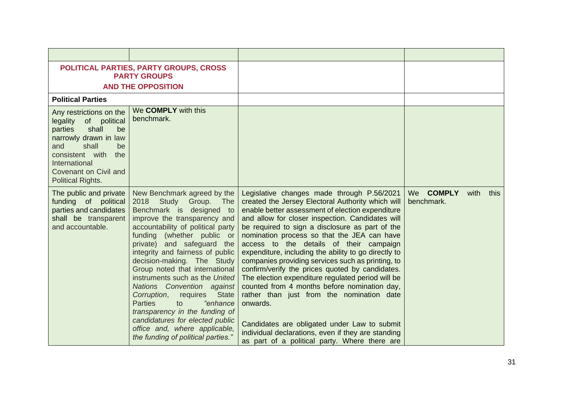|                                                                                                                                                                                                                    | <b>POLITICAL PARTIES, PARTY GROUPS, CROSS</b><br><b>PARTY GROUPS</b><br><b>AND THE OPPOSITION</b>                                                                                                                                                                                                                                                                                                                                                                                                                                                                                                                |                                                                                                                                                                                                                                                                                                                                                                                                                                                                                                                                                                                                                                                                                                                                                                                                                                           |                                   |      |      |
|--------------------------------------------------------------------------------------------------------------------------------------------------------------------------------------------------------------------|------------------------------------------------------------------------------------------------------------------------------------------------------------------------------------------------------------------------------------------------------------------------------------------------------------------------------------------------------------------------------------------------------------------------------------------------------------------------------------------------------------------------------------------------------------------------------------------------------------------|-------------------------------------------------------------------------------------------------------------------------------------------------------------------------------------------------------------------------------------------------------------------------------------------------------------------------------------------------------------------------------------------------------------------------------------------------------------------------------------------------------------------------------------------------------------------------------------------------------------------------------------------------------------------------------------------------------------------------------------------------------------------------------------------------------------------------------------------|-----------------------------------|------|------|
| <b>Political Parties</b>                                                                                                                                                                                           |                                                                                                                                                                                                                                                                                                                                                                                                                                                                                                                                                                                                                  |                                                                                                                                                                                                                                                                                                                                                                                                                                                                                                                                                                                                                                                                                                                                                                                                                                           |                                   |      |      |
| Any restrictions on the<br>legality of political<br>shall<br>parties<br>be<br>narrowly drawn in law<br>shall<br>and<br>be<br>consistent with<br>the<br>International<br>Covenant on Civil and<br>Political Rights. | We COMPLY with this<br>benchmark.                                                                                                                                                                                                                                                                                                                                                                                                                                                                                                                                                                                |                                                                                                                                                                                                                                                                                                                                                                                                                                                                                                                                                                                                                                                                                                                                                                                                                                           |                                   |      |      |
| The public and private<br>funding of political<br>parties and candidates<br>shall be transparent<br>and accountable.                                                                                               | New Benchmark agreed by the<br>2018 Study Group. The<br>Benchmark is designed to<br>improve the transparency and<br>accountability of political party<br>funding (whether public or<br>private) and safeguard the<br>integrity and fairness of public<br>decision-making. The Study<br>Group noted that international<br>instruments such as the United<br>Nations Convention against<br>Corruption,<br><b>State</b><br>requires<br>"enhance<br><b>Parties</b><br>to<br>transparency in the funding of<br>candidatures for elected public<br>office and, where applicable,<br>the funding of political parties." | Legislative changes made through P.56/2021<br>created the Jersey Electoral Authority which will<br>enable better assessment of election expenditure<br>and allow for closer inspection. Candidates will<br>be required to sign a disclosure as part of the<br>nomination process so that the JEA can have<br>access to the details of their campaign<br>expenditure, including the ability to go directly to<br>companies providing services such as printing, to<br>confirm/verify the prices quoted by candidates.<br>The election expenditure regulated period will be<br>counted from 4 months before nomination day,<br>rather than just from the nomination date<br>onwards.<br>Candidates are obligated under Law to submit<br>individual declarations, even if they are standing<br>as part of a political party. Where there are | <b>COMPLY</b><br>We<br>benchmark. | with | this |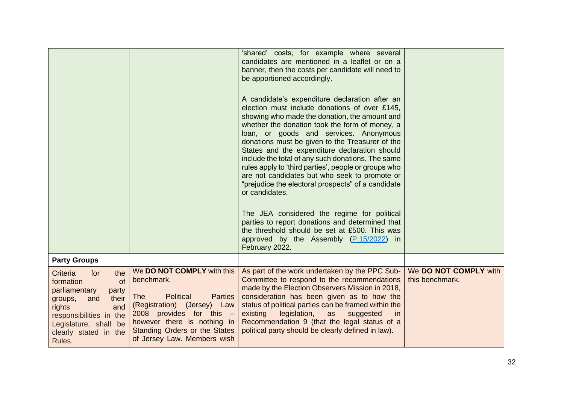|                                                                                                                                                                                                                   |                                                                                                                                                                                                                                                          | 'shared' costs, for example where several<br>candidates are mentioned in a leaflet or on a<br>banner, then the costs per candidate will need to<br>be apportioned accordingly.<br>A candidate's expenditure declaration after an<br>election must include donations of over £145,<br>showing who made the donation, the amount and<br>whether the donation took the form of money, a<br>loan, or goods and services. Anonymous<br>donations must be given to the Treasurer of the<br>States and the expenditure declaration should<br>include the total of any such donations. The same<br>rules apply to 'third parties', people or groups who<br>are not candidates but who seek to promote or<br>"prejudice the electoral prospects" of a candidate<br>or candidates.<br>The JEA considered the regime for political<br>parties to report donations and determined that<br>the threshold should be set at £500. This was<br>approved by the Assembly (P.15/2022) in<br>February 2022. |                                          |
|-------------------------------------------------------------------------------------------------------------------------------------------------------------------------------------------------------------------|----------------------------------------------------------------------------------------------------------------------------------------------------------------------------------------------------------------------------------------------------------|------------------------------------------------------------------------------------------------------------------------------------------------------------------------------------------------------------------------------------------------------------------------------------------------------------------------------------------------------------------------------------------------------------------------------------------------------------------------------------------------------------------------------------------------------------------------------------------------------------------------------------------------------------------------------------------------------------------------------------------------------------------------------------------------------------------------------------------------------------------------------------------------------------------------------------------------------------------------------------------|------------------------------------------|
| <b>Party Groups</b>                                                                                                                                                                                               |                                                                                                                                                                                                                                                          |                                                                                                                                                                                                                                                                                                                                                                                                                                                                                                                                                                                                                                                                                                                                                                                                                                                                                                                                                                                          |                                          |
| the<br>Criteria<br>for<br>formation<br><sub>of</sub><br>parliamentary<br>party<br>their<br>and<br>groups,<br>rights<br>and<br>responsibilities in the<br>Legislature, shall be<br>clearly stated in the<br>Rules. | We DO NOT COMPLY with this<br>benchmark.<br><b>Political</b><br><b>The</b><br><b>Parties</b><br>(Registration) (Jersey) Law<br>2008 provides for this $-$<br>however there is nothing in<br>Standing Orders or the States<br>of Jersey Law. Members wish | As part of the work undertaken by the PPC Sub-<br>Committee to respond to the recommendations<br>made by the Election Observers Mission in 2018,<br>consideration has been given as to how the<br>status of political parties can be framed within the<br>legislation,<br>existing<br>as<br>suggested<br><i>in</i><br>Recommendation 9 (that the legal status of a<br>political party should be clearly defined in law).                                                                                                                                                                                                                                                                                                                                                                                                                                                                                                                                                                 | We DO NOT COMPLY with<br>this benchmark. |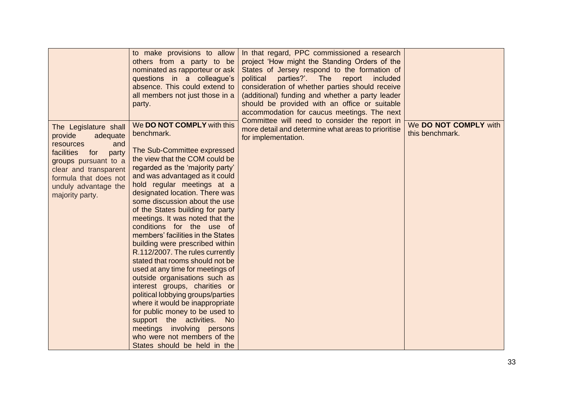|                                                                                                                                                                                                                     | to make provisions to allow<br>others from a party to be<br>nominated as rapporteur or ask<br>questions in a colleague's<br>absence. This could extend to<br>all members not just those in a<br>party.                                                                                                                                                                                                                                                                                                                                                                                                                                                                                                                                                                                                                                                                        | In that regard, PPC commissioned a research<br>project 'How might the Standing Orders of the<br>States of Jersey respond to the formation of<br>parties?'. The<br>political<br>report<br>included<br>consideration of whether parties should receive<br>(additional) funding and whether a party leader<br>should be provided with an office or suitable<br>accommodation for caucus meetings. The next |                                          |
|---------------------------------------------------------------------------------------------------------------------------------------------------------------------------------------------------------------------|-------------------------------------------------------------------------------------------------------------------------------------------------------------------------------------------------------------------------------------------------------------------------------------------------------------------------------------------------------------------------------------------------------------------------------------------------------------------------------------------------------------------------------------------------------------------------------------------------------------------------------------------------------------------------------------------------------------------------------------------------------------------------------------------------------------------------------------------------------------------------------|---------------------------------------------------------------------------------------------------------------------------------------------------------------------------------------------------------------------------------------------------------------------------------------------------------------------------------------------------------------------------------------------------------|------------------------------------------|
| The Legislature shall<br>provide<br>adequate<br>resources<br>and<br>facilities<br>for<br>party<br>groups pursuant to a<br>clear and transparent<br>formula that does not<br>unduly advantage the<br>majority party. | We DO NOT COMPLY with this<br>benchmark.<br>The Sub-Committee expressed<br>the view that the COM could be<br>regarded as the 'majority party'<br>and was advantaged as it could<br>hold regular meetings at a<br>designated location. There was<br>some discussion about the use<br>of the States building for party<br>meetings. It was noted that the<br>conditions for the use of<br>members' facilities in the States<br>building were prescribed within<br>R.112/2007. The rules currently<br>stated that rooms should not be<br>used at any time for meetings of<br>outside organisations such as<br>interest groups, charities or<br>political lobbying groups/parties<br>where it would be inappropriate<br>for public money to be used to<br>support the activities. No<br>meetings involving persons<br>who were not members of the<br>States should be held in the | Committee will need to consider the report in<br>more detail and determine what areas to prioritise<br>for implementation.                                                                                                                                                                                                                                                                              | We DO NOT COMPLY with<br>this benchmark. |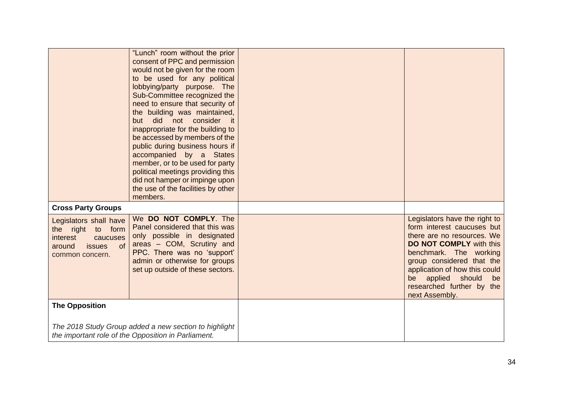|                                                                                                                            | "Lunch" room without the prior<br>consent of PPC and permission<br>would not be given for the room<br>to be used for any political<br>lobbying/party purpose. The<br>Sub-Committee recognized the<br>need to ensure that security of<br>the building was maintained,<br>but did<br>not consider<br>it it<br>inappropriate for the building to<br>be accessed by members of the<br>public during business hours if<br>accompanied by a States<br>member, or to be used for party<br>political meetings providing this<br>did not hamper or impinge upon<br>the use of the facilities by other<br>members. |                                                                                                                                                                                                                                                                                                  |
|----------------------------------------------------------------------------------------------------------------------------|----------------------------------------------------------------------------------------------------------------------------------------------------------------------------------------------------------------------------------------------------------------------------------------------------------------------------------------------------------------------------------------------------------------------------------------------------------------------------------------------------------------------------------------------------------------------------------------------------------|--------------------------------------------------------------------------------------------------------------------------------------------------------------------------------------------------------------------------------------------------------------------------------------------------|
| <b>Cross Party Groups</b>                                                                                                  |                                                                                                                                                                                                                                                                                                                                                                                                                                                                                                                                                                                                          |                                                                                                                                                                                                                                                                                                  |
| Legislators shall have<br>right to form<br>the<br><i>interest</i><br>caucuses<br>of<br>around<br>issues<br>common concern. | We DO NOT COMPLY. The<br>Panel considered that this was<br>only possible in designated<br>areas - COM, Scrutiny and<br>PPC. There was no 'support'<br>admin or otherwise for groups<br>set up outside of these sectors.                                                                                                                                                                                                                                                                                                                                                                                  | Legislators have the right to<br>form interest caucuses but<br>there are no resources. We<br><b>DO NOT COMPLY with this</b><br>benchmark. The working<br>group considered that the<br>application of how this could<br>should<br>be applied<br>be<br>researched further by the<br>next Assembly. |
| <b>The Opposition</b>                                                                                                      |                                                                                                                                                                                                                                                                                                                                                                                                                                                                                                                                                                                                          |                                                                                                                                                                                                                                                                                                  |
|                                                                                                                            | The 2018 Study Group added a new section to highlight<br>the important role of the Opposition in Parliament.                                                                                                                                                                                                                                                                                                                                                                                                                                                                                             |                                                                                                                                                                                                                                                                                                  |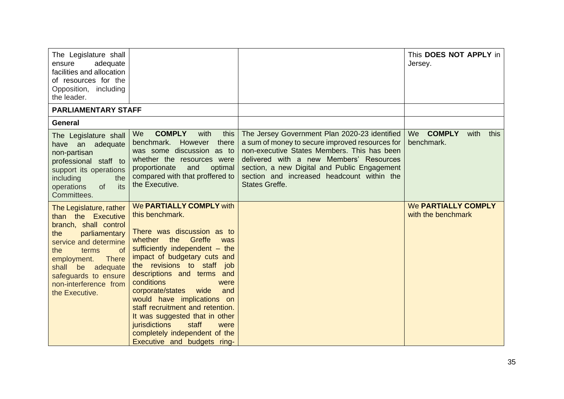| The Legislature shall<br>adequate<br>ensure<br>facilities and allocation<br>of resources for the<br>Opposition, including<br>the leader.                                                                                                                             |                                                                                                                                                                                                                                                                                                                                                                                                                                                                                                              |                                                                                                                                                                                                                                                                                                                   | This DOES NOT APPLY in<br>Jersey.                |
|----------------------------------------------------------------------------------------------------------------------------------------------------------------------------------------------------------------------------------------------------------------------|--------------------------------------------------------------------------------------------------------------------------------------------------------------------------------------------------------------------------------------------------------------------------------------------------------------------------------------------------------------------------------------------------------------------------------------------------------------------------------------------------------------|-------------------------------------------------------------------------------------------------------------------------------------------------------------------------------------------------------------------------------------------------------------------------------------------------------------------|--------------------------------------------------|
| <b>PARLIAMENTARY STAFF</b>                                                                                                                                                                                                                                           |                                                                                                                                                                                                                                                                                                                                                                                                                                                                                                              |                                                                                                                                                                                                                                                                                                                   |                                                  |
| <b>General</b>                                                                                                                                                                                                                                                       |                                                                                                                                                                                                                                                                                                                                                                                                                                                                                                              |                                                                                                                                                                                                                                                                                                                   |                                                  |
| The Legislature shall<br>adequate<br>an<br>have<br>non-partisan<br>professional staff to<br>support its operations<br>including<br>the<br>its<br>operations<br>of<br>Committees.                                                                                     | <b>COMPLY</b><br>with<br>We<br>this<br>benchmark.<br>However<br>there<br>was some discussion as to<br>whether the resources were<br>proportionate<br>and<br>optimal<br>compared with that proffered to<br>the Executive.                                                                                                                                                                                                                                                                                     | The Jersey Government Plan 2020-23 identified<br>a sum of money to secure improved resources for<br>non-executive States Members. This has been<br>delivered with a new Members' Resources<br>section, a new Digital and Public Engagement<br>section and increased headcount within the<br><b>States Greffe.</b> | We COMPLY<br>with<br>this<br>benchmark.          |
| The Legislature, rather<br>than the Executive<br>branch, shall control<br>parliamentary<br>the<br>service and determine<br>of<br>the<br>terms<br><b>There</b><br>employment.<br>shall be adequate<br>safeguards to ensure<br>non-interference from<br>the Executive. | We PARTIALLY COMPLY with<br>this benchmark.<br>There was discussion as to<br>Greffe<br>the<br>whether<br>was<br>sufficiently independent - the<br>impact of budgetary cuts and<br>the revisions to staff job<br>descriptions and terms<br>and<br>conditions<br>were<br>corporate/states<br>wide<br>and<br>would have implications on<br>staff recruitment and retention.<br>It was suggested that in other<br>jurisdictions<br>staff<br>were<br>completely independent of the<br>Executive and budgets ring- |                                                                                                                                                                                                                                                                                                                   | <b>We PARTIALLY COMPLY</b><br>with the benchmark |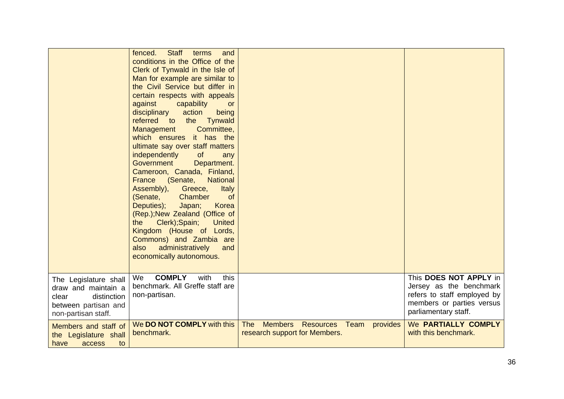|                                                                                                                     | <b>Staff</b><br>fenced.<br>terms<br>and<br>conditions in the Office of the<br>Clerk of Tynwald in the Isle of<br>Man for example are similar to<br>the Civil Service but differ in<br>certain respects with appeals<br>against<br>capability<br><b>or</b><br>action<br>disciplinary<br>being<br>referred<br><b>Tynwald</b><br>$\overline{\mathsf{to}}$<br>the<br>Committee,<br>Management<br>which ensures it has the<br>ultimate say over staff matters<br>of<br>independently<br>any<br>Government<br>Department.<br>Cameroon, Canada, Finland,<br>(Senate,<br><b>National</b><br>France<br>Assembly),<br><b>Italy</b><br>Greece,<br>(Senate,<br>Chamber<br><b>of</b><br>Deputies);<br>Japan;<br>Korea<br>(Rep.); New Zealand (Office of<br>Clerk); Spain;<br><b>United</b><br>the<br>Kingdom (House of Lords,<br>Commons) and Zambia are<br>administratively<br>also<br>and<br>economically autonomous. |                                                                                                       |                                                                                                                                       |
|---------------------------------------------------------------------------------------------------------------------|------------------------------------------------------------------------------------------------------------------------------------------------------------------------------------------------------------------------------------------------------------------------------------------------------------------------------------------------------------------------------------------------------------------------------------------------------------------------------------------------------------------------------------------------------------------------------------------------------------------------------------------------------------------------------------------------------------------------------------------------------------------------------------------------------------------------------------------------------------------------------------------------------------|-------------------------------------------------------------------------------------------------------|---------------------------------------------------------------------------------------------------------------------------------------|
| The Legislature shall<br>draw and maintain a<br>distinction<br>clear<br>between partisan and<br>non-partisan staff. | <b>COMPLY</b><br>We<br>with<br>this<br>benchmark. All Greffe staff are<br>non-partisan.                                                                                                                                                                                                                                                                                                                                                                                                                                                                                                                                                                                                                                                                                                                                                                                                                    |                                                                                                       | This DOES NOT APPLY in<br>Jersey as the benchmark<br>refers to staff employed by<br>members or parties versus<br>parliamentary staff. |
| Members and staff of<br>the Legislature shall<br>have<br>access<br>to                                               | We DO NOT COMPLY with this<br>benchmark.                                                                                                                                                                                                                                                                                                                                                                                                                                                                                                                                                                                                                                                                                                                                                                                                                                                                   | <b>The</b><br><b>Members</b><br><b>Resources</b><br>Team<br>provides<br>research support for Members. | We PARTIALLY COMPLY<br>with this benchmark.                                                                                           |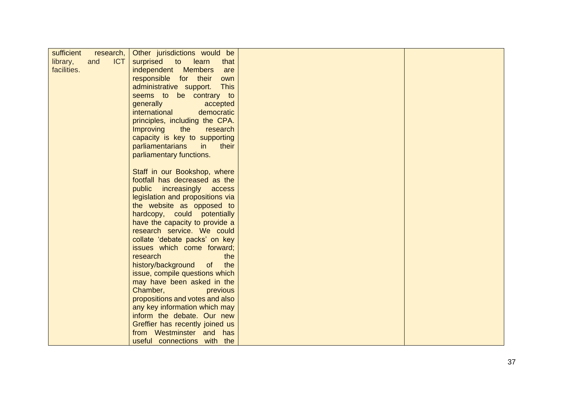| sufficient  | research,         | Other jurisdictions would be                         |  |
|-------------|-------------------|------------------------------------------------------|--|
| library,    | <b>ICT</b><br>and | surprised<br>$\bullet$ to $\bullet$<br>learn<br>that |  |
| facilities. |                   | independent Members<br>are                           |  |
|             |                   | responsible for their<br>own                         |  |
|             |                   | administrative support.<br><b>This</b>               |  |
|             |                   | seems to be contrary to                              |  |
|             |                   | generally<br>accepted                                |  |
|             |                   | international<br>democratic                          |  |
|             |                   | principles, including the CPA.                       |  |
|             |                   | Improving<br>the<br>research                         |  |
|             |                   | capacity is key to supporting                        |  |
|             |                   | parliamentarians<br>in<br>their                      |  |
|             |                   | parliamentary functions.                             |  |
|             |                   |                                                      |  |
|             |                   | Staff in our Bookshop, where                         |  |
|             |                   | footfall has decreased as the                        |  |
|             |                   | public<br>increasingly access                        |  |
|             |                   | legislation and propositions via                     |  |
|             |                   | the website as opposed to                            |  |
|             |                   | hardcopy, could potentially                          |  |
|             |                   | have the capacity to provide a                       |  |
|             |                   | research service. We could                           |  |
|             |                   | collate 'debate packs' on key                        |  |
|             |                   | issues which come forward;                           |  |
|             |                   | research<br>the                                      |  |
|             |                   | history/background<br>the<br>of                      |  |
|             |                   | issue, compile questions which                       |  |
|             |                   | may have been asked in the                           |  |
|             |                   | Chamber,<br>previous                                 |  |
|             |                   | propositions and votes and also                      |  |
|             |                   | any key information which may                        |  |
|             |                   | inform the debate. Our new                           |  |
|             |                   | Greffier has recently joined us                      |  |
|             |                   | from Westminster and has                             |  |
|             |                   | useful connections with the                          |  |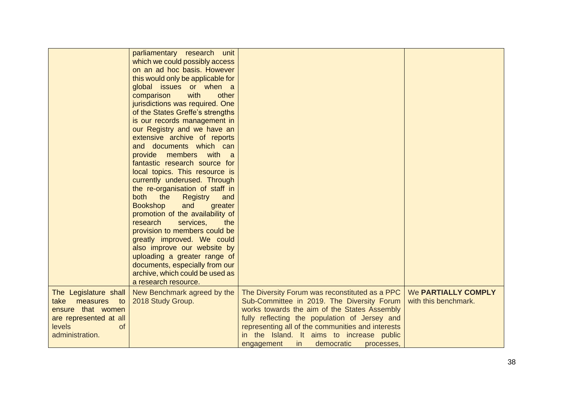|                                                                                                                       | parliamentary research unit<br>which we could possibly access<br>on an ad hoc basis. However<br>this would only be applicable for<br>global issues or when a<br>with<br>other<br>comparison<br>jurisdictions was required. One<br>of the States Greffe's strengths<br>is our records management in<br>our Registry and we have an<br>extensive archive of reports<br>and documents which can<br>provide<br>members with<br>$\overline{a}$<br>fantastic research source for<br>local topics. This resource is<br>currently underused. Through<br>the re-organisation of staff in<br><b>both</b><br>the<br><b>Registry</b><br>and<br><b>Bookshop</b><br>and<br>greater<br>promotion of the availability of<br>research<br>services,<br>the<br>provision to members could be<br>greatly improved. We could<br>also improve our website by<br>uploading a greater range of<br>documents, especially from our<br>archive, which could be used as<br>a research resource. |                                                                                                                                                                                                                                                    |                                                    |
|-----------------------------------------------------------------------------------------------------------------------|---------------------------------------------------------------------------------------------------------------------------------------------------------------------------------------------------------------------------------------------------------------------------------------------------------------------------------------------------------------------------------------------------------------------------------------------------------------------------------------------------------------------------------------------------------------------------------------------------------------------------------------------------------------------------------------------------------------------------------------------------------------------------------------------------------------------------------------------------------------------------------------------------------------------------------------------------------------------|----------------------------------------------------------------------------------------------------------------------------------------------------------------------------------------------------------------------------------------------------|----------------------------------------------------|
| The Legislature shall<br>measures<br>to<br>take<br>ensure that women<br>are represented at all<br>levels<br><b>of</b> | New Benchmark agreed by the<br>2018 Study Group.                                                                                                                                                                                                                                                                                                                                                                                                                                                                                                                                                                                                                                                                                                                                                                                                                                                                                                                    | The Diversity Forum was reconstituted as a PPC<br>Sub-Committee in 2019. The Diversity Forum<br>works towards the aim of the States Assembly<br>fully reflecting the population of Jersey and<br>representing all of the communities and interests | <b>We PARTIALLY COMPLY</b><br>with this benchmark. |
| administration.                                                                                                       |                                                                                                                                                                                                                                                                                                                                                                                                                                                                                                                                                                                                                                                                                                                                                                                                                                                                                                                                                                     | in the Island. It aims to increase public<br>in<br>democratic<br>engagement<br>processes.                                                                                                                                                          |                                                    |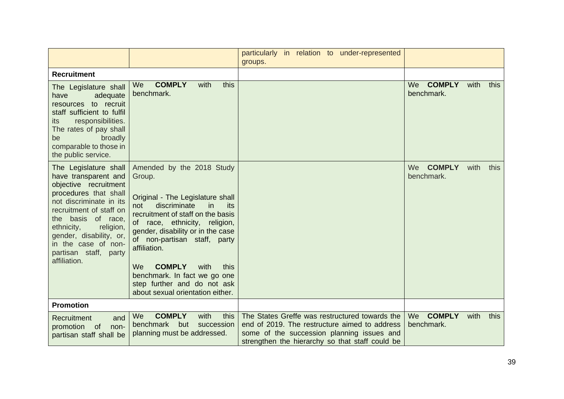|                                                                                                                                                                                                                                                                                                   |                                                                                                                                                                                                                                                                                                                                                                                                                   | particularly in relation to under-represented<br>groups.                                                                                                                                         |                                           |      |
|---------------------------------------------------------------------------------------------------------------------------------------------------------------------------------------------------------------------------------------------------------------------------------------------------|-------------------------------------------------------------------------------------------------------------------------------------------------------------------------------------------------------------------------------------------------------------------------------------------------------------------------------------------------------------------------------------------------------------------|--------------------------------------------------------------------------------------------------------------------------------------------------------------------------------------------------|-------------------------------------------|------|
| <b>Recruitment</b>                                                                                                                                                                                                                                                                                |                                                                                                                                                                                                                                                                                                                                                                                                                   |                                                                                                                                                                                                  |                                           |      |
| The Legislature shall<br>adequate<br>have<br>resources to recruit<br>staff sufficient to fulfil<br>responsibilities.<br>its<br>The rates of pay shall<br>broadly<br>be<br>comparable to those in<br>the public service.                                                                           | <b>COMPLY</b><br>this<br>We<br>with<br>benchmark.                                                                                                                                                                                                                                                                                                                                                                 |                                                                                                                                                                                                  | We COMPLY<br>with<br>benchmark.           | this |
| The Legislature shall<br>have transparent and<br>objective recruitment<br>procedures that shall<br>not discriminate in its<br>recruitment of staff on<br>the basis of race,<br>ethnicity,<br>religion,<br>gender, disability, or,<br>in the case of non-<br>partisan staff, party<br>affiliation. | Amended by the 2018 Study<br>Group.<br>Original - The Legislature shall<br>discriminate<br>in<br>not<br>its<br>recruitment of staff on the basis<br>of race, ethnicity, religion,<br>gender, disability or in the case<br>of non-partisan staff, party<br>affiliation.<br><b>COMPLY</b><br>We.<br>with<br>this<br>benchmark. In fact we go one<br>step further and do not ask<br>about sexual orientation either. |                                                                                                                                                                                                  | <b>COMPLY</b><br>with<br>We<br>benchmark. | this |
| <b>Promotion</b>                                                                                                                                                                                                                                                                                  |                                                                                                                                                                                                                                                                                                                                                                                                                   |                                                                                                                                                                                                  |                                           |      |
| Recruitment<br>and<br>promotion<br>of<br>non-<br>partisan staff shall be                                                                                                                                                                                                                          | <b>COMPLY</b><br>with<br>We<br>this<br>benchmark<br>but<br>succession<br>planning must be addressed.                                                                                                                                                                                                                                                                                                              | The States Greffe was restructured towards the<br>end of 2019. The restructure aimed to address<br>some of the succession planning issues and<br>strengthen the hierarchy so that staff could be | <b>COMPLY</b><br>We<br>with<br>benchmark. | this |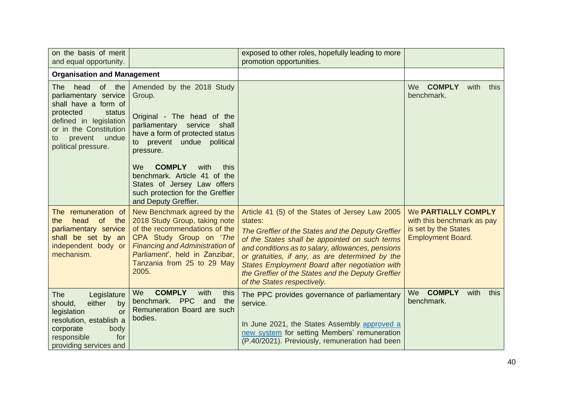| on the basis of merit<br>and equal opportunity.                                                                                                                                                 |                                                                                                                                                                                                                                                                                                                          | exposed to other roles, hopefully leading to more<br>promotion opportunities.                                                                                                                                                                                                                                                                                                                                     |                                                                                                       |
|-------------------------------------------------------------------------------------------------------------------------------------------------------------------------------------------------|--------------------------------------------------------------------------------------------------------------------------------------------------------------------------------------------------------------------------------------------------------------------------------------------------------------------------|-------------------------------------------------------------------------------------------------------------------------------------------------------------------------------------------------------------------------------------------------------------------------------------------------------------------------------------------------------------------------------------------------------------------|-------------------------------------------------------------------------------------------------------|
| <b>Organisation and Management</b>                                                                                                                                                              |                                                                                                                                                                                                                                                                                                                          |                                                                                                                                                                                                                                                                                                                                                                                                                   |                                                                                                       |
| head of the<br>The<br>parliamentary service<br>shall have a form of<br>protected<br>status<br>defined in legislation<br>or in the Constitution<br>prevent<br>undue<br>to<br>political pressure. | Amended by the 2018 Study<br>Group.<br>Original - The head of the<br>parliamentary service shall<br>have a form of protected status<br>to prevent undue political<br>pressure.<br><b>COMPLY</b><br>We<br>with<br>this<br>benchmark. Article 41 of the<br>States of Jersey Law offers<br>such protection for the Greffier |                                                                                                                                                                                                                                                                                                                                                                                                                   | We COMPLY<br>with<br>this<br>benchmark.                                                               |
| The remuneration of<br>of the<br>the<br>head<br>parliamentary service<br>shall be set by an<br>independent body or<br>mechanism.                                                                | and Deputy Greffier.<br>New Benchmark agreed by the<br>2018 Study Group, taking note<br>of the recommendations of the<br>CPA Study Group on 'The<br><b>Financing and Administration of</b><br>Parliament, held in Zanzibar,<br>Tanzania from 25 to 29 May<br>2005.                                                       | Article 41 (5) of the States of Jersey Law 2005<br>states:<br>The Greffier of the States and the Deputy Greffier<br>of the States shall be appointed on such terms<br>and conditions as to salary, allowances, pensions<br>or gratuities, if any, as are determined by the<br>States Employment Board after negotiation with<br>the Greffier of the States and the Deputy Greffier<br>of the States respectively. | We PARTIALLY COMPLY<br>with this benchmark as pay<br>is set by the States<br><b>Employment Board.</b> |
| Legislature<br>The<br>either<br>should,<br>by<br>legislation<br>or<br>resolution, establish a<br>corporate<br>body<br>responsible<br>for<br>providing services and                              | <b>COMPLY</b><br>We<br>with<br>this<br>benchmark. PPC<br>and<br>the<br>Remuneration Board are such<br>bodies.                                                                                                                                                                                                            | The PPC provides governance of parliamentary<br>service.<br>In June 2021, the States Assembly approved a<br>new system for setting Members' remuneration<br>(P.40/2021). Previously, remuneration had been                                                                                                                                                                                                        | <b>COMPLY</b><br><b>We</b><br>with<br>this<br>benchmark.                                              |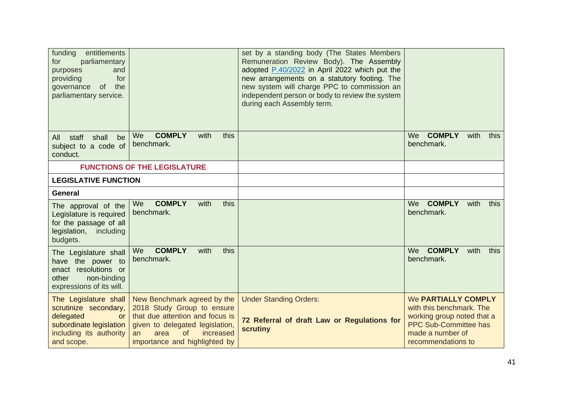| funding<br>entitlements<br>parliamentary<br>for<br>and<br>purposes<br>for<br>providing<br>of the<br>governance<br>parliamentary service.     |                                                                                                                                                                                                         | set by a standing body (The States Members<br>Remuneration Review Body). The Assembly<br>adopted P.40/2022 in April 2022 which put the<br>new arrangements on a statutory footing. The<br>new system will charge PPC to commission an<br>independent person or body to review the system<br>during each Assembly term. |                                                                                                                                                                |
|----------------------------------------------------------------------------------------------------------------------------------------------|---------------------------------------------------------------------------------------------------------------------------------------------------------------------------------------------------------|------------------------------------------------------------------------------------------------------------------------------------------------------------------------------------------------------------------------------------------------------------------------------------------------------------------------|----------------------------------------------------------------------------------------------------------------------------------------------------------------|
| All staff<br>shall<br>be<br>subject to a code of<br>conduct.                                                                                 | <b>COMPLY</b><br>with<br>this<br>We<br>benchmark.                                                                                                                                                       |                                                                                                                                                                                                                                                                                                                        | <b>COMPLY</b><br>We<br>with<br>this<br>benchmark.                                                                                                              |
|                                                                                                                                              | <b>FUNCTIONS OF THE LEGISLATURE</b>                                                                                                                                                                     |                                                                                                                                                                                                                                                                                                                        |                                                                                                                                                                |
| <b>LEGISLATIVE FUNCTION</b>                                                                                                                  |                                                                                                                                                                                                         |                                                                                                                                                                                                                                                                                                                        |                                                                                                                                                                |
| <b>General</b>                                                                                                                               |                                                                                                                                                                                                         |                                                                                                                                                                                                                                                                                                                        |                                                                                                                                                                |
| The approval of the<br>Legislature is required<br>for the passage of all<br>legislation,<br>including<br>budgets.                            | <b>COMPLY</b><br>this<br>with<br>We<br>benchmark.                                                                                                                                                       |                                                                                                                                                                                                                                                                                                                        | We COMPLY<br>with<br>this<br>benchmark.                                                                                                                        |
| The Legislature shall<br>have the power to<br>enact resolutions or<br>non-binding<br>other<br>expressions of its will.                       | <b>COMPLY</b><br>with<br>this<br>We<br>benchmark.                                                                                                                                                       |                                                                                                                                                                                                                                                                                                                        | <b>COMPLY</b><br>with<br>We<br>this<br>benchmark.                                                                                                              |
| The Legislature shall<br>scrutinize secondary,<br>delegated<br><b>or</b><br>subordinate legislation<br>including its authority<br>and scope. | New Benchmark agreed by the<br>2018 Study Group to ensure<br>that due attention and focus is<br>given to delegated legislation,<br>$\Omega$<br>increased<br>area<br>an<br>importance and highlighted by | <b>Under Standing Orders:</b><br>72 Referral of draft Law or Regulations for<br><b>scrutiny</b>                                                                                                                                                                                                                        | <b>We PARTIALLY COMPLY</b><br>with this benchmark. The<br>working group noted that a<br><b>PPC Sub-Committee has</b><br>made a number of<br>recommendations to |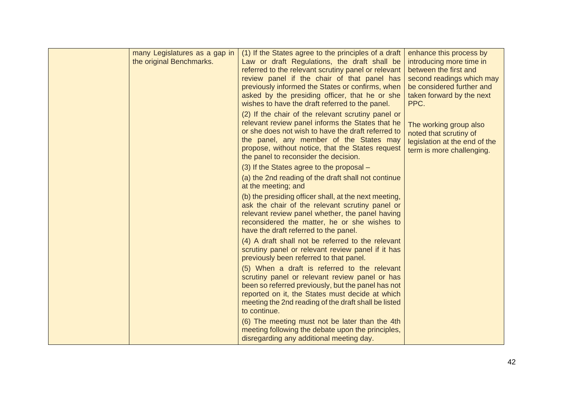| many Legislatures as a gap in<br>the original Benchmarks. | (1) If the States agree to the principles of a draft<br>Law or draft Regulations, the draft shall be<br>referred to the relevant scrutiny panel or relevant<br>review panel if the chair of that panel has<br>previously informed the States or confirms, when<br>asked by the presiding officer, that he or she<br>wishes to have the draft referred to the panel. | enhance this process by<br>introducing more time in<br>between the first and<br>second readings which may<br>be considered further and<br>taken forward by the next<br>PPC. |
|-----------------------------------------------------------|---------------------------------------------------------------------------------------------------------------------------------------------------------------------------------------------------------------------------------------------------------------------------------------------------------------------------------------------------------------------|-----------------------------------------------------------------------------------------------------------------------------------------------------------------------------|
|                                                           | (2) If the chair of the relevant scrutiny panel or<br>relevant review panel informs the States that he<br>or she does not wish to have the draft referred to<br>the panel, any member of the States may<br>propose, without notice, that the States request<br>the panel to reconsider the decision.                                                                | The working group also<br>noted that scrutiny of<br>legislation at the end of the<br>term is more challenging.                                                              |
|                                                           | (3) If the States agree to the proposal -<br>(a) the 2nd reading of the draft shall not continue<br>at the meeting; and                                                                                                                                                                                                                                             |                                                                                                                                                                             |
|                                                           | (b) the presiding officer shall, at the next meeting,<br>ask the chair of the relevant scrutiny panel or<br>relevant review panel whether, the panel having<br>reconsidered the matter, he or she wishes to<br>have the draft referred to the panel.                                                                                                                |                                                                                                                                                                             |
|                                                           | (4) A draft shall not be referred to the relevant<br>scrutiny panel or relevant review panel if it has<br>previously been referred to that panel.                                                                                                                                                                                                                   |                                                                                                                                                                             |
|                                                           | (5) When a draft is referred to the relevant<br>scrutiny panel or relevant review panel or has<br>been so referred previously, but the panel has not<br>reported on it, the States must decide at which<br>meeting the 2nd reading of the draft shall be listed<br>to continue.                                                                                     |                                                                                                                                                                             |
|                                                           | (6) The meeting must not be later than the 4th<br>meeting following the debate upon the principles,<br>disregarding any additional meeting day.                                                                                                                                                                                                                     |                                                                                                                                                                             |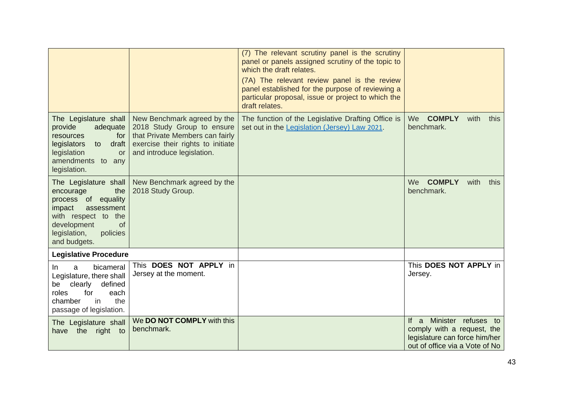|                                                                                                                                                                                  |                                                                                                                                                                 | (7) The relevant scrutiny panel is the scrutiny<br>panel or panels assigned scrutiny of the topic to<br>which the draft relates.<br>(7A) The relevant review panel is the review<br>panel established for the purpose of reviewing a<br>particular proposal, issue or project to which the<br>draft relates. |                                                                                                                                |
|----------------------------------------------------------------------------------------------------------------------------------------------------------------------------------|-----------------------------------------------------------------------------------------------------------------------------------------------------------------|--------------------------------------------------------------------------------------------------------------------------------------------------------------------------------------------------------------------------------------------------------------------------------------------------------------|--------------------------------------------------------------------------------------------------------------------------------|
| The Legislature shall<br>provide<br>adequate<br>for<br>resources<br>draft<br>legislators<br>to<br>legislation<br><b>or</b><br>amendments to any<br>legislation.                  | New Benchmark agreed by the<br>2018 Study Group to ensure<br>that Private Members can fairly<br>exercise their rights to initiate<br>and introduce legislation. | The function of the Legislative Drafting Office is<br>set out in the Legislation (Jersey) Law 2021.                                                                                                                                                                                                          | We COMPLY<br>with<br>this<br>benchmark.                                                                                        |
| The Legislature shall<br>encourage<br>the<br>process of equality<br>impact<br>assessment<br>with respect to the<br>development<br>of<br>legislation,<br>policies<br>and budgets. | New Benchmark agreed by the<br>2018 Study Group.                                                                                                                |                                                                                                                                                                                                                                                                                                              | <b>COMPLY</b><br>with<br>We<br>this<br>benchmark.                                                                              |
| <b>Legislative Procedure</b>                                                                                                                                                     |                                                                                                                                                                 |                                                                                                                                                                                                                                                                                                              |                                                                                                                                |
| bicameral<br>In.<br>a<br>Legislature, there shall<br>clearly<br>defined<br>be<br>roles<br>for<br>each<br>the<br>chamber<br>in.<br>passage of legislation.                        | This DOES NOT APPLY in<br>Jersey at the moment.                                                                                                                 |                                                                                                                                                                                                                                                                                                              | This DOES NOT APPLY in<br>Jersey.                                                                                              |
| The Legislature shall<br>right to<br>the<br>have                                                                                                                                 | We DO NOT COMPLY with this<br>benchmark.                                                                                                                        |                                                                                                                                                                                                                                                                                                              | Minister refuses to<br>If $a$<br>comply with a request, the<br>legislature can force him/her<br>out of office via a Vote of No |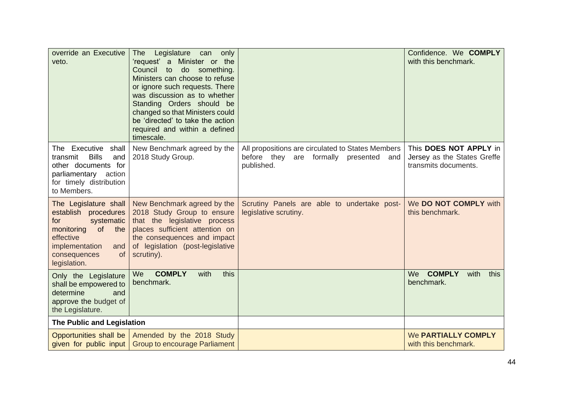| override an Executive<br>veto.                                                                                                                                             | <b>The</b><br>Legislature can<br>only<br>'request' a Minister or the<br>Council<br>do something.<br>to<br>Ministers can choose to refuse<br>or ignore such requests. There<br>was discussion as to whether<br>Standing Orders should be<br>changed so that Ministers could<br>be 'directed' to take the action<br>required and within a defined<br>timescale. |                                                                                                              | Confidence. We COMPLY<br>with this benchmark.                                 |
|----------------------------------------------------------------------------------------------------------------------------------------------------------------------------|---------------------------------------------------------------------------------------------------------------------------------------------------------------------------------------------------------------------------------------------------------------------------------------------------------------------------------------------------------------|--------------------------------------------------------------------------------------------------------------|-------------------------------------------------------------------------------|
| The Executive<br>shall<br><b>Bills</b><br>transmit<br>and<br>other documents for<br>parliamentary action<br>for timely distribution<br>to Members.                         | New Benchmark agreed by the<br>2018 Study Group.                                                                                                                                                                                                                                                                                                              | All propositions are circulated to States Members<br>before they are formally presented<br>and<br>published. | This DOES NOT APPLY in<br>Jersey as the States Greffe<br>transmits documents. |
| The Legislature shall<br>establish procedures<br>systematic<br>for<br>monitoring of the<br>effective<br>implementation<br>and<br><b>of</b><br>consequences<br>legislation. | New Benchmark agreed by the<br>2018 Study Group to ensure<br>that the legislative process<br>places sufficient attention on<br>the consequences and impact<br>of legislation (post-legislative<br>scrutiny).                                                                                                                                                  | Scrutiny Panels are able to undertake post-<br>legislative scrutiny.                                         | We DO NOT COMPLY with<br>this benchmark.                                      |
| Only the Legislature<br>shall be empowered to<br>determine<br>and<br>approve the budget of<br>the Legislature.                                                             | <b>COMPLY</b><br>We<br>with<br>this<br>benchmark.                                                                                                                                                                                                                                                                                                             |                                                                                                              | <b>COMPLY</b><br>We<br>with<br>this<br>benchmark.                             |
| The Public and Legislation                                                                                                                                                 |                                                                                                                                                                                                                                                                                                                                                               |                                                                                                              |                                                                               |
| Opportunities shall be<br>given for public input                                                                                                                           | Amended by the 2018 Study<br><b>Group to encourage Parliament</b>                                                                                                                                                                                                                                                                                             |                                                                                                              | <b>We PARTIALLY COMPLY</b><br>with this benchmark.                            |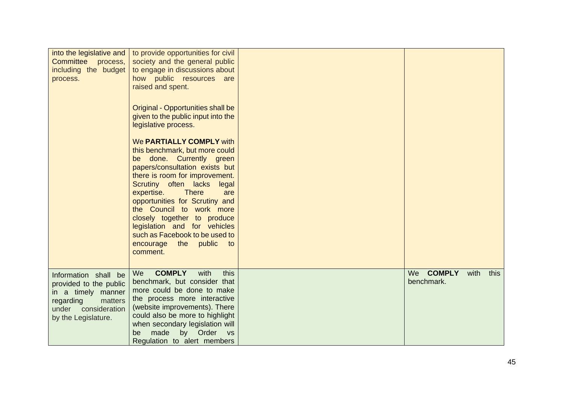| into the legislative and<br>Committee process,<br>including the budget<br>process.                                                            | to provide opportunities for civil<br>society and the general public<br>to engage in discussions about<br>how public resources are<br>raised and spent.                                                                                                                                                                                                                                                                                         |                                                   |
|-----------------------------------------------------------------------------------------------------------------------------------------------|-------------------------------------------------------------------------------------------------------------------------------------------------------------------------------------------------------------------------------------------------------------------------------------------------------------------------------------------------------------------------------------------------------------------------------------------------|---------------------------------------------------|
|                                                                                                                                               | Original - Opportunities shall be<br>given to the public input into the<br>legislative process.                                                                                                                                                                                                                                                                                                                                                 |                                                   |
|                                                                                                                                               | We PARTIALLY COMPLY with<br>this benchmark, but more could<br>done. Currently green<br>be<br>papers/consultation exists but<br>there is room for improvement.<br>Scrutiny often lacks<br>legal<br><b>There</b><br>expertise.<br>are<br>opportunities for Scrutiny and<br>the Council to work more<br>closely together to produce<br>legislation and for vehicles<br>such as Facebook to be used to<br>the public<br>encourage<br>to<br>comment. |                                                   |
| Information shall be<br>provided to the public<br>in a timely manner<br>regarding<br>matters<br>consideration<br>under<br>by the Legislature. | <b>COMPLY</b><br>with<br>We<br>this<br>benchmark, but consider that<br>more could be done to make<br>the process more interactive<br>(website improvements). There<br>could also be more to highlight<br>when secondary legislation will<br>made<br>by Order<br>be<br><b>VS</b><br>Regulation to alert members                                                                                                                                  | <b>COMPLY</b><br>We<br>with<br>this<br>benchmark. |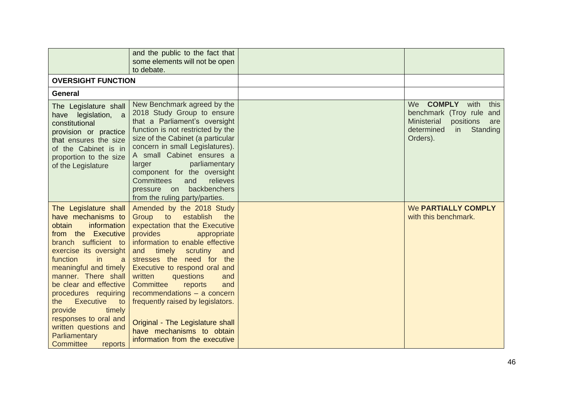|                                                                                                                                                                                                                                                                                                                                                                                                                 | and the public to the fact that<br>some elements will not be open<br>to debate.                                                                                                                                                                                                                                                                                                                                                                                                                       |                                                                                                                                                       |
|-----------------------------------------------------------------------------------------------------------------------------------------------------------------------------------------------------------------------------------------------------------------------------------------------------------------------------------------------------------------------------------------------------------------|-------------------------------------------------------------------------------------------------------------------------------------------------------------------------------------------------------------------------------------------------------------------------------------------------------------------------------------------------------------------------------------------------------------------------------------------------------------------------------------------------------|-------------------------------------------------------------------------------------------------------------------------------------------------------|
| <b>OVERSIGHT FUNCTION</b>                                                                                                                                                                                                                                                                                                                                                                                       |                                                                                                                                                                                                                                                                                                                                                                                                                                                                                                       |                                                                                                                                                       |
| General                                                                                                                                                                                                                                                                                                                                                                                                         |                                                                                                                                                                                                                                                                                                                                                                                                                                                                                                       |                                                                                                                                                       |
| The Legislature shall<br>have legislation, a<br>constitutional<br>provision or practice<br>that ensures the size<br>of the Cabinet is in<br>proportion to the size<br>of the Legislature                                                                                                                                                                                                                        | New Benchmark agreed by the<br>2018 Study Group to ensure<br>that a Parliament's oversight<br>function is not restricted by the<br>size of the Cabinet (a particular<br>concern in small Legislatures).<br>A small Cabinet ensures a<br>parliamentary<br>larger<br>component for the oversight<br><b>Committees</b><br>relieves<br>and<br>backbenchers<br>pressure on<br>from the ruling party/parties.                                                                                               | <b>COMPLY</b><br>with<br>We<br>this<br>benchmark (Troy rule and<br><b>Ministerial</b><br>positions<br>are<br>determined<br>Standing<br>in<br>Orders). |
| The Legislature shall<br>have mechanisms to<br>information<br>obtain<br>from the Executive<br>branch sufficient to<br>exercise its oversight<br>function<br>in<br>a<br>meaningful and timely<br>manner. There shall<br>be clear and effective<br>procedures requiring<br>Executive<br>the<br>to<br>provide<br>timely<br>responses to oral and<br>written questions and<br>Parliamentary<br>Committee<br>reports | Amended by the 2018 Study<br>Group<br>to<br>establish<br>the<br>expectation that the Executive<br>provides<br>appropriate<br>information to enable effective<br>timely<br>scrutiny<br>and<br>and<br>stresses the need for the<br>Executive to respond oral and<br>written<br>questions<br>and<br>Committee<br>reports<br>and<br>recommendations $-$ a concern<br>frequently raised by legislators.<br>Original - The Legislature shall<br>have mechanisms to obtain<br>information from the executive | <b>We PARTIALLY COMPLY</b><br>with this benchmark.                                                                                                    |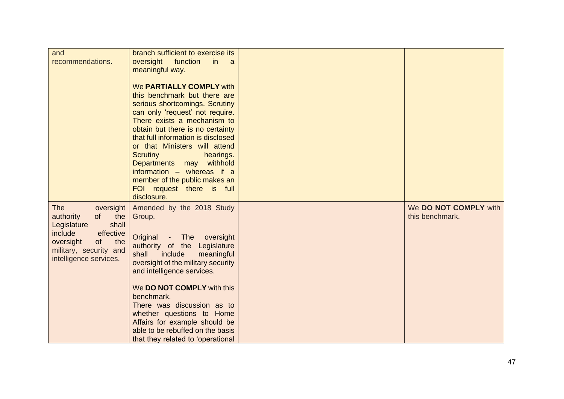| and                     | branch sufficient to exercise its  |                       |
|-------------------------|------------------------------------|-----------------------|
| recommendations.        | oversight<br>function<br>in<br>- a |                       |
|                         | meaningful way.                    |                       |
|                         |                                    |                       |
|                         | We PARTIALLY COMPLY with           |                       |
|                         | this benchmark but there are       |                       |
|                         | serious shortcomings. Scrutiny     |                       |
|                         | can only 'request' not require.    |                       |
|                         | There exists a mechanism to        |                       |
|                         | obtain but there is no certainty   |                       |
|                         | that full information is disclosed |                       |
|                         | or that Ministers will attend      |                       |
|                         | <b>Scrutiny</b><br>hearings.       |                       |
|                         | Departments may withhold           |                       |
|                         | information - whereas if a         |                       |
|                         | member of the public makes an      |                       |
|                         |                                    |                       |
|                         | FOI request there is full          |                       |
|                         | disclosure.                        |                       |
| <b>The</b><br>oversight | Amended by the 2018 Study          | We DO NOT COMPLY with |
| of<br>the<br>authority  | Group.                             | this benchmark.       |
| shall<br>Legislature    |                                    |                       |
| include<br>effective    | Original - The oversight           |                       |
| the<br>oversight<br>of  | authority of the Legislature       |                       |
| military, security and  | include<br>shall<br>meaningful     |                       |
| intelligence services.  | oversight of the military security |                       |
|                         | and intelligence services.         |                       |
|                         |                                    |                       |
|                         | We DO NOT COMPLY with this         |                       |
|                         | benchmark.                         |                       |
|                         | There was discussion as to         |                       |
|                         | whether questions to Home          |                       |
|                         | Affairs for example should be      |                       |
|                         | able to be rebuffed on the basis   |                       |
|                         |                                    |                       |
|                         | that they related to 'operational  |                       |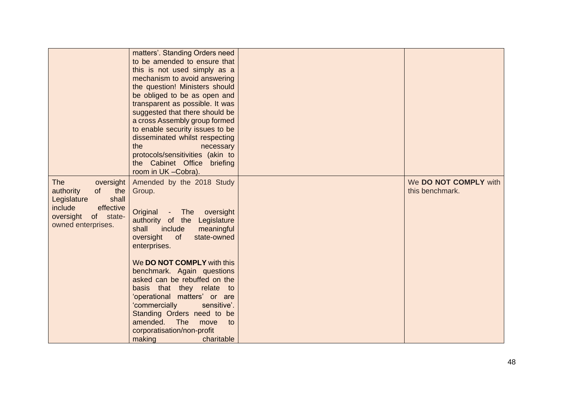|                                                                                                                                                   | matters'. Standing Orders need<br>to be amended to ensure that<br>this is not used simply as a<br>mechanism to avoid answering<br>the question! Ministers should<br>be obliged to be as open and<br>transparent as possible. It was<br>suggested that there should be<br>a cross Assembly group formed<br>to enable security issues to be<br>disseminated whilst respecting<br>the<br>necessary<br>protocols/sensitivities (akin to<br>the Cabinet Office briefing<br>room in UK - Cobra). |                                          |
|---------------------------------------------------------------------------------------------------------------------------------------------------|--------------------------------------------------------------------------------------------------------------------------------------------------------------------------------------------------------------------------------------------------------------------------------------------------------------------------------------------------------------------------------------------------------------------------------------------------------------------------------------------|------------------------------------------|
| <b>The</b><br>oversight<br>the<br>authority<br>of<br>shall<br>Legislature<br>include<br>effective<br>of state-<br>oversight<br>owned enterprises. | Amended by the 2018 Study<br>Group.<br>Original<br>The<br>oversight<br>$\sim$<br>authority of the Legislature<br>include<br>shall<br>meaningful<br>oversight<br>of<br>state-owned<br>enterprises.                                                                                                                                                                                                                                                                                          | We DO NOT COMPLY with<br>this benchmark. |
|                                                                                                                                                   | We DO NOT COMPLY with this<br>benchmark. Again questions<br>asked can be rebuffed on the<br>basis that they relate to<br>'operational matters' or are<br>sensitive'.<br>'commercially<br>Standing Orders need to be<br>amended.<br><b>The</b><br>to<br>move<br>corporatisation/non-profit<br>making<br>charitable                                                                                                                                                                          |                                          |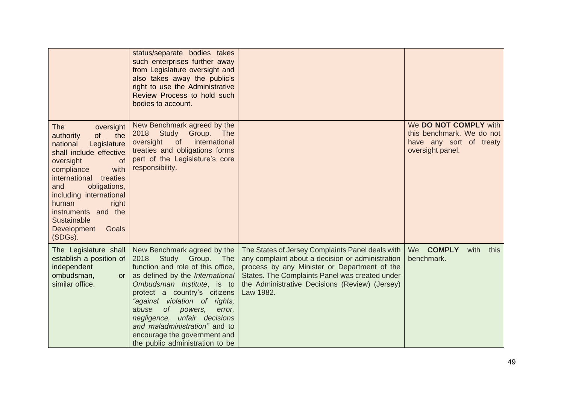|                                                                                                                                                                                                                                                                                                                                   | status/separate bodies takes<br>such enterprises further away<br>from Legislature oversight and<br>also takes away the public's<br>right to use the Administrative<br>Review Process to hold such<br>bodies to account.                                                                                                                                                                                   |                                                                                                                                                                                                                                                                       |                                                                                                   |
|-----------------------------------------------------------------------------------------------------------------------------------------------------------------------------------------------------------------------------------------------------------------------------------------------------------------------------------|-----------------------------------------------------------------------------------------------------------------------------------------------------------------------------------------------------------------------------------------------------------------------------------------------------------------------------------------------------------------------------------------------------------|-----------------------------------------------------------------------------------------------------------------------------------------------------------------------------------------------------------------------------------------------------------------------|---------------------------------------------------------------------------------------------------|
| <b>The</b><br>oversight<br>of<br>the<br>authority<br>Legislature<br>national<br>shall include effective<br>oversight<br><b>of</b><br>with<br>compliance<br>international<br>treaties<br>and<br>obligations,<br>including international<br>human<br>right<br>instruments and the<br>Sustainable<br>Development<br>Goals<br>(SDGs). | New Benchmark agreed by the<br>2018 Study Group. The<br>of<br>international<br>oversight<br>treaties and obligations forms<br>part of the Legislature's core<br>responsibility.                                                                                                                                                                                                                           |                                                                                                                                                                                                                                                                       | We DO NOT COMPLY with<br>this benchmark. We do not<br>have any sort of treaty<br>oversight panel. |
| The Legislature shall<br>establish a position of<br>independent<br>ombudsman,<br>or<br>similar office.                                                                                                                                                                                                                            | New Benchmark agreed by the<br>2018<br>Study Group. The<br>function and role of this office,<br>as defined by the International<br>Ombudsman Institute, is to<br>protect a country's citizens<br>"against violation of rights,<br>abuse<br>of __<br>powers,<br>error,<br>negligence, unfair decisions<br>and maladministration" and to<br>encourage the government and<br>the public administration to be | The States of Jersey Complaints Panel deals with<br>any complaint about a decision or administration<br>process by any Minister or Department of the<br>States. The Complaints Panel was created under<br>the Administrative Decisions (Review) (Jersey)<br>Law 1982. | <b>COMPLY</b><br>We<br>with<br>this<br>benchmark.                                                 |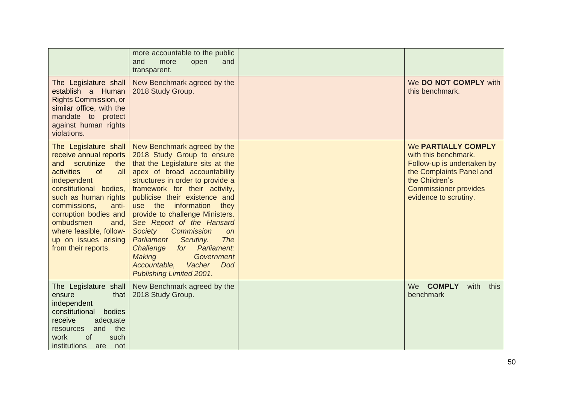|                                                                                                                                                                                                                                                                                                                       | more accountable to the public<br>and<br>more<br>open<br>and<br>transparent.                                                                                                                                                                                                                                                                                                                                                                                                                                                              |                                                                                                                                                                                  |
|-----------------------------------------------------------------------------------------------------------------------------------------------------------------------------------------------------------------------------------------------------------------------------------------------------------------------|-------------------------------------------------------------------------------------------------------------------------------------------------------------------------------------------------------------------------------------------------------------------------------------------------------------------------------------------------------------------------------------------------------------------------------------------------------------------------------------------------------------------------------------------|----------------------------------------------------------------------------------------------------------------------------------------------------------------------------------|
| The Legislature shall<br>establish a Human<br><b>Rights Commission, or</b><br>similar office, with the<br>mandate to protect<br>against human rights<br>violations.                                                                                                                                                   | New Benchmark agreed by the<br>2018 Study Group.                                                                                                                                                                                                                                                                                                                                                                                                                                                                                          | We DO NOT COMPLY with<br>this benchmark.                                                                                                                                         |
| The Legislature shall<br>receive annual reports<br>and scrutinize<br>the<br>activities<br>of<br>all<br>independent<br>constitutional bodies,<br>such as human rights<br>commissions,<br>anti-<br>corruption bodies and<br>ombudsmen<br>and,<br>where feasible, follow-<br>up on issues arising<br>from their reports. | New Benchmark agreed by the<br>2018 Study Group to ensure<br>that the Legislature sits at the<br>apex of broad accountability<br>structures in order to provide a<br>framework for their activity,<br>publicise their existence and<br>use the<br>information<br>they<br>provide to challenge Ministers.<br>See Report of the Hansard<br>Commission<br>Society<br>on<br>The<br>Parliament<br>Scrutiny.<br>Challenge<br>for Parliament:<br>Making<br><b>Government</b><br>Accountable,<br>Vacher<br><b>Dod</b><br>Publishing Limited 2001. | We PARTIALLY COMPLY<br>with this benchmark.<br>Follow-up is undertaken by<br>the Complaints Panel and<br>the Children's<br><b>Commissioner provides</b><br>evidence to scrutiny. |
| The Legislature shall<br>that<br>ensure<br>independent<br>constitutional<br>bodies<br>receive<br>adequate<br>and the<br>resources<br>work<br><b>of</b><br>such<br>institutions<br>not<br>are                                                                                                                          | New Benchmark agreed by the<br>2018 Study Group.                                                                                                                                                                                                                                                                                                                                                                                                                                                                                          | <b>COMPLY</b><br>We<br>with<br>this<br>benchmark                                                                                                                                 |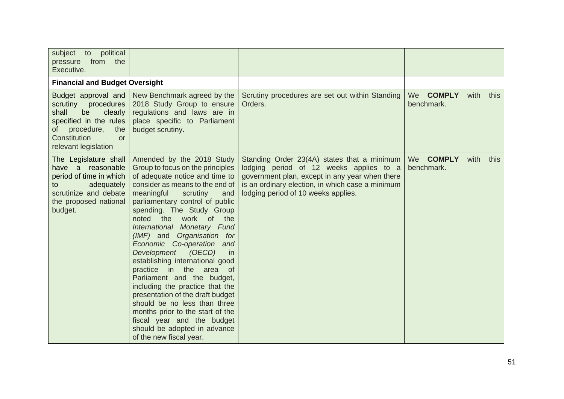| subject to political<br>pressure from the<br>Executive.                                                                                                                        |                                                                                                                                                                                                                                                                                                                                                                                                                                                                                                                                                                                                                                                                                                                                |                                                                                                                                                                                                                                     |                                          |      |      |
|--------------------------------------------------------------------------------------------------------------------------------------------------------------------------------|--------------------------------------------------------------------------------------------------------------------------------------------------------------------------------------------------------------------------------------------------------------------------------------------------------------------------------------------------------------------------------------------------------------------------------------------------------------------------------------------------------------------------------------------------------------------------------------------------------------------------------------------------------------------------------------------------------------------------------|-------------------------------------------------------------------------------------------------------------------------------------------------------------------------------------------------------------------------------------|------------------------------------------|------|------|
| <b>Financial and Budget Oversight</b>                                                                                                                                          |                                                                                                                                                                                                                                                                                                                                                                                                                                                                                                                                                                                                                                                                                                                                |                                                                                                                                                                                                                                     |                                          |      |      |
| Budget approval and<br>scrutiny<br>procedures<br>shall<br>clearly<br>be<br>specified in the rules<br>of procedure,<br>the<br>Constitution<br><b>or</b><br>relevant legislation | New Benchmark agreed by the<br>2018 Study Group to ensure<br>regulations and laws are in<br>place specific to Parliament<br>budget scrutiny.                                                                                                                                                                                                                                                                                                                                                                                                                                                                                                                                                                                   | Scrutiny procedures are set out within Standing<br>Orders.                                                                                                                                                                          | We COMPLY<br>benchmark.                  | with | this |
| The Legislature shall<br>have a reasonable<br>period of time in which<br>adequately<br>to<br>scrutinize and debate<br>the proposed national<br>budget.                         | Amended by the 2018 Study<br>Group to focus on the principles<br>of adequate notice and time to<br>consider as means to the end of<br>meaningful<br>scrutiny<br>and<br>parliamentary control of public<br>spending. The Study Group<br>noted the<br>work of<br>the<br>International Monetary Fund<br>(IMF) and Organisation for<br>Economic Co-operation and<br>Development<br>(OECD)<br>in<br>establishing international good<br>practice in the area<br>of<br>Parliament and the budget,<br>including the practice that the<br>presentation of the draft budget<br>should be no less than three<br>months prior to the start of the<br>fiscal year and the budget<br>should be adopted in advance<br>of the new fiscal year. | Standing Order 23(4A) states that a minimum<br>lodging period of 12 weeks applies to a<br>government plan, except in any year when there<br>is an ordinary election, in which case a minimum<br>lodging period of 10 weeks applies. | <b>We</b><br><b>COMPLY</b><br>benchmark. | with | this |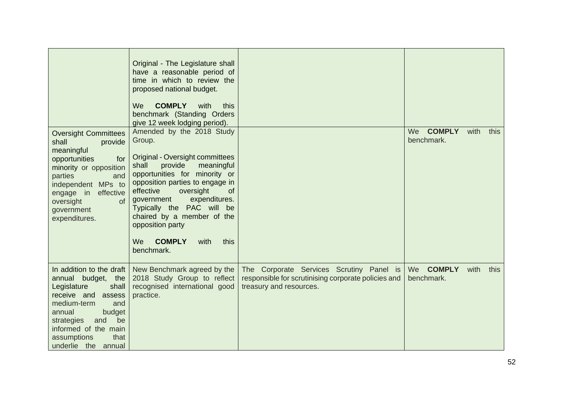|                                                                                                                                                                                                                                               | Original - The Legislature shall<br>have a reasonable period of<br>time in which to review the<br>proposed national budget.<br><b>COMPLY</b><br>We<br>with<br>this<br>benchmark (Standing Orders<br>give 12 week lodging period).                                                                                                                                               |                                                                                                                            |                                   |      |      |
|-----------------------------------------------------------------------------------------------------------------------------------------------------------------------------------------------------------------------------------------------|---------------------------------------------------------------------------------------------------------------------------------------------------------------------------------------------------------------------------------------------------------------------------------------------------------------------------------------------------------------------------------|----------------------------------------------------------------------------------------------------------------------------|-----------------------------------|------|------|
| <b>Oversight Committees</b><br>shall<br>provide<br>meaningful<br>opportunities<br>for<br>minority or opposition<br>parties<br>and<br>independent MPs to<br>engage in effective<br>oversight<br><b>of</b><br>government<br>expenditures.       | Amended by the 2018 Study<br>Group.<br>Original - Oversight committees<br>provide<br>shall<br>meaningful<br>opportunities for minority or<br>opposition parties to engage in<br>oversight<br>effective<br>of<br>government<br>expenditures.<br>Typically the PAC will be<br>chaired by a member of the<br>opposition party<br><b>COMPLY</b><br>We<br>this<br>with<br>benchmark. |                                                                                                                            | <b>COMPLY</b><br>We<br>benchmark. | with | this |
| In addition to the draft<br>annual budget, the<br>Legislature<br>shall<br>receive and<br>assess<br>medium-term<br>and<br>budget<br>annual<br>be<br>strategies<br>and<br>informed of the main<br>assumptions<br>that<br>underlie the<br>annual | New Benchmark agreed by the<br>2018 Study Group to reflect<br>recognised international good<br>practice.                                                                                                                                                                                                                                                                        | The Corporate Services Scrutiny Panel is<br>responsible for scrutinising corporate policies and<br>treasury and resources. | We COMPLY<br>benchmark.           | with | this |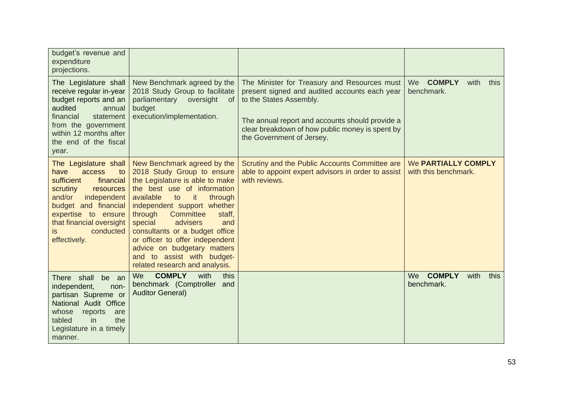| budget's revenue and<br>expenditure<br>projections.                                                                                                                                                                                       |                                                                                                                                                                                                                                                                                                                                                                                                                                    |                                                                                                                                                                                                                                                             |                                                   |
|-------------------------------------------------------------------------------------------------------------------------------------------------------------------------------------------------------------------------------------------|------------------------------------------------------------------------------------------------------------------------------------------------------------------------------------------------------------------------------------------------------------------------------------------------------------------------------------------------------------------------------------------------------------------------------------|-------------------------------------------------------------------------------------------------------------------------------------------------------------------------------------------------------------------------------------------------------------|---------------------------------------------------|
| The Legislature shall<br>receive regular in-year<br>budget reports and an<br>audited<br>annual<br>financial<br>statement<br>from the government<br>within 12 months after<br>the end of the fiscal<br>year.                               | New Benchmark agreed by the<br>2018 Study Group to facilitate<br>parliamentary<br>oversight<br>of<br>budget<br>execution/implementation.                                                                                                                                                                                                                                                                                           | The Minister for Treasury and Resources must<br>present signed and audited accounts each year<br>to the States Assembly.<br>The annual report and accounts should provide a<br>clear breakdown of how public money is spent by<br>the Government of Jersey. | We COMPLY<br>with<br>this<br>benchmark.           |
| The Legislature shall<br>have<br>access<br>to<br>sufficient<br>financial<br>scrutiny<br>resources<br>and/or<br>independent<br>budget and financial<br>expertise to ensure<br>that financial oversight<br>conducted<br>is.<br>effectively. | New Benchmark agreed by the<br>2018 Study Group to ensure<br>the Legislature is able to make<br>the best use of information<br>it<br>available<br>to<br>through<br>independent support whether<br>Committee<br>through<br>staff,<br>special<br>advisers<br>and<br>consultants or a budget office<br>or officer to offer independent<br>advice on budgetary matters<br>and to assist with budget-<br>related research and analysis. | Scrutiny and the Public Accounts Committee are<br>able to appoint expert advisors in order to assist<br>with reviews.                                                                                                                                       | We PARTIALLY COMPLY<br>with this benchmark.       |
| There shall<br>be an<br>independent,<br>non-<br>partisan Supreme or<br>National Audit Office<br>whose<br>reports<br>are<br>the<br>tabled<br><i>in</i><br>Legislature in a timely<br>manner.                                               | <b>COMPLY</b><br>with<br>We<br>this<br>benchmark (Comptroller<br>and<br><b>Auditor General)</b>                                                                                                                                                                                                                                                                                                                                    |                                                                                                                                                                                                                                                             | <b>COMPLY</b><br>We<br>with<br>this<br>benchmark. |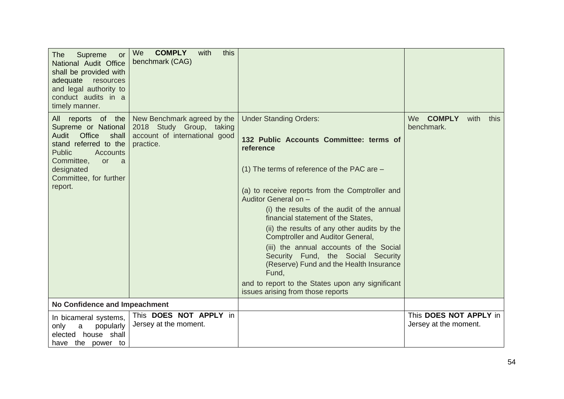| The<br>Supreme<br><b>or</b><br>National Audit Office<br>shall be provided with<br>adequate<br>resources<br>and legal authority to<br>conduct audits in a<br>timely manner.                                            | We<br><b>COMPLY</b><br>with<br>this<br>benchmark (CAG)                                                |                                                                                                                                                                                                                                                                                                                                                                                                                                                                                                                                                                                                                               |                                                   |
|-----------------------------------------------------------------------------------------------------------------------------------------------------------------------------------------------------------------------|-------------------------------------------------------------------------------------------------------|-------------------------------------------------------------------------------------------------------------------------------------------------------------------------------------------------------------------------------------------------------------------------------------------------------------------------------------------------------------------------------------------------------------------------------------------------------------------------------------------------------------------------------------------------------------------------------------------------------------------------------|---------------------------------------------------|
| All reports of the<br>Supreme or National<br>Office<br>Audit<br>shall<br>stand referred to the<br><b>Public</b><br><b>Accounts</b><br>Committee,<br><b>or</b><br>a<br>designated<br>Committee, for further<br>report. | New Benchmark agreed by the<br>2018 Study Group, taking<br>account of international good<br>practice. | <b>Under Standing Orders:</b><br>132 Public Accounts Committee: terms of<br>reference<br>(1) The terms of reference of the PAC are $-$<br>(a) to receive reports from the Comptroller and<br>Auditor General on -<br>(i) the results of the audit of the annual<br>financial statement of the States,<br>(ii) the results of any other audits by the<br><b>Comptroller and Auditor General,</b><br>(iii) the annual accounts of the Social<br>Security Fund, the Social Security<br>(Reserve) Fund and the Health Insurance<br>Fund,<br>and to report to the States upon any significant<br>issues arising from those reports | <b>COMPLY</b><br>We<br>with<br>this<br>benchmark. |
| <b>No Confidence and Impeachment</b>                                                                                                                                                                                  |                                                                                                       |                                                                                                                                                                                                                                                                                                                                                                                                                                                                                                                                                                                                                               |                                                   |
| In bicameral systems,<br>popularly<br>only<br>a<br>elected house shall<br>have the power to                                                                                                                           | This DOES NOT APPLY in<br>Jersey at the moment.                                                       |                                                                                                                                                                                                                                                                                                                                                                                                                                                                                                                                                                                                                               | This DOES NOT APPLY in<br>Jersey at the moment.   |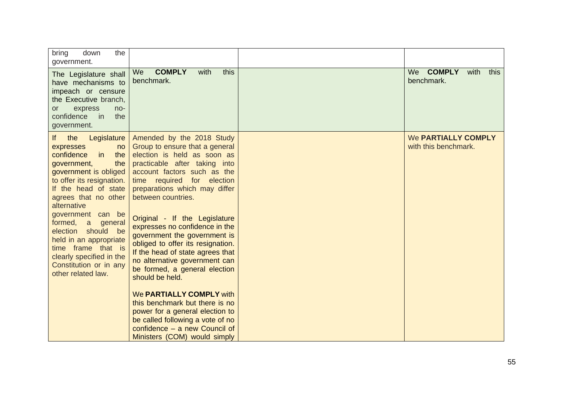| bring<br>down<br>the<br>government.                                                                                                                                                                                                                                                                                                                                                                                     |                                                                                                                                                                                                                                                                                                                                                                                                                                                                                                                                                                                                                                                                                                                                 |                                                    |
|-------------------------------------------------------------------------------------------------------------------------------------------------------------------------------------------------------------------------------------------------------------------------------------------------------------------------------------------------------------------------------------------------------------------------|---------------------------------------------------------------------------------------------------------------------------------------------------------------------------------------------------------------------------------------------------------------------------------------------------------------------------------------------------------------------------------------------------------------------------------------------------------------------------------------------------------------------------------------------------------------------------------------------------------------------------------------------------------------------------------------------------------------------------------|----------------------------------------------------|
| The Legislature shall<br>have mechanisms to<br>impeach or censure<br>the Executive branch,<br>express<br>no-<br><b>or</b><br>confidence<br>the<br>in in<br>government.                                                                                                                                                                                                                                                  | <b>COMPLY</b><br>this<br>with<br><b>We</b><br>benchmark.                                                                                                                                                                                                                                                                                                                                                                                                                                                                                                                                                                                                                                                                        | <b>COMPLY</b><br>with<br>We<br>this<br>benchmark.  |
| the<br>Legislature<br>lf.<br>expresses<br>no<br>confidence<br>the<br>in<br>government,<br>the<br>government is obliged<br>to offer its resignation.<br>If the head of state<br>agrees that no other<br>alternative<br>government can be<br>formed,<br>a<br>general<br>election should<br>be<br>held in an appropriate<br>time frame that is<br>clearly specified in the<br>Constitution or in any<br>other related law. | Amended by the 2018 Study<br>Group to ensure that a general<br>election is held as soon as<br>practicable after taking into<br>account factors such as the<br>time required for election<br>preparations which may differ<br>between countries.<br>Original - If the Legislature<br>expresses no confidence in the<br>government the government is<br>obliged to offer its resignation.<br>If the head of state agrees that<br>no alternative government can<br>be formed, a general election<br>should be held.<br>We <b>PARTIALLY COMPLY</b> with<br>this benchmark but there is no<br>power for a general election to<br>be called following a vote of no<br>confidence $-$ a new Council of<br>Ministers (COM) would simply | <b>We PARTIALLY COMPLY</b><br>with this benchmark. |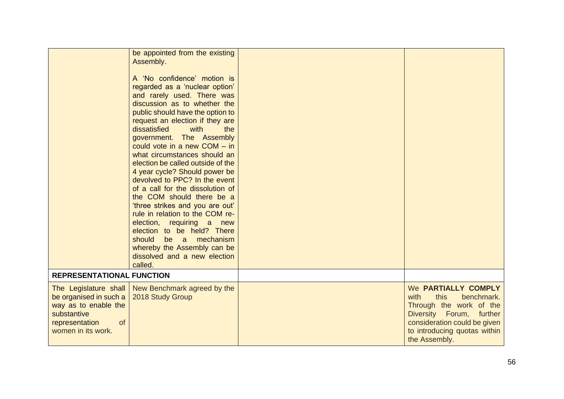|                                                                                                                                      | be appointed from the existing<br>Assembly.<br>A 'No confidence' motion is<br>regarded as a 'nuclear option'<br>and rarely used. There was<br>discussion as to whether the<br>public should have the option to<br>request an election if they are<br>dissatisfied<br>with<br>the<br>government. The Assembly<br>could vote in a new $COM - in$<br>what circumstances should an<br>election be called outside of the<br>4 year cycle? Should power be<br>devolved to PPC? In the event<br>of a call for the dissolution of<br>the COM should there be a<br>'three strikes and you are out'<br>rule in relation to the COM re-<br>election, requiring a new<br>election to be held? There<br>should<br>mechanism<br>be a<br>whereby the Assembly can be<br>dissolved and a new election<br>called. |                                                                                                                                                                                           |
|--------------------------------------------------------------------------------------------------------------------------------------|--------------------------------------------------------------------------------------------------------------------------------------------------------------------------------------------------------------------------------------------------------------------------------------------------------------------------------------------------------------------------------------------------------------------------------------------------------------------------------------------------------------------------------------------------------------------------------------------------------------------------------------------------------------------------------------------------------------------------------------------------------------------------------------------------|-------------------------------------------------------------------------------------------------------------------------------------------------------------------------------------------|
| <b>REPRESENTATIONAL FUNCTION</b>                                                                                                     |                                                                                                                                                                                                                                                                                                                                                                                                                                                                                                                                                                                                                                                                                                                                                                                                  |                                                                                                                                                                                           |
| The Legislature shall<br>be organised in such a<br>way as to enable the<br>substantive<br>of<br>representation<br>women in its work. | New Benchmark agreed by the<br>2018 Study Group                                                                                                                                                                                                                                                                                                                                                                                                                                                                                                                                                                                                                                                                                                                                                  | We PARTIALLY COMPLY<br>this<br>benchmark.<br>with<br>Through the work of the<br>Diversity Forum, further<br>consideration could be given<br>to introducing quotas within<br>the Assembly. |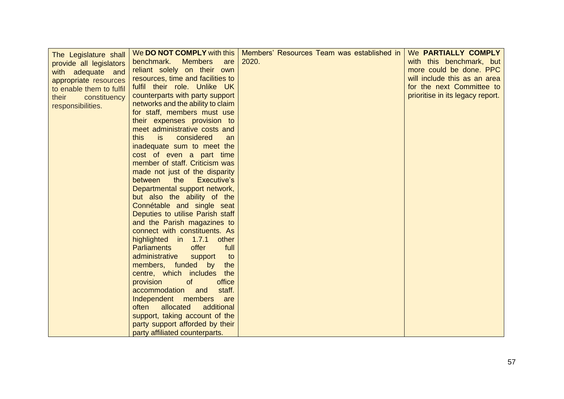| The Legislature shall    | We <b>DO NOT COMPLY</b> with this     | Members' Resources Team was established in | We PARTIALLY COMPLY              |
|--------------------------|---------------------------------------|--------------------------------------------|----------------------------------|
| provide all legislators  | benchmark.<br><b>Members</b><br>are   | 2020.                                      | with this benchmark, but         |
| with adequate and        | reliant solely on their own           |                                            | more could be done. PPC          |
| appropriate resources    | resources, time and facilities to     |                                            | will include this as an area     |
| to enable them to fulfil | fulfil their role. Unlike UK          |                                            | for the next Committee to        |
| their<br>constituency    | counterparts with party support       |                                            | prioritise in its legacy report. |
| responsibilities.        | networks and the ability to claim     |                                            |                                  |
|                          | for staff, members must use           |                                            |                                  |
|                          | their expenses provision to           |                                            |                                  |
|                          | meet administrative costs and         |                                            |                                  |
|                          | this<br><i>is</i><br>considered<br>an |                                            |                                  |
|                          | inadequate sum to meet the            |                                            |                                  |
|                          | cost of even a part time              |                                            |                                  |
|                          | member of staff. Criticism was        |                                            |                                  |
|                          | made not just of the disparity        |                                            |                                  |
|                          | between<br>the<br>Executive's         |                                            |                                  |
|                          | Departmental support network,         |                                            |                                  |
|                          | but also the ability of the           |                                            |                                  |
|                          | Connétable and single seat            |                                            |                                  |
|                          | Deputies to utilise Parish staff      |                                            |                                  |
|                          | and the Parish magazines to           |                                            |                                  |
|                          | connect with constituents. As         |                                            |                                  |
|                          | highlighted in 1.7.1<br>other         |                                            |                                  |
|                          | offer<br><b>Parliaments</b><br>full   |                                            |                                  |
|                          | administrative<br>support<br>to       |                                            |                                  |
|                          | members, funded by<br>the             |                                            |                                  |
|                          | centre, which includes<br>the         |                                            |                                  |
|                          | provision<br>office<br><sub>of</sub>  |                                            |                                  |
|                          | accommodation and<br>staff.           |                                            |                                  |
|                          | Independent members<br>are            |                                            |                                  |
|                          | additional<br>often<br>allocated      |                                            |                                  |
|                          | support, taking account of the        |                                            |                                  |
|                          | party support afforded by their       |                                            |                                  |
|                          | party affiliated counterparts.        |                                            |                                  |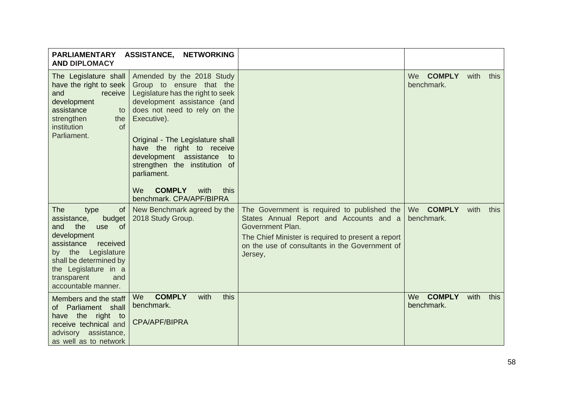| <b>AND DIPLOMACY</b>                                                                                                                                                                                                                              | PARLIAMENTARY ASSISTANCE, NETWORKING                                                                                                                                                                                                                                                                                                                                                         |                                                                                                                                                                                                                               |                                   |      |      |
|---------------------------------------------------------------------------------------------------------------------------------------------------------------------------------------------------------------------------------------------------|----------------------------------------------------------------------------------------------------------------------------------------------------------------------------------------------------------------------------------------------------------------------------------------------------------------------------------------------------------------------------------------------|-------------------------------------------------------------------------------------------------------------------------------------------------------------------------------------------------------------------------------|-----------------------------------|------|------|
| The Legislature shall<br>have the right to seek<br>and<br>receive<br>development<br>assistance<br>to<br>strengthen<br>the<br>institution<br>of<br>Parliament.                                                                                     | Amended by the 2018 Study<br>Group to ensure that the<br>Legislature has the right to seek<br>development assistance (and<br>does not need to rely on the<br>Executive).<br>Original - The Legislature shall<br>have the right to receive<br>development assistance<br>to<br>strengthen the institution of<br>parliament.<br><b>COMPLY</b><br>We<br>with<br>this<br>benchmark. CPA/APF/BIPRA |                                                                                                                                                                                                                               | We COMPLY<br>benchmark.           | with | this |
| The<br>type<br><sub>of</sub><br>assistance,<br>budget<br>the<br>of<br>and<br>use<br>development<br>assistance<br>received<br>Legislature<br>by the<br>shall be determined by<br>the Legislature in a<br>transparent<br>and<br>accountable manner. | New Benchmark agreed by the<br>2018 Study Group.                                                                                                                                                                                                                                                                                                                                             | The Government is required to published the<br>States Annual Report and Accounts and a<br>Government Plan.<br>The Chief Minister is required to present a report<br>on the use of consultants in the Government of<br>Jersey, | We COMPLY<br>benchmark.           | with | this |
| Members and the staff<br>of Parliament shall<br>have the right<br>to<br>receive technical and<br>advisory assistance,<br>as well as to network                                                                                                    | <b>COMPLY</b><br>with<br>this<br>We<br>benchmark.<br>CPA/APF/BIPRA                                                                                                                                                                                                                                                                                                                           |                                                                                                                                                                                                                               | <b>COMPLY</b><br>We<br>benchmark. | with | this |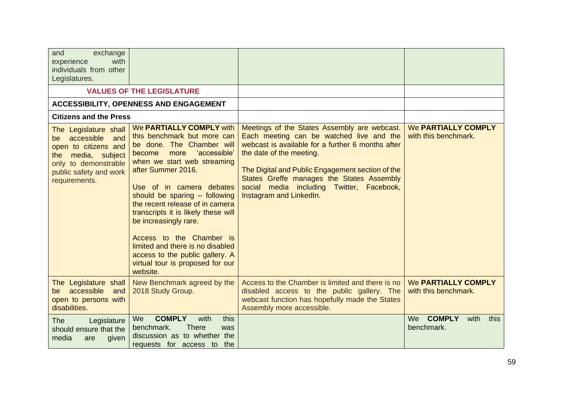| exchange<br>and<br>with<br>experience<br>individuals from other<br>Legislatures.                                                                                  |                                                                                                                                                                                                                                                                                                                                                                                                                                                                                                |                                                                                                                                                                                                                                                                                                                                                    |                                                    |
|-------------------------------------------------------------------------------------------------------------------------------------------------------------------|------------------------------------------------------------------------------------------------------------------------------------------------------------------------------------------------------------------------------------------------------------------------------------------------------------------------------------------------------------------------------------------------------------------------------------------------------------------------------------------------|----------------------------------------------------------------------------------------------------------------------------------------------------------------------------------------------------------------------------------------------------------------------------------------------------------------------------------------------------|----------------------------------------------------|
|                                                                                                                                                                   | <b>VALUES OF THE LEGISLATURE</b>                                                                                                                                                                                                                                                                                                                                                                                                                                                               |                                                                                                                                                                                                                                                                                                                                                    |                                                    |
|                                                                                                                                                                   | <b>ACCESSIBILITY, OPENNESS AND ENGAGEMENT</b>                                                                                                                                                                                                                                                                                                                                                                                                                                                  |                                                                                                                                                                                                                                                                                                                                                    |                                                    |
| <b>Citizens and the Press</b>                                                                                                                                     |                                                                                                                                                                                                                                                                                                                                                                                                                                                                                                |                                                                                                                                                                                                                                                                                                                                                    |                                                    |
| The Legislature shall<br>accessible<br>and<br>be<br>open to citizens and<br>the media, subject<br>only to demonstrable<br>public safety and work<br>requirements. | We PARTIALLY COMPLY with<br>this benchmark but more can<br>be done. The Chamber will<br>'accessible'<br>more<br>become<br>when we start web streaming<br>after Summer 2016.<br>Use of in camera debates<br>should be sparing - following<br>the recent release of in camera<br>transcripts it is likely these will<br>be increasingly rare.<br>Access to the Chamber is<br>limited and there is no disabled<br>access to the public gallery. A<br>virtual tour is proposed for our<br>website. | Meetings of the States Assembly are webcast.<br>Each meeting can be watched live and the<br>webcast is available for a further 6 months after<br>the date of the meeting.<br>The Digital and Public Engagement section of the<br>States Greffe manages the States Assembly<br>social media including Twitter, Facebook,<br>Instagram and LinkedIn. | <b>We PARTIALLY COMPLY</b><br>with this benchmark. |
| The Legislature shall<br>accessible<br>and<br>be<br>open to persons with<br>disabilities.                                                                         | New Benchmark agreed by the<br>2018 Study Group.                                                                                                                                                                                                                                                                                                                                                                                                                                               | Access to the Chamber is limited and there is no<br>disabled access to the public gallery. The<br>webcast function has hopefully made the States<br>Assembly more accessible.                                                                                                                                                                      | <b>We PARTIALLY COMPLY</b><br>with this benchmark. |
| <b>The</b><br>Legislature<br>should ensure that the<br>media<br>given<br>are                                                                                      | <b>COMPLY</b><br>with<br>We<br>this<br>benchmark.<br><b>There</b><br>was<br>discussion as to whether the<br>requests for access to<br>the                                                                                                                                                                                                                                                                                                                                                      |                                                                                                                                                                                                                                                                                                                                                    | <b>COMPLY</b><br>We<br>with<br>this<br>benchmark.  |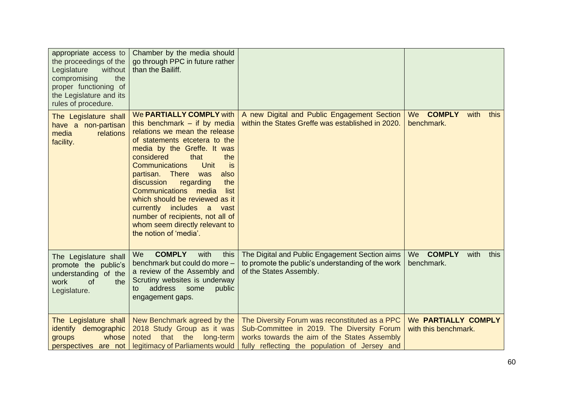| appropriate access to<br>the proceedings of the<br>Legislature<br>without<br>compromising<br>the<br>proper functioning of<br>the Legislature and its<br>rules of procedure. | Chamber by the media should<br>go through PPC in future rather<br>than the Bailiff.                                                                                                                                                                                                                                                                                                                                                                                                                                |                                                                                                                                                                                               |                                                   |
|-----------------------------------------------------------------------------------------------------------------------------------------------------------------------------|--------------------------------------------------------------------------------------------------------------------------------------------------------------------------------------------------------------------------------------------------------------------------------------------------------------------------------------------------------------------------------------------------------------------------------------------------------------------------------------------------------------------|-----------------------------------------------------------------------------------------------------------------------------------------------------------------------------------------------|---------------------------------------------------|
| The Legislature shall<br>have a non-partisan<br>media<br>relations<br>facility.                                                                                             | <b>We PARTIALLY COMPLY with</b><br>this benchmark $-$ if by media<br>relations we mean the release<br>of statements etcetera to the<br>media by the Greffe. It was<br>considered<br>that<br>the<br>Unit<br>Communications<br>is<br>partisan. There<br>also<br>was<br>regarding<br>the<br>discussion<br><b>Communications</b><br>media<br>list<br>which should be reviewed as it<br>currently includes<br>a<br>vast<br>number of recipients, not all of<br>whom seem directly relevant to<br>the notion of 'media'. | A new Digital and Public Engagement Section<br>within the States Greffe was established in 2020.                                                                                              | <b>COMPLY</b><br>We<br>with<br>this<br>benchmark. |
| The Legislature shall<br>promote the public's<br>understanding of the<br>work<br>of<br>the<br>Legislature.                                                                  | <b>COMPLY</b><br>We<br>with<br>this<br>benchmark but could do more -<br>a review of the Assembly and<br>Scrutiny websites is underway<br>address<br>public<br>some<br>to<br>engagement gaps.                                                                                                                                                                                                                                                                                                                       | The Digital and Public Engagement Section aims<br>to promote the public's understanding of the work<br>of the States Assembly.                                                                | <b>COMPLY</b><br>We<br>with<br>this<br>benchmark. |
| The Legislature shall<br>identify demographic<br>whose<br>groups<br>perspectives are not                                                                                    | New Benchmark agreed by the<br>2018 Study Group as it was<br>noted<br>that the<br>long-term<br>legitimacy of Parliaments would                                                                                                                                                                                                                                                                                                                                                                                     | The Diversity Forum was reconstituted as a PPC<br>Sub-Committee in 2019. The Diversity Forum<br>works towards the aim of the States Assembly<br>fully reflecting the population of Jersey and | We PARTIALLY COMPLY<br>with this benchmark.       |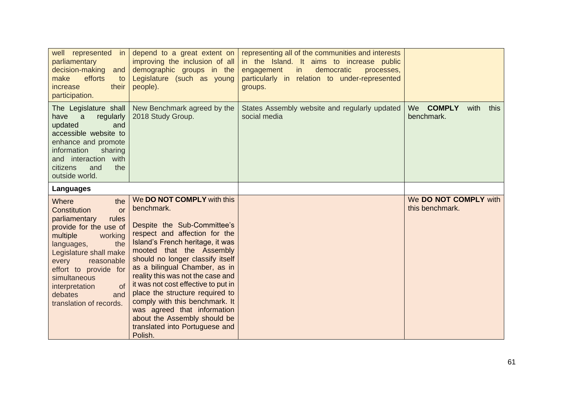| well represented<br>in in<br>parliamentary<br>decision-making<br>and<br>efforts<br>make<br>to<br>increase<br>their<br>participation.                                                                                                                                                                     | depend to a great extent on<br>improving the inclusion of all<br>demographic groups in the<br>Legislature (such as young<br>people).                                                                                                                                                                                                                                                                                                                                                                       | representing all of the communities and interests<br>in the Island. It aims to increase public<br>democratic<br>engagement<br>in<br>processes,<br>particularly in relation to under-represented<br>groups. |                                          |
|----------------------------------------------------------------------------------------------------------------------------------------------------------------------------------------------------------------------------------------------------------------------------------------------------------|------------------------------------------------------------------------------------------------------------------------------------------------------------------------------------------------------------------------------------------------------------------------------------------------------------------------------------------------------------------------------------------------------------------------------------------------------------------------------------------------------------|------------------------------------------------------------------------------------------------------------------------------------------------------------------------------------------------------------|------------------------------------------|
| The Legislature shall<br>regularly<br>have<br>a<br>updated<br>and<br>accessible website to<br>enhance and promote<br>information<br>sharing<br>and interaction with<br>the<br>citizens<br>and<br>outside world.                                                                                          | New Benchmark agreed by the<br>2018 Study Group.                                                                                                                                                                                                                                                                                                                                                                                                                                                           | States Assembly website and regularly updated<br>social media                                                                                                                                              | We COMPLY<br>with<br>this<br>benchmark.  |
| Languages                                                                                                                                                                                                                                                                                                |                                                                                                                                                                                                                                                                                                                                                                                                                                                                                                            |                                                                                                                                                                                                            |                                          |
| Where<br>the<br>Constitution<br>or<br>parliamentary<br>rules<br>provide for the use of<br>multiple<br>working<br>the<br>languages,<br>Legislature shall make<br>reasonable<br>every<br>effort to provide for<br>simultaneous<br>interpretation<br><b>of</b><br>debates<br>and<br>translation of records. | We DO NOT COMPLY with this<br>benchmark.<br>Despite the Sub-Committee's<br>respect and affection for the<br>Island's French heritage, it was<br>mooted that the Assembly<br>should no longer classify itself<br>as a bilingual Chamber, as in<br>reality this was not the case and<br>it was not cost effective to put in<br>place the structure required to<br>comply with this benchmark. It<br>was agreed that information<br>about the Assembly should be<br>translated into Portuguese and<br>Polish. |                                                                                                                                                                                                            | We DO NOT COMPLY with<br>this benchmark. |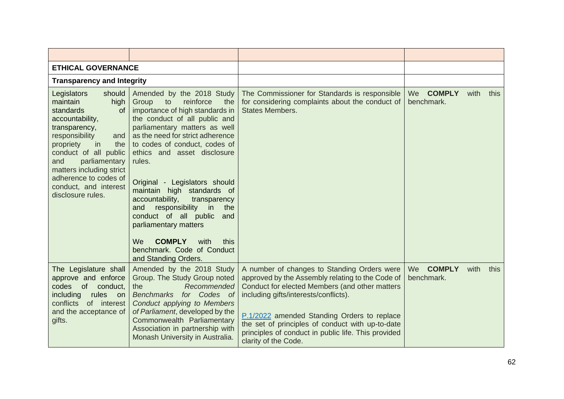| <b>ETHICAL GOVERNANCE</b>                                                                                                                                                                                                                                                                                      |                                                                                                                                                                                                                                                                                                                                                                                                                                                                                                                                                                               |                                                                                                                                                                                                                                                                                                                                                                              |                                          |      |      |
|----------------------------------------------------------------------------------------------------------------------------------------------------------------------------------------------------------------------------------------------------------------------------------------------------------------|-------------------------------------------------------------------------------------------------------------------------------------------------------------------------------------------------------------------------------------------------------------------------------------------------------------------------------------------------------------------------------------------------------------------------------------------------------------------------------------------------------------------------------------------------------------------------------|------------------------------------------------------------------------------------------------------------------------------------------------------------------------------------------------------------------------------------------------------------------------------------------------------------------------------------------------------------------------------|------------------------------------------|------|------|
| <b>Transparency and Integrity</b>                                                                                                                                                                                                                                                                              |                                                                                                                                                                                                                                                                                                                                                                                                                                                                                                                                                                               |                                                                                                                                                                                                                                                                                                                                                                              |                                          |      |      |
| Legislators<br>should<br>maintain<br>high<br>standards<br><b>of</b><br>accountability,<br>transparency,<br>responsibility<br>and<br>propriety<br>the<br>in<br>conduct of all public<br>parliamentary<br>and<br>matters including strict<br>adherence to codes of<br>conduct, and interest<br>disclosure rules. | Amended by the 2018 Study<br>Group<br>to<br>reinforce<br>the<br>importance of high standards in<br>the conduct of all public and<br>parliamentary matters as well<br>as the need for strict adherence<br>to codes of conduct, codes of<br>ethics and asset disclosure<br>rules.<br>Original - Legislators should<br>maintain high standards of<br>accountability,<br>transparency<br>responsibility<br>and<br>in<br>the<br>conduct of all public<br>and<br>parliamentary matters<br><b>COMPLY</b><br>with<br>We<br>this<br>benchmark. Code of Conduct<br>and Standing Orders. | The Commissioner for Standards is responsible<br>for considering complaints about the conduct of<br><b>States Members.</b>                                                                                                                                                                                                                                                   | We COMPLY<br>benchmark.                  | with | this |
| The Legislature shall<br>approve and enforce<br>of<br>conduct,<br>codes<br>including<br>rules<br>on<br>conflicts<br>of interest<br>and the acceptance of<br>gifts.                                                                                                                                             | Amended by the 2018 Study<br>Group. The Study Group noted<br>Recommended<br>the<br>Benchmarks for Codes of<br>Conduct applying to Members<br>of Parliament, developed by the<br>Commonwealth Parliamentary<br>Association in partnership with<br>Monash University in Australia.                                                                                                                                                                                                                                                                                              | A number of changes to Standing Orders were<br>approved by the Assembly relating to the Code of<br>Conduct for elected Members (and other matters<br>including gifts/interests/conflicts).<br>P.1/2022 amended Standing Orders to replace<br>the set of principles of conduct with up-to-date<br>principles of conduct in public life. This provided<br>clarity of the Code. | <b>COMPLY</b><br><b>We</b><br>benchmark. | with | this |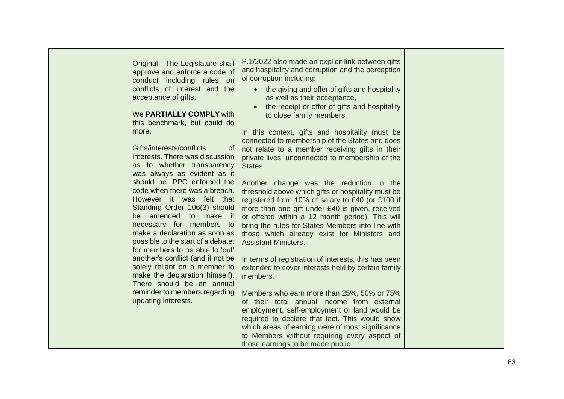| Original - The Legislature shall<br>approve and enforce a code of<br>conduct including rules on<br>conflicts of interest and the<br>acceptance of gifts.<br>We PARTIALLY COMPLY with<br>this benchmark, but could do<br>more.<br>Gifts/interests/conflicts<br>of<br>interests. There was discussion<br>as to whether transparency<br>was always as evident as it<br>should be. PPC enforced the<br>code when there was a breach.<br>However it was felt that<br>Standing Order 106(3) should<br>be amended to make it<br>necessary for members to<br>make a declaration as soon as<br>possible to the start of a debate;<br>for members to be able to 'out'<br>another's conflict (and it not be<br>solely reliant on a member to<br>make the declaration himself).<br>There should be an annual<br>reminder to members regarding<br>updating interests. | P.1/2022 also made an explicit link between gifts<br>and hospitality and corruption and the perception<br>of corruption including:<br>the giving and offer of gifts and hospitality<br>as well as their acceptance,<br>the receipt or offer of gifts and hospitality<br>to close family members.<br>In this context, gifts and hospitality must be<br>connected to membership of the States and does<br>not relate to a member receiving gifts in their<br>private lives, unconnected to membership of the<br>States.<br>Another change was the reduction in the<br>threshold above which gifts or hospitality must be<br>registered from 10% of salary to £40 (or £100 if<br>more than one gift under £40 is given, received<br>or offered within a 12 month period). This will<br>bring the rules for States Members into line with<br>those which already exist for Ministers and<br><b>Assistant Ministers.</b><br>In terms of registration of interests, this has been<br>extended to cover interests held by certain family<br>members.<br>Members who earn more than 25%, 50% or 75%<br>of their total annual income from external<br>employment, self-employment or land would be<br>required to declare that fact. This would show<br>which areas of earning were of most significance<br>to Members without requiring every aspect of<br>those earnings to be made public. |  |
|----------------------------------------------------------------------------------------------------------------------------------------------------------------------------------------------------------------------------------------------------------------------------------------------------------------------------------------------------------------------------------------------------------------------------------------------------------------------------------------------------------------------------------------------------------------------------------------------------------------------------------------------------------------------------------------------------------------------------------------------------------------------------------------------------------------------------------------------------------|--------------------------------------------------------------------------------------------------------------------------------------------------------------------------------------------------------------------------------------------------------------------------------------------------------------------------------------------------------------------------------------------------------------------------------------------------------------------------------------------------------------------------------------------------------------------------------------------------------------------------------------------------------------------------------------------------------------------------------------------------------------------------------------------------------------------------------------------------------------------------------------------------------------------------------------------------------------------------------------------------------------------------------------------------------------------------------------------------------------------------------------------------------------------------------------------------------------------------------------------------------------------------------------------------------------------------------------------------------------------------------------|--|
|----------------------------------------------------------------------------------------------------------------------------------------------------------------------------------------------------------------------------------------------------------------------------------------------------------------------------------------------------------------------------------------------------------------------------------------------------------------------------------------------------------------------------------------------------------------------------------------------------------------------------------------------------------------------------------------------------------------------------------------------------------------------------------------------------------------------------------------------------------|--------------------------------------------------------------------------------------------------------------------------------------------------------------------------------------------------------------------------------------------------------------------------------------------------------------------------------------------------------------------------------------------------------------------------------------------------------------------------------------------------------------------------------------------------------------------------------------------------------------------------------------------------------------------------------------------------------------------------------------------------------------------------------------------------------------------------------------------------------------------------------------------------------------------------------------------------------------------------------------------------------------------------------------------------------------------------------------------------------------------------------------------------------------------------------------------------------------------------------------------------------------------------------------------------------------------------------------------------------------------------------------|--|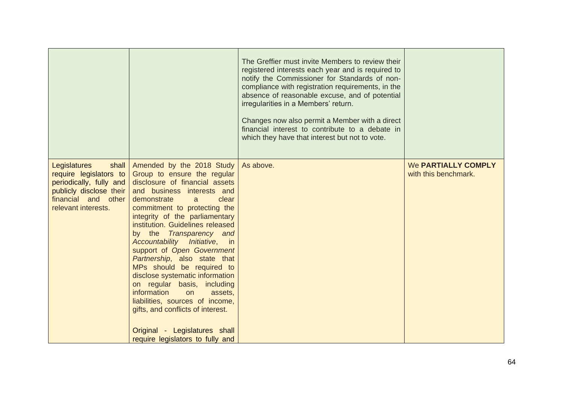|                                                                                                                                                     |                                                                                                                                                                                                                                                                                                                                                                                                                                                                                                                                                                                                                                                                   | The Greffier must invite Members to review their<br>registered interests each year and is required to<br>notify the Commissioner for Standards of non-<br>compliance with registration requirements, in the<br>absence of reasonable excuse, and of potential<br>irregularities in a Members' return.<br>Changes now also permit a Member with a direct<br>financial interest to contribute to a debate in<br>which they have that interest but not to vote. |                                                    |
|-----------------------------------------------------------------------------------------------------------------------------------------------------|-------------------------------------------------------------------------------------------------------------------------------------------------------------------------------------------------------------------------------------------------------------------------------------------------------------------------------------------------------------------------------------------------------------------------------------------------------------------------------------------------------------------------------------------------------------------------------------------------------------------------------------------------------------------|--------------------------------------------------------------------------------------------------------------------------------------------------------------------------------------------------------------------------------------------------------------------------------------------------------------------------------------------------------------------------------------------------------------------------------------------------------------|----------------------------------------------------|
| Legislatures<br>shall<br>require legislators to<br>periodically, fully and<br>publicly disclose their<br>financial and other<br>relevant interests. | Amended by the 2018 Study<br>Group to ensure the regular<br>disclosure of financial assets<br>and business interests and<br>demonstrate<br>clear<br>a<br>commitment to protecting the<br>integrity of the parliamentary<br>institution. Guidelines released<br>by the Transparency and<br>Accountability Initiative, in<br>support of Open Government<br>Partnership, also state that<br>MPs should be required to<br>disclose systematic information<br>on regular basis, including<br>information<br>on<br>assets,<br>liabilities, sources of income,<br>gifts, and conflicts of interest.<br>Original - Legislatures shall<br>require legislators to fully and | As above.                                                                                                                                                                                                                                                                                                                                                                                                                                                    | <b>We PARTIALLY COMPLY</b><br>with this benchmark. |